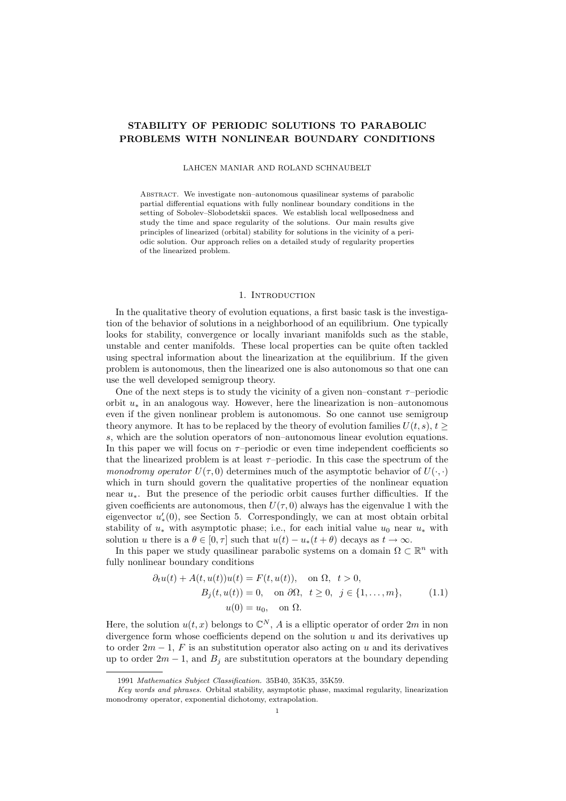# STABILITY OF PERIODIC SOLUTIONS TO PARABOLIC PROBLEMS WITH NONLINEAR BOUNDARY CONDITIONS

#### LAHCEN MANIAR AND ROLAND SCHNAUBELT

Abstract. We investigate non–autonomous quasilinear systems of parabolic partial differential equations with fully nonlinear boundary conditions in the setting of Sobolev–Slobodetskii spaces. We establish local wellposedness and study the time and space regularity of the solutions. Our main results give principles of linearized (orbital) stability for solutions in the vicinity of a periodic solution. Our approach relies on a detailed study of regularity properties of the linearized problem.

### 1. INTRODUCTION

In the qualitative theory of evolution equations, a first basic task is the investigation of the behavior of solutions in a neighborhood of an equilibrium. One typically looks for stability, convergence or locally invariant manifolds such as the stable, unstable and center manifolds. These local properties can be quite often tackled using spectral information about the linearization at the equilibrium. If the given problem is autonomous, then the linearized one is also autonomous so that one can use the well developed semigroup theory.

One of the next steps is to study the vicinity of a given non–constant  $\tau$ –periodic orbit  $u_*$  in an analogous way. However, here the linearization is non–autonomous even if the given nonlinear problem is autonomous. So one cannot use semigroup theory anymore. It has to be replaced by the theory of evolution families  $U(t, s), t \geq 0$ s, which are the solution operators of non–autonomous linear evolution equations. In this paper we will focus on  $\tau$ -periodic or even time independent coefficients so that the linearized problem is at least  $\tau$ -periodic. In this case the spectrum of the monodromy operator  $U(\tau, 0)$  determines much of the asymptotic behavior of  $U(\cdot, \cdot)$ which in turn should govern the qualitative properties of the nonlinear equation near u∗. But the presence of the periodic orbit causes further difficulties. If the given coefficients are autonomous, then  $U(\tau, 0)$  always has the eigenvalue 1 with the eigenvector  $u'_*(0)$ , see Section 5. Correspondingly, we can at most obtain orbital stability of  $u_*$  with asymptotic phase; i.e., for each initial value  $u_0$  near  $u_*$  with solution u there is a  $\theta \in [0, \tau]$  such that  $u(t) - u_*(t + \theta)$  decays as  $t \to \infty$ .

In this paper we study quasilinear parabolic systems on a domain  $\Omega \subset \mathbb{R}^n$  with fully nonlinear boundary conditions

$$
\partial_t u(t) + A(t, u(t))u(t) = F(t, u(t)), \quad \text{on } \Omega, \quad t > 0,
$$

$$
B_j(t, u(t)) = 0, \quad \text{on } \partial\Omega, \quad t \ge 0, \quad j \in \{1, \dots, m\}, \tag{1.1}
$$

$$
u(0) = u_0, \quad \text{on } \Omega.
$$

Here, the solution  $u(t, x)$  belongs to  $\mathbb{C}^N$ , A is a elliptic operator of order  $2m$  in non divergence form whose coefficients depend on the solution  $u$  and its derivatives up to order  $2m-1$ , F is an substitution operator also acting on u and its derivatives up to order  $2m - 1$ , and  $B_j$  are substitution operators at the boundary depending

<sup>1991</sup> Mathematics Subject Classification. 35B40, 35K35, 35K59.

Key words and phrases. Orbital stability, asymptotic phase, maximal regularity, linearization monodromy operator, exponential dichotomy, extrapolation.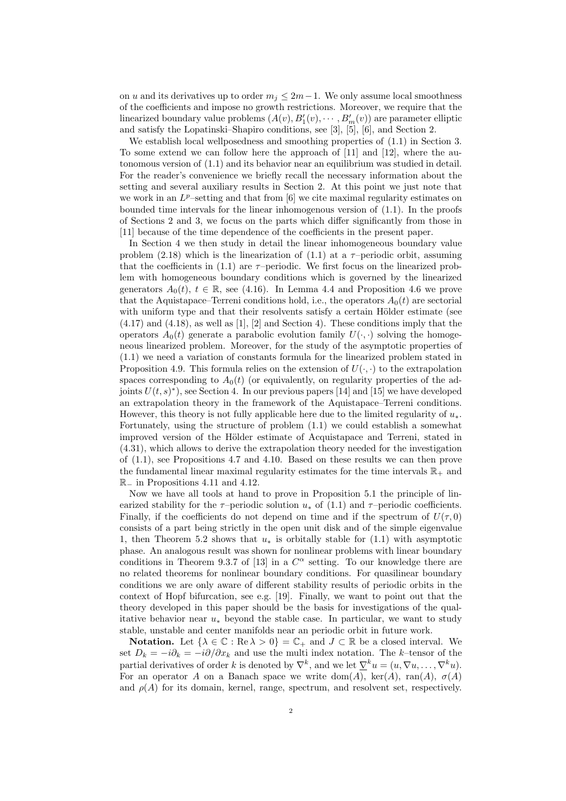on u and its derivatives up to order  $m_j \leq 2m-1$ . We only assume local smoothness of the coefficients and impose no growth restrictions. Moreover, we require that the linearized boundary value problems  $(A(v), B'_1(v), \dots, B'_m(v))$  are parameter elliptic and satisfy the Lopatinski–Shapiro conditions, see [3], [5], [6], and Section 2.

We establish local wellposedness and smoothing properties of  $(1.1)$  in Section 3. To some extend we can follow here the approach of [11] and [12], where the autonomous version of (1.1) and its behavior near an equilibrium was studied in detail. For the reader's convenience we briefly recall the necessary information about the setting and several auxiliary results in Section 2. At this point we just note that we work in an  $L^p$ -setting and that from [6] we cite maximal regularity estimates on bounded time intervals for the linear inhomogenous version of (1.1). In the proofs of Sections 2 and 3, we focus on the parts which differ significantly from those in [11] because of the time dependence of the coefficients in the present paper.

In Section 4 we then study in detail the linear inhomogeneous boundary value problem (2.18) which is the linearization of (1.1) at a  $\tau$ -periodic orbit, assuming that the coefficients in  $(1.1)$  are  $\tau$ -periodic. We first focus on the linearized problem with homogeneous boundary conditions which is governed by the linearized generators  $A_0(t)$ ,  $t \in \mathbb{R}$ , see (4.16). In Lemma 4.4 and Proposition 4.6 we prove that the Aquistapace–Terreni conditions hold, i.e., the operators  $A_0(t)$  are sectorial with uniform type and that their resolvents satisfy a certain Hölder estimate (see  $(4.17)$  and  $(4.18)$ , as well as [1], [2] and Section 4). These conditions imply that the operators  $A_0(t)$  generate a parabolic evolution family  $U(\cdot, \cdot)$  solving the homogeneous linearized problem. Moreover, for the study of the asymptotic properties of (1.1) we need a variation of constants formula for the linearized problem stated in Proposition 4.9. This formula relies on the extension of  $U(\cdot, \cdot)$  to the extrapolation spaces corresponding to  $A_0(t)$  (or equivalently, on regularity properties of the adjoints  $U(t, s)^*$ , see Section 4. In our previous papers [14] and [15] we have developed an extrapolation theory in the framework of the Aquistapace–Terreni conditions. However, this theory is not fully applicable here due to the limited regularity of  $u_*$ . Fortunately, using the structure of problem (1.1) we could establish a somewhat improved version of the Hölder estimate of Acquistapace and Terreni, stated in (4.31), which allows to derive the extrapolation theory needed for the investigation of (1.1), see Propositions 4.7 and 4.10. Based on these results we can then prove the fundamental linear maximal regularity estimates for the time intervals  $\mathbb{R}_+$  and R<sup>−</sup> in Propositions 4.11 and 4.12.

Now we have all tools at hand to prove in Proposition 5.1 the principle of linearized stability for the  $\tau$ –periodic solution  $u_*$  of (1.1) and  $\tau$ –periodic coefficients. Finally, if the coefficients do not depend on time and if the spectrum of  $U(\tau, 0)$ consists of a part being strictly in the open unit disk and of the simple eigenvalue 1, then Theorem 5.2 shows that  $u_*$  is orbitally stable for (1.1) with asymptotic phase. An analogous result was shown for nonlinear problems with linear boundary conditions in Theorem 9.3.7 of [13] in a  $C^{\alpha}$  setting. To our knowledge there are no related theorems for nonlinear boundary conditions. For quasilinear boundary conditions we are only aware of different stability results of periodic orbits in the context of Hopf bifurcation, see e.g. [19]. Finally, we want to point out that the theory developed in this paper should be the basis for investigations of the qualitative behavior near  $u_*$  beyond the stable case. In particular, we want to study stable, unstable and center manifolds near an periodic orbit in future work.

**Notation.** Let  $\{\lambda \in \mathbb{C} : \text{Re }\lambda > 0\} = \mathbb{C}_+$  and  $J \subset \mathbb{R}$  be a closed interval. We set  $D_k = -i\partial_k = -i\partial/\partial x_k$  and use the multi index notation. The k–tensor of the partial derivatives of order k is denoted by  $\nabla^k$ , and we let  $\underline{\nabla}^k u = (u, \nabla u, \dots, \nabla^k u)$ . For an operator A on a Banach space we write dom(A),  $ker(A)$ ,  $ran(A)$ ,  $\sigma(A)$ and  $\rho(A)$  for its domain, kernel, range, spectrum, and resolvent set, respectively.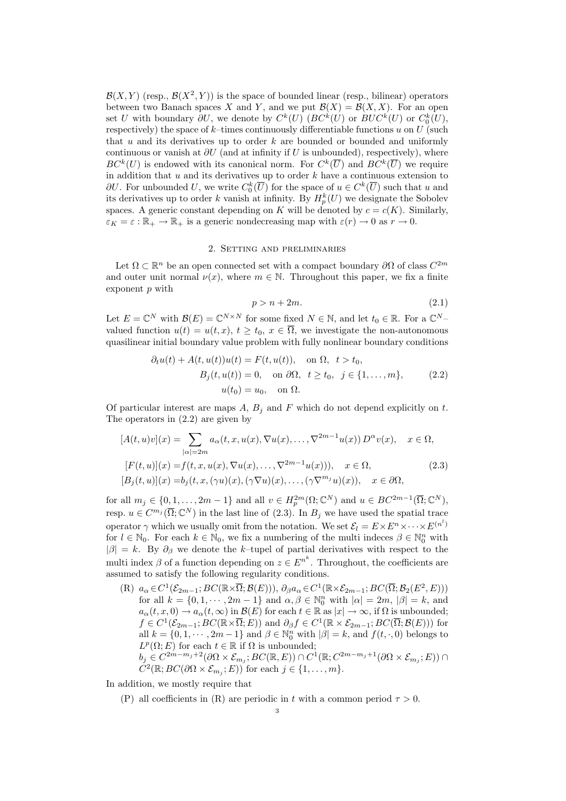$\mathcal{B}(X,Y)$  (resp.,  $\mathcal{B}(X^2,Y)$ ) is the space of bounded linear (resp., bilinear) operators between two Banach spaces X and Y, and we put  $\mathcal{B}(X) = \mathcal{B}(X, X)$ . For an open set U with boundary  $\partial U$ , we denote by  $C^k(U)$  ( $BC^k(U)$  or  $BUC^k(U)$  or  $C_0^k(U)$ , respectively) the space of  $k$ –times continuously differentiable functions  $u$  on  $U$  (such that  $u$  and its derivatives up to order  $k$  are bounded or bounded and uniformly continuous or vanish at  $\partial U$  (and at infinity if U is unbounded), respectively), where  $BC^{k}(U)$  is endowed with its canonical norm. For  $C^{k}(\overline{U})$  and  $BC^{k}(\overline{U})$  we require in addition that  $u$  and its derivatives up to order  $k$  have a continuous extension to  $\partial U$ . For unbounded U, we write  $C_0^k(\overline{U})$  for the space of  $u \in C^k(\overline{U})$  such that u and its derivatives up to order k vanish at infinity. By  $H_p^k(U)$  we designate the Sobolev spaces. A generic constant depending on K will be denoted by  $c = c(K)$ . Similarly,  $\varepsilon_K = \varepsilon : \mathbb{R}_+ \to \mathbb{R}_+$  is a generic nondecreasing map with  $\varepsilon(r) \to 0$  as  $r \to 0$ .

# 2. Setting and preliminaries

Let  $\Omega \subset \mathbb{R}^n$  be an open connected set with a compact boundary  $\partial\Omega$  of class  $C^{2m}$ and outer unit normal  $\nu(x)$ , where  $m \in \mathbb{N}$ . Throughout this paper, we fix a finite exponent p with

$$
p > n + 2m.\tag{2.1}
$$

Let  $E = \mathbb{C}^N$  with  $\mathcal{B}(E) = \mathbb{C}^{N \times N}$  for some fixed  $N \in \mathbb{N}$ , and let  $t_0 \in \mathbb{R}$ . For a  $\mathbb{C}^{N-1}$ valued function  $u(t) = u(t, x), t \geq t_0, x \in \overline{\Omega}$ , we investigate the non-autonomous quasilinear initial boundary value problem with fully nonlinear boundary conditions

$$
\partial_t u(t) + A(t, u(t))u(t) = F(t, u(t)), \quad \text{on } \Omega, \quad t > t_0,
$$
  
\n
$$
B_j(t, u(t)) = 0, \quad \text{on } \partial\Omega, \quad t \ge t_0, \quad j \in \{1, \dots, m\},
$$
  
\n
$$
u(t_0) = u_0, \quad \text{on } \Omega.
$$
\n(2.2)

Of particular interest are maps  $A, B_i$  and F which do not depend explicitly on t. The operators in (2.2) are given by

$$
[A(t, u)v](x) = \sum_{|\alpha|=2m} a_{\alpha}(t, x, u(x), \nabla u(x), \dots, \nabla^{2m-1} u(x)) D^{\alpha} v(x), \quad x \in \Omega,
$$
  
\n
$$
[F(t, u)](x) = f(t, x, u(x), \nabla u(x), \dots, \nabla^{2m-1} u(x))), \quad x \in \Omega,
$$
  
\n
$$
[B_j(t, u)](x) = b_j(t, x, (\gamma u)(x), (\gamma \nabla u)(x), \dots, (\gamma \nabla^{m_j} u)(x)), \quad x \in \partial\Omega,
$$
\n(2.3)

for all  $m_j \in \{0, 1, \ldots, 2m-1\}$  and all  $v \in H_p^{2m}(\Omega; \mathbb{C}^N)$  and  $u \in BC^{2m-1}(\overline{\Omega}; \mathbb{C}^N)$ , resp.  $u \in C^{m_j}(\overline{\Omega}; \mathbb{C}^N)$  in the last line of  $(2.3)$ . In  $B_j$  we have used the spatial trace operator  $\gamma$  which we usually omit from the notation. We set  $\mathcal{E}_l = E \times E^n \times \cdots \times E^{(n^l)}$ for  $l \in \mathbb{N}_0$ . For each  $k \in \mathbb{N}_0$ , we fix a numbering of the multi indeces  $\beta \in \mathbb{N}_0^n$  with  $|\beta| = k$ . By  $\partial_{\beta}$  we denote the k–tupel of partial derivatives with respect to the multi index  $\beta$  of a function depending on  $z \in E^{n^k}$ . Throughout, the coefficients are assumed to satisfy the following regularity conditions.

(R)  $a_{\alpha} \in C^1(\mathcal{E}_{2m-1}; BC(\mathbb{R} \times \overline{\Omega}; \mathcal{B}(E))), \ \partial_{\beta} a_{\alpha} \in C^1(\mathbb{R} \times \mathcal{E}_{2m-1}; BC(\overline{\Omega}; \mathcal{B}_2(E^2, E)))$ for all  $k = \{0, 1, \dots, 2m - 1\}$  and  $\alpha, \beta \in \mathbb{N}_0^n$  with  $|\alpha| = 2m$ ,  $|\beta| = k$ , and  $a_{\alpha}(t, x, 0) \rightarrow a_{\alpha}(t, \infty)$  in  $\mathcal{B}(E)$  for each  $t \in \mathbb{R}$  as  $|x| \rightarrow \infty$ , if  $\Omega$  is unbounded;  $f \in C^1(\mathcal{E}_{2m-1}; BC(\mathbb{R} \times \overline{\Omega}; E))$  and  $\partial_\beta f \in C^1(\mathbb{R} \times \mathcal{E}_{2m-1}; BC(\overline{\Omega}; \mathcal{B}(E)))$  for all  $k = \{0, 1, \dots, 2m - 1\}$  and  $\beta \in \mathbb{N}_0^n$  with  $|\beta| = k$ , and  $f(t, \cdot, 0)$  belongs to  $L^p(\Omega; E)$  for each  $t \in \mathbb{R}$  if  $\Omega$  is unbounded;  $b_j \in C^{2m-m_j+2}(\partial \Omega \times \mathcal{E}_{m_j}; BC(\mathbb{R}, E)) \cap C^1(\mathbb{R}; C^{2m-m_j+1}(\partial \Omega \times \mathcal{E}_{m_j}; E)) \cap$  $C^2(\mathbb{R}; BC(\partial \Omega \times \mathcal{E}_{m_j}; E))$  for each  $j \in \{1, \ldots, m\}.$ 

In addition, we mostly require that

(P) all coefficients in (R) are periodic in t with a common period  $\tau > 0$ .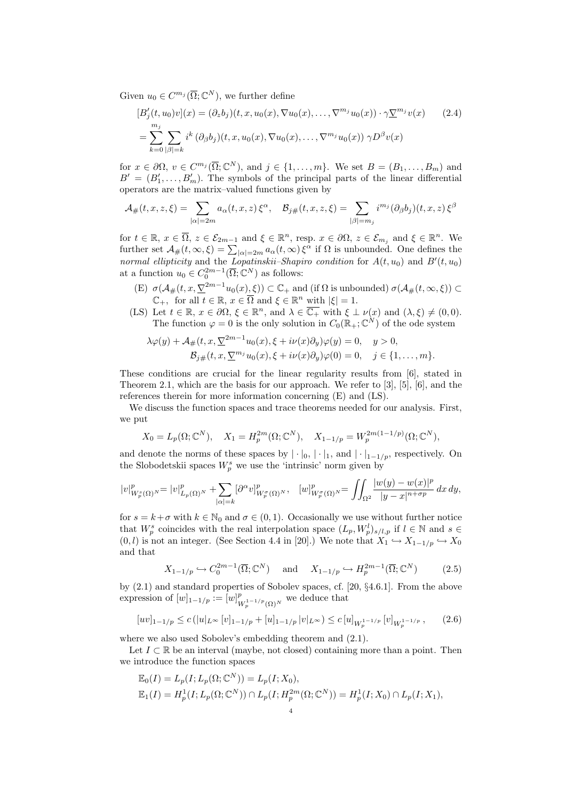Given  $u_0 \in C^{m_j}(\overline{\Omega}; \mathbb{C}^N)$ , we further define

$$
[B_j'(t, u_0)v](x) = (\partial_z b_j)(t, x, u_0(x), \nabla u_0(x), \dots, \nabla^{m_j} u_0(x)) \cdot \gamma \underline{\nabla}^{m_j} v(x)
$$
(2.4)  

$$
= \sum_{k=0}^{m_j} \sum_{|\beta|=k} i^k (\partial_\beta b_j)(t, x, u_0(x), \nabla u_0(x), \dots, \nabla^{m_j} u_0(x)) \gamma D^\beta v(x)
$$

for  $x \in \partial\Omega$ ,  $v \in C^{m_j}(\overline{\Omega}; \mathbb{C}^N)$ , and  $j \in \{1, ..., m\}$ . We set  $B = (B_1, ..., B_m)$  and  $B' = (B'_1, \ldots, B'_m)$ . The symbols of the principal parts of the linear differential operators are the matrix–valued functions given by

$$
\mathcal{A}_{\#}(t,x,z,\xi) = \sum_{|\alpha|=2m} a_{\alpha}(t,x,z) \, \xi^{\alpha}, \quad \mathcal{B}_{j\#}(t,x,z,\xi) = \sum_{|\beta|=m_j} i^{m_j} (\partial_{\beta} b_j)(t,x,z) \, \xi^{\beta}
$$

for  $t \in \mathbb{R}$ ,  $x \in \overline{\Omega}$ ,  $z \in \mathcal{E}_{2m-1}$  and  $\xi \in \mathbb{R}^n$ , resp.  $x \in \partial\Omega$ ,  $z \in \mathcal{E}_{m_j}$  and  $\xi \in \mathbb{R}^n$ . We further set  $\mathcal{A}_{\#}(t, \infty, \xi) = \sum_{|\alpha|=2m} a_{\alpha}(t, \infty) \xi^{\alpha}$  if  $\Omega$  is unbounded. One defines the normal ellipticity and the Lopatinskii–Shapiro condition for  $A(t, u_0)$  and  $B'(t, u_0)$ at a function  $u_0 \in C_0^{2m-1}(\overline{\Omega}; \mathbb{C}^N)$  as follows:

- (E)  $\sigma(\mathcal{A}_{\#}(t,x,\underline{\nabla}^{2m-1}u_0(x),\xi)) \subset \mathbb{C}_+$  and (if  $\Omega$  is unbounded)  $\sigma(\mathcal{A}_{\#}(t,\infty,\xi)) \subset$  $\mathbb{C}_+$ , for all  $t \in \mathbb{R}$ ,  $x \in \overline{\Omega}$  and  $\xi \in \mathbb{R}^n$  with  $|\xi| = 1$ .
- (LS) Let  $t \in \mathbb{R}$ ,  $x \in \partial\Omega$ ,  $\xi \in \mathbb{R}^n$ , and  $\lambda \in \overline{\mathbb{C}_+}$  with  $\xi \perp \nu(x)$  and  $(\lambda, \xi) \neq (0, 0)$ . The function  $\varphi = 0$  is the only solution in  $C_0(\mathbb{R}_+;\mathbb{C}^N)$  of the ode system

$$
\lambda \varphi(y) + A_{\#}(t, x, \nabla^{2m-1} u_0(x), \xi + i\nu(x)\partial_y)\varphi(y) = 0, \quad y > 0,
$$
  

$$
\mathcal{B}_{j\#}(t, x, \nabla^{m_j} u_0(x), \xi + i\nu(x)\partial_y)\varphi(0) = 0, \quad j \in \{1, \ldots, m\}.
$$

These conditions are crucial for the linear regularity results from [6], stated in Theorem 2.1, which are the basis for our approach. We refer to [3], [5], [6], and the references therein for more information concerning (E) and (LS).

We discuss the function spaces and trace theorems needed for our analysis. First, we put

$$
X_0 = L_p(\Omega; \mathbb{C}^N), \quad X_1 = H_p^{2m}(\Omega; \mathbb{C}^N), \quad X_{1-1/p} = W_p^{2m(1-1/p)}(\Omega; \mathbb{C}^N),
$$

and denote the norms of these spaces by  $|\cdot|_0, |\cdot|_1$ , and  $|\cdot|_{1-1/p}$ , respectively. On the Slobodetskii spaces  $W_p^s$  we use the 'intrinsic' norm given by

$$
|v|_{W_p^s(\Omega)^N}^p=|v|_{L_p(\Omega)^N}^p+\sum_{|\alpha|=k}[\partial^\alpha v]_{W_p^\sigma(\Omega)^N}^p,\quad [w]_{W_p^\sigma(\Omega)^N}^p=\iint_{\Omega^2}\frac{|w(y)-w(x)|^p}{|y-x|^{n+\sigma p}}\,dx\,dy,
$$

for  $s = k + \sigma$  with  $k \in \mathbb{N}_0$  and  $\sigma \in (0, 1)$ . Occasionally we use without further notice that  $W_p^s$  coincides with the real interpolation space  $(L_p, W_p^l)_{s/l,p}$  if  $l \in \mathbb{N}$  and  $s \in$  $(0, l)$  is not an integer. (See Section 4.4 in [20].) We note that  $X_1 \hookrightarrow X_{1-1/p} \hookrightarrow X_0$ and that

$$
X_{1-1/p} \hookrightarrow C_0^{2m-1}(\overline{\Omega}; \mathbb{C}^N) \quad \text{and} \quad X_{1-1/p} \hookrightarrow H_p^{2m-1}(\overline{\Omega}; \mathbb{C}^N) \tag{2.5}
$$

by (2.1) and standard properties of Sobolev spaces, cf. [20, §4.6.1]. From the above expression of  $[w]_{1-1/p} := [w]_p^p$  $W_p^{1-1/p}(\Omega)^N$  we deduce that

$$
[uv]_{1-1/p} \le c \left( |u|_{L^{\infty}} \left[ v \right]_{1-1/p} + [u]_{1-1/p} \left| v \right|_{L^{\infty}} \right) \le c \left[ u \right]_{W^{1-1/p}_p} \left[ v \right]_{W^{1-1/p}_p}, \tag{2.6}
$$

where we also used Sobolev's embedding theorem and  $(2.1)$ .

Let  $I \subset \mathbb{R}$  be an interval (maybe, not closed) containing more than a point. Then we introduce the function spaces

$$
\mathbb{E}_0(I) = L_p(I; L_p(\Omega; \mathbb{C}^N)) = L_p(I; X_0), \n\mathbb{E}_1(I) = H_p^1(I; L_p(\Omega; \mathbb{C}^N)) \cap L_p(I; H_p^{2m}(\Omega; \mathbb{C}^N)) = H_p^1(I; X_0) \cap L_p(I; X_1),
$$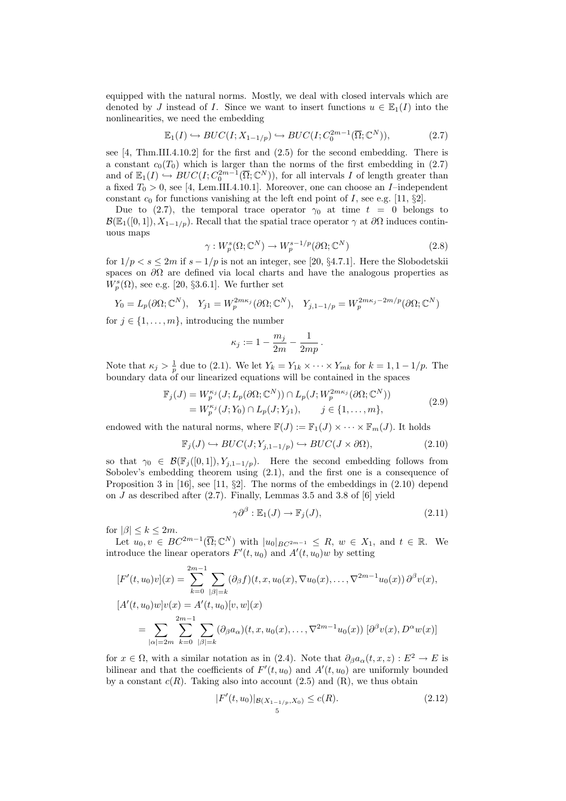equipped with the natural norms. Mostly, we deal with closed intervals which are denoted by J instead of I. Since we want to insert functions  $u \in \mathbb{E}_1(I)$  into the nonlinearities, we need the embedding

$$
\mathbb{E}_1(I) \hookrightarrow BUC(I; X_{1-1/p}) \hookrightarrow BUC(I; C_0^{2m-1}(\overline{\Omega}; \mathbb{C}^N)),\tag{2.7}
$$

see [4, Thm.III.4.10.2] for the first and (2.5) for the second embedding. There is a constant  $c_0(T_0)$  which is larger than the norms of the first embedding in (2.7) and of  $\mathbb{E}_1(I) \hookrightarrow BUC(I; C_0^{2m-1}(\overline{\Omega}; \mathbb{C}^N))$ , for all intervals I of length greater than a fixed  $T_0 > 0$ , see [4, Lem.III.4.10.1]. Moreover, one can choose an *I*-independent constant  $c_0$  for functions vanishing at the left end point of I, see e.g. [11, §2].

Due to (2.7), the temporal trace operator  $\gamma_0$  at time  $t = 0$  belongs to  $\mathcal{B}(\mathbb{E}_1([0,1]), X_{1-1/p})$ . Recall that the spatial trace operator  $\gamma$  at  $\partial\Omega$  induces continuous maps

$$
\gamma: W_p^s(\Omega; \mathbb{C}^N) \to W_p^{s-1/p}(\partial \Omega; \mathbb{C}^N)
$$
\n(2.8)

for  $1/p < s \leq 2m$  if  $s - 1/p$  is not an integer, see [20, §4.7.1]. Here the Slobodetskii spaces on  $\partial\Omega$  are defined via local charts and have the analogous properties as  $W_p^s(\Omega)$ , see e.g. [20, §3.6.1]. We further set

$$
Y_0 = L_p(\partial\Omega; \mathbb{C}^N), \quad Y_{j1} = W_p^{2m\kappa_j}(\partial\Omega; \mathbb{C}^N), \quad Y_{j,1-1/p} = W_p^{2m\kappa_j - 2m/p}(\partial\Omega; \mathbb{C}^N)
$$

for  $j \in \{1, \ldots, m\}$ , introducing the number

$$
\kappa_j := 1 - \frac{m_j}{2m} - \frac{1}{2mp}.
$$

Note that  $\kappa_j > \frac{1}{p}$  due to (2.1). We let  $Y_k = Y_{1k} \times \cdots \times Y_{mk}$  for  $k = 1, 1 - 1/p$ . The boundary data of our linearized equations will be contained in the spaces

$$
\mathbb{F}_j(J) = W_p^{\kappa_j}(J; L_p(\partial \Omega; \mathbb{C}^N)) \cap L_p(J; W_p^{2m\kappa_j}(\partial \Omega; \mathbb{C}^N))
$$
  
= 
$$
W_p^{\kappa_j}(J; Y_0) \cap L_p(J; Y_{j1}), \qquad j \in \{1, ..., m\},
$$
 (2.9)

endowed with the natural norms, where  $\mathbb{F}(J) := \mathbb{F}_1(J) \times \cdots \times \mathbb{F}_m(J)$ . It holds

$$
\mathbb{F}_j(J) \hookrightarrow BUC(J; Y_{j,1-1/p}) \hookrightarrow BUC(J \times \partial \Omega), \tag{2.10}
$$

so that  $\gamma_0 \in \mathcal{B}(\mathbb{F}_j([0,1]), Y_{j,1-1/p})$ . Here the second embedding follows from Sobolev's embedding theorem using (2.1), and the first one is a consequence of Proposition 3 in [16], see [11,  $\S2$ ]. The norms of the embeddings in (2.10) depend on  $J$  as described after  $(2.7)$ . Finally, Lemmas 3.5 and 3.8 of [6] yield

$$
\gamma \partial^{\beta} : \mathbb{E}_1(J) \to \mathbb{F}_j(J), \tag{2.11}
$$

for  $|\beta| \leq k \leq 2m$ .

Let  $u_0, v \in BC^{2m-1}(\overline{\Omega}; \mathbb{C}^N)$  with  $|u_0|_{BC^{2m-1}} \leq R$ ,  $w \in X_1$ , and  $t \in \mathbb{R}$ . We introduce the linear operators  $F'(t, u_0)$  and  $A'(t, u_0)w$  by setting

$$
[F'(t, u_0)v](x) = \sum_{k=0}^{2m-1} \sum_{|\beta|=k} (\partial_{\beta}f)(t, x, u_0(x), \nabla u_0(x), \dots, \nabla^{2m-1}u_0(x)) \partial^{\beta}v(x),
$$
  
\n
$$
[A'(t, u_0)w]v(x) = A'(t, u_0)[v, w](x)
$$
  
\n
$$
= \sum_{|\alpha|=2m} \sum_{k=0}^{2m-1} \sum_{|\beta|=k} (\partial_{\beta}a_{\alpha})(t, x, u_0(x), \dots, \nabla^{2m-1}u_0(x)) [\partial^{\beta}v(x), D^{\alpha}w(x)]
$$

for  $x \in \Omega$ , with a similar notation as in (2.4). Note that  $\partial_{\beta}a_{\alpha}(t, x, z): E^2 \to E$  is bilinear and that the coefficients of  $F'(t, u_0)$  and  $A'(t, u_0)$  are uniformly bounded by a constant  $c(R)$ . Taking also into account (2.5) and (R), we thus obtain

$$
|F'(t, u_0)|_{\mathcal{B}(X_{1-1/p}, X_0)} \le c(R). \tag{2.12}
$$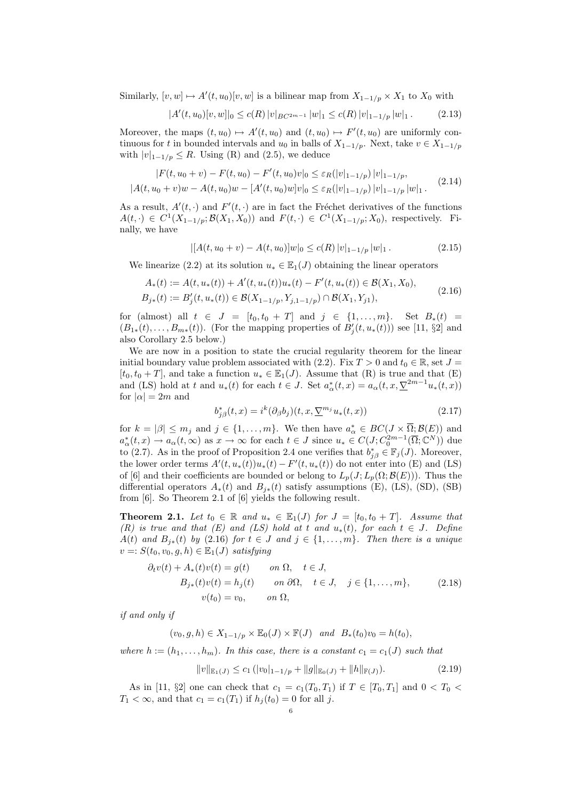Similarly,  $[v, w] \mapsto A'(t, u_0)[v, w]$  is a bilinear map from  $X_{1-1/p} \times X_1$  to  $X_0$  with

$$
|A'(t, u_0)[v, w]|_0 \le c(R) |v|_{BC^{2m-1}} |w|_1 \le c(R) |v|_{1-1/p} |w|_1.
$$
 (2.13)

Moreover, the maps  $(t, u_0) \mapsto A'(t, u_0)$  and  $(t, u_0) \mapsto F'(t, u_0)$  are uniformly continuous for t in bounded intervals and  $u_0$  in balls of  $X_{1-1/p}$ . Next, take  $v \in X_{1-1/p}$ with  $|v|_{1-1/p} \leq R$ . Using (R) and (2.5), we deduce

$$
|F(t, u_0 + v) - F(t, u_0) - F'(t, u_0)v|_0 \le \varepsilon_R(|v|_{1-1/p}) |v|_{1-1/p},
$$
  

$$
|A(t, u_0 + v)w - A(t, u_0)w - [A'(t, u_0)w]v|_0 \le \varepsilon_R(|v|_{1-1/p}) |v|_{1-1/p}|w|_1.
$$
 (2.14)

As a result,  $A'(t, \cdot)$  and  $F'(t, \cdot)$  are in fact the Fréchet derivatives of the functions  $A(t,.) \in C^1(X_{1-1/p}; \mathcal{B}(X_1, X_0))$  and  $F(t,.) \in C^1(X_{1-1/p}; X_0)$ , respectively. Finally, we have

$$
|[A(t, u_0 + v) - A(t, u_0)]w|_0 \le c(R) |v|_{1-1/p} |w|_1.
$$
\n(2.15)

We linearize (2.2) at its solution  $u_* \in \mathbb{E}_1(J)$  obtaining the linear operators

$$
A_*(t) := A(t, u_*(t)) + A'(t, u_*(t))u_*(t) - F'(t, u_*(t)) \in \mathcal{B}(X_1, X_0),
$$
  
\n
$$
B_{j*}(t) := B'_{j}(t, u_*(t)) \in \mathcal{B}(X_{1-1/p}, Y_{j,1-1/p}) \cap \mathcal{B}(X_1, Y_{j1}),
$$
\n(2.16)

for (almost) all  $t \in J = [t_0, t_0 + T]$  and  $j \in \{1, ..., m\}$ . Set  $B_*(t) =$  $(B_{1*}(t),...,B_{m*}(t))$ . (For the mapping properties of  $B'_{j}(t, u_{*}(t))$ ) see [11, §2] and also Corollary 2.5 below.)

We are now in a position to state the crucial regularity theorem for the linear initial boundary value problem associated with (2.2). Fix  $T > 0$  and  $t_0 \in \mathbb{R}$ , set  $J =$  $[t_0, t_0 + T]$ , and take a function  $u_* \in \mathbb{E}_1(J)$ . Assume that  $(R)$  is true and that  $(E)$ and (LS) hold at t and  $u_*(t)$  for each  $t \in J$ . Set  $a^*_{\alpha}(t,x) = a_{\alpha}(t,x,\nabla^{2m-1}u_*(t,x))$ for  $|\alpha| = 2m$  and

$$
b_{j\beta}^*(t,x) = i^k (\partial_\beta b_j)(t,x,\nabla^{m_j} u_*(t,x))
$$
\n(2.17)

for  $k = |\beta| \le m_j$  and  $j \in \{1, ..., m\}$ . We then have  $a^*_{\alpha} \in BC(J \times \overline{\Omega}; \mathcal{B}(E))$  and  $a^*_{\alpha}(t,x) \to a_{\alpha}(t,\infty)$  as  $x \to \infty$  for each  $t \in J$  since  $u_* \in C(J; C_0^{2m-1}(\overline{\Omega}; \mathbb{C}^N))$  due to (2.7). As in the proof of Proposition 2.4 one verifies that  $b_{j\beta}^* \in \mathbb{F}_j(J)$ . Moreover, the lower order terms  $A'(t, u_*(t))u_*(t) - F'(t, u_*(t))$  do not enter into (E) and (LS) of [6] and their coefficients are bounded or belong to  $L_p(J;L_p(\Omega;\mathcal{B}(E)))$ . Thus the differential operators  $A_*(t)$  and  $B_{i*}(t)$  satisfy assumptions (E), (LS), (SD), (SB) from [6]. So Theorem 2.1 of [6] yields the following result.

**Theorem 2.1.** Let  $t_0 \in \mathbb{R}$  and  $u_* \in \mathbb{E}_1(J)$  for  $J = [t_0, t_0 + T]$ . Assume that (R) is true and that (E) and (LS) hold at t and  $u_*(t)$ , for each  $t \in J$ . Define  $A(t)$  and  $B_{j*}(t)$  by (2.16) for  $t \in J$  and  $j \in \{1, \ldots, m\}$ . Then there is a unique  $v =: S(t_0, v_0, g, h) \in \mathbb{E}_1(J)$  satisfying

$$
\partial_t v(t) + A_*(t)v(t) = g(t) \qquad on \ \Omega, \quad t \in J,
$$
  
\n
$$
B_{j*}(t)v(t) = h_j(t) \qquad on \ \partial\Omega, \quad t \in J, \quad j \in \{1, ..., m\},
$$
  
\n
$$
v(t_0) = v_0, \qquad on \ \Omega,
$$
 (2.18)

if and only if

$$
(v_0, g, h) \in X_{1-1/p} \times \mathbb{E}_0(J) \times \mathbb{F}(J) \quad and \quad B_*(t_0)v_0 = h(t_0),
$$

where  $h := (h_1, \ldots, h_m)$ . In this case, there is a constant  $c_1 = c_1(J)$  such that

$$
||v||_{\mathbb{E}_1(J)} \le c_1 (|v_0|_{1-1/p} + ||g||_{\mathbb{E}_0(J)} + ||h||_{\mathbb{F}(J)}).
$$
\n(2.19)

As in [11, §2] one can check that  $c_1 = c_1(T_0, T_1)$  if  $T \in [T_0, T_1]$  and  $0 < T_0 <$  $T_1 < \infty$ , and that  $c_1 = c_1(T_1)$  if  $h_j(t_0) = 0$  for all j.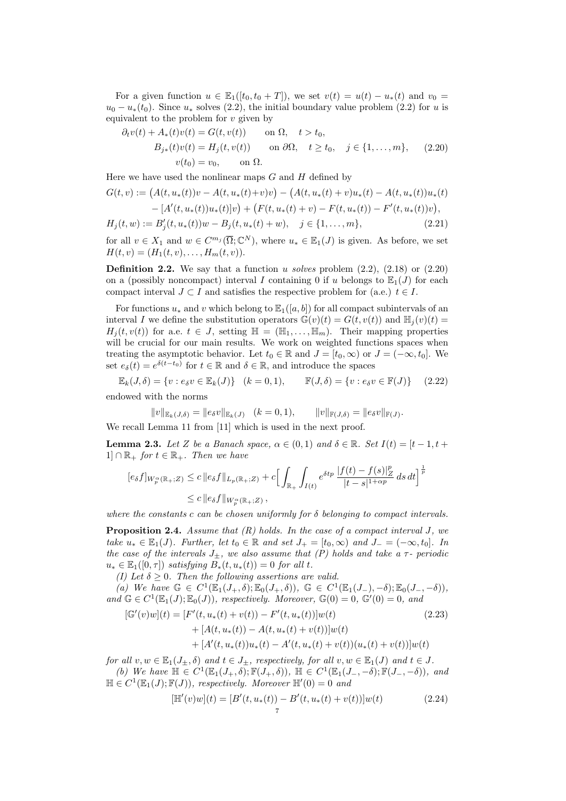For a given function  $u \in \mathbb{E}_1([t_0, t_0 + T])$ , we set  $v(t) = u(t) - u_*(t)$  and  $v_0 =$  $u_0 - u_*(t_0)$ . Since  $u_*$  solves (2.2), the initial boundary value problem (2.2) for u is equivalent to the problem for  $v$  given by

$$
\partial_t v(t) + A_*(t)v(t) = G(t, v(t)) \quad \text{on } \Omega, \quad t > t_0,
$$
  
\n
$$
B_{j*}(t)v(t) = H_j(t, v(t)) \quad \text{on } \partial\Omega, \quad t \ge t_0, \quad j \in \{1, ..., m\}, \quad (2.20)
$$
  
\n
$$
v(t_0) = v_0, \quad \text{on } \Omega.
$$

Here we have used the nonlinear maps  $G$  and  $H$  defined by

$$
G(t, v) := (A(t, u_*(t))v - A(t, u_*(t) + v)v) - (A(t, u_*(t) + v)u_*(t) - A(t, u_*(t))u_*(t) - [A'(t, u_*(t))u_*(t)]v) + (F(t, u_*(t) + v) - F(t, u_*(t)) - F'(t, u_*(t))v),
$$
  
\n
$$
H_j(t, w) := B'_j(t, u_*(t))w - B_j(t, u_*(t) + w), \quad j \in \{1, ..., m\},
$$
\n(2.21)

for all  $v \in X_1$  and  $w \in C^{m_j}(\overline{\Omega}; \mathbb{C}^N)$ , where  $u_* \in \mathbb{E}_1(J)$  is given. As before, we set  $H(t, v) = (H_1(t, v), \ldots, H_m(t, v)).$ 

**Definition 2.2.** We say that a function u solves problem  $(2.2)$ ,  $(2.18)$  or  $(2.20)$ on a (possibly noncompact) interval I containing 0 if u belongs to  $\mathbb{E}_1(J)$  for each compact interval  $J \subset I$  and satisfies the respective problem for (a.e.)  $t \in I$ .

For functions  $u_*$  and v which belong to  $\mathbb{E}_1([a, b])$  for all compact subintervals of an interval I we define the substitution operators  $\mathbb{G}(v)(t) = G(t, v(t))$  and  $\mathbb{H}_i(v)(t) =$  $H_j(t, v(t))$  for a.e.  $t \in J$ , setting  $\mathbb{H} = (\mathbb{H}_1, \dots, \mathbb{H}_m)$ . Their mapping properties will be crucial for our main results. We work on weighted functions spaces when treating the asymptotic behavior. Let  $t_0 \in \mathbb{R}$  and  $J = [t_0, \infty)$  or  $J = (-\infty, t_0]$ . We set  $e_{\delta}(t) = e^{\delta(t-t_0)}$  for  $t \in \mathbb{R}$  and  $\delta \in \mathbb{R}$ , and introduce the spaces

 $\mathbb{E}_k(J,\delta) = \{v : e_{\delta}v \in \mathbb{E}_k(J)\}$   $(k = 0, 1), \qquad \mathbb{F}(J,\delta) = \{v : e_{\delta}v \in \mathbb{F}(J)\}$  (2.22) endowed with the norms

 $||v||_{\mathbb{E}_k(J,\delta)} = ||e_{\delta}v||_{\mathbb{E}_k(J)} \quad (k = 0, 1),$  $||v||_{\mathbb{F}(J,\delta)} = ||e_{\delta}v||_{\mathbb{F}(J)}.$ 

We recall Lemma 11 from [11] which is used in the next proof.

**Lemma 2.3.** Let Z be a Banach space,  $\alpha \in (0,1)$  and  $\delta \in \mathbb{R}$ . Set  $I(t) = [t-1, t+1]$  $1] \cap \mathbb{R}_+$  for  $t \in \mathbb{R}_+$ . Then we have

$$
\begin{aligned} [e_{\delta}f]_{W^\alpha_p(\mathbb{R}_+;Z)} &\leq c\, \|e_{\delta}f\|_{L_p(\mathbb{R}_+;Z)} + c\Big[\int_{\mathbb{R}_+}\int_{I(t)}e^{\delta t p}\,\frac{|f(t)-f(s)|_Z^p}{|t-s|^{1+\alpha p}}\,ds\,dt\Big]^{\frac{1}{p}}\\ &\leq c\, \|e_{\delta}f\|_{W^\alpha_p(\mathbb{R}_+;Z)}\,, \end{aligned}
$$

where the constants c can be chosen uniformly for  $\delta$  belonging to compact intervals.

**Proposition 2.4.** Assume that  $(R)$  holds. In the case of a compact interval J, we take  $u_* \in \mathbb{E}_1(J)$ . Further, let  $t_0 \in \mathbb{R}$  and set  $J_+ = [t_0, \infty)$  and  $J_- = (-\infty, t_0]$ . In the case of the intervals  $J_{\pm}$ , we also assume that (P) holds and take a  $\tau$ - periodic  $u_* \in \mathbb{E}_1([0,\tau])$  satisfying  $B_*(t, u_*(t)) = 0$  for all t.

(I) Let  $\delta > 0$ . Then the following assertions are valid.

(a) We have  $\mathbb{G} \in C^1(\mathbb{E}_1(J_+,\delta); \mathbb{E}_0(J_+,\delta)), \mathbb{G} \in C^1(\mathbb{E}_1(J_-),-\delta); \mathbb{E}_0(J_-,-\delta)),$ and  $\mathbb{G} \in C^1(\mathbb{E}_1(J); \mathbb{E}_0(J))$ , respectively. Moreover,  $\mathbb{G}(0) = 0$ ,  $\mathbb{G}'(0) = 0$ , and

$$
[\mathbb{G}'(v)w](t) = [F'(t, u_*(t) + v(t)) - F'(t, u_*(t))]w(t)
$$
\n
$$
+ [A(t, u_*(t)) - A(t, u_*(t) + v(t))]w(t)
$$
\n
$$
+ [A'(t, u_*(t))u_*(t) - A'(t, u_*(t) + v(t)) (u_*(t) + v(t))]w(t)
$$
\n(2.23)

for all  $v, w \in \mathbb{E}_1(J_\pm, \delta)$  and  $t \in J_\pm$ , respectively, for all  $v, w \in \mathbb{E}_1(J)$  and  $t \in J$ .

(b) We have  $\mathbb{H} \in C^1(\mathbb{E}_1(J_+,\delta); \mathbb{F}(J_+,\delta)), \mathbb{H} \in C^1(\mathbb{E}_1(J_-,-\delta); \mathbb{F}(J_-,-\delta)),$  and  $\mathbb{H} \in C^1(\mathbb{E}_1(J); \mathbb{F}(J))$ , respectively. Moreover  $\mathbb{H}'(0) = 0$  and

$$
[\mathbb{H}'(v)w](t) = [B'(t, u_*(t)) - B'(t, u_*(t) + v(t))]w(t)
$$
\n(2.24)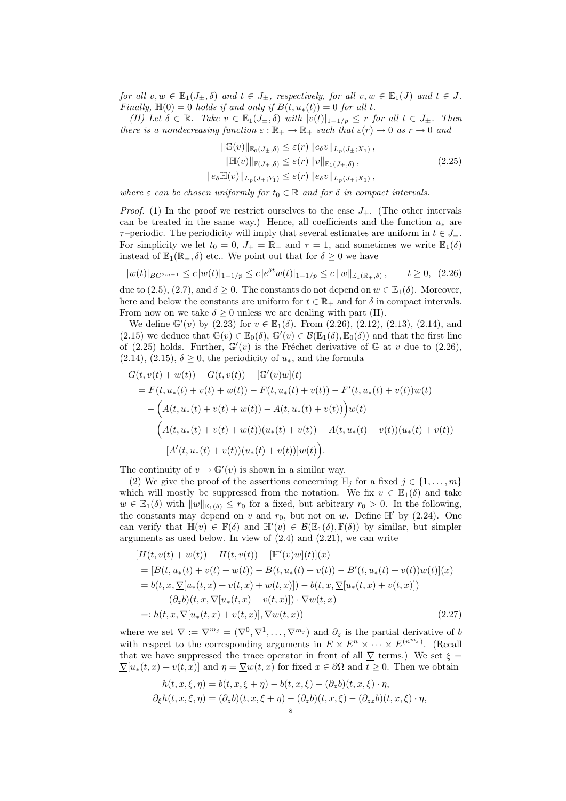for all  $v, w \in \mathbb{E}_1(J_\pm, \delta)$  and  $t \in J_\pm$ , respectively, for all  $v, w \in \mathbb{E}_1(J)$  and  $t \in J$ . Finally,  $\mathbb{H}(0) = 0$  holds if and only if  $B(t, u_*(t)) = 0$  for all t.

(II) Let  $\delta \in \mathbb{R}$ . Take  $v \in \mathbb{E}_1(J_\pm, \delta)$  with  $|v(t)|_{1-1/p} \leq r$  for all  $t \in J_\pm$ . Then there is a nondecreasing function  $\varepsilon : \mathbb{R}_+ \to \mathbb{R}_+$  such that  $\varepsilon(r) \to 0$  as  $r \to 0$  and

$$
\|\mathbb{G}(v)\|_{\mathbb{E}_0(J_\pm,\delta)} \leq \varepsilon(r) \|e_\delta v\|_{L_p(J_\pm;X_1)},
$$
  

$$
\|\mathbb{H}(v)\|_{\mathbb{F}(J_\pm,\delta)} \leq \varepsilon(r) \|v\|_{\mathbb{E}_1(J_\pm,\delta)},
$$
  

$$
\|e_\delta \mathbb{H}(v)\|_{L_p(J_\pm;Y_1)} \leq \varepsilon(r) \|e_\delta v\|_{L_p(J_\pm;X_1)},
$$
\n(2.25)

where  $\varepsilon$  can be chosen uniformly for  $t_0 \in \mathbb{R}$  and for  $\delta$  in compact intervals.

*Proof.* (1) In the proof we restrict ourselves to the case  $J_{+}$ . (The other intervals can be treated in the same way.) Hence, all coefficients and the function  $u_*$  are  $\tau$ –periodic. The periodicity will imply that several estimates are uniform in  $t \in J_+$ . For simplicity we let  $t_0 = 0$ ,  $J_+ = \mathbb{R}_+$  and  $\tau = 1$ , and sometimes we write  $\mathbb{E}_1(\delta)$ instead of  $\mathbb{E}_1(\mathbb{R}_+, \delta)$  etc.. We point out that for  $\delta \geq 0$  we have

$$
|w(t)|_{BC^{2m-1}} \le c |w(t)|_{1-1/p} \le c |e^{\delta t} w(t)|_{1-1/p} \le c ||w||_{\mathbb{E}_1(\mathbb{R}_+, \delta)}, \qquad t \ge 0, \tag{2.26}
$$

due to (2.5), (2.7), and  $\delta \geq 0$ . The constants do not depend on  $w \in \mathbb{E}_1(\delta)$ . Moreover, here and below the constants are uniform for  $t \in \mathbb{R}_+$  and for  $\delta$  in compact intervals. From now on we take  $\delta \geq 0$  unless we are dealing with part (II).

We define  $\mathbb{G}'(v)$  by (2.23) for  $v \in \mathbb{E}_1(\delta)$ . From (2.26), (2.12), (2.13), (2.14), and (2.15) we deduce that  $\mathbb{G}(v) \in \mathbb{E}_0(\delta)$ ,  $\mathbb{G}'(v) \in \mathcal{B}(\mathbb{E}_1(\delta), \mathbb{E}_0(\delta))$  and that the first line of (2.25) holds. Further,  $\mathbb{G}'(v)$  is the Fréchet derivative of G at v due to (2.26), (2.14), (2.15),  $\delta \geq 0$ , the periodicity of  $u_*$ , and the formula

$$
G(t, v(t) + w(t)) - G(t, v(t)) - [\mathbb{G}'(v)w](t)
$$
  
=  $F(t, u_*(t) + v(t) + w(t)) - F(t, u_*(t) + v(t)) - F'(t, u_*(t) + v(t))w(t)$   
 $- (A(t, u_*(t) + v(t) + w(t)) - A(t, u_*(t) + v(t)))w(t)$   
 $- (A(t, u_*(t) + v(t) + w(t))(u_*(t) + v(t)) - A(t, u_*(t) + v(t))(u_*(t) + v(t))$   
 $- [A'(t, u_*(t) + v(t))(u_*(t) + v(t))]w(t).$ 

The continuity of  $v \mapsto \mathbb{G}'(v)$  is shown in a similar way.

(2) We give the proof of the assertions concerning  $\mathbb{H}_j$  for a fixed  $j \in \{1, \ldots, m\}$ which will mostly be suppressed from the notation. We fix  $v \in \mathbb{E}_1(\delta)$  and take  $w \in \mathbb{E}_1(\delta)$  with  $||w||_{\mathbb{E}_1(\delta)} \leq r_0$  for a fixed, but arbitrary  $r_0 > 0$ . In the following, the constants may depend on v and  $r_0$ , but not on w. Define  $\mathbb{H}'$  by (2.24). One can verify that  $\mathbb{H}(v) \in \mathbb{F}(\delta)$  and  $\mathbb{H}'(v) \in \mathcal{B}(\mathbb{E}_1(\delta), \mathbb{F}(\delta))$  by similar, but simpler arguments as used below. In view of  $(2.4)$  and  $(2.21)$ , we can write

$$
-[H(t, v(t) + w(t)) - H(t, v(t)) - [\mathbb{H}'(v)w](t)](x)
$$
  
\n
$$
= [B(t, u_*(t) + v(t) + w(t)) - B(t, u_*(t) + v(t)) - B'(t, u_*(t) + v(t))w(t)](x)
$$
  
\n
$$
= b(t, x, \nabla[u_*(t, x) + v(t, x) + w(t, x)]) - b(t, x, \nabla[u_*(t, x) + v(t, x)])
$$
  
\n
$$
- (\partial_z b)(t, x, \nabla[u_*(t, x) + v(t, x)]) \cdot \nabla w(t, x)
$$
  
\n
$$
=: h(t, x, \nabla[u_*(t, x) + v(t, x)], \nabla w(t, x))
$$
\n(2.27)

where we set  $\underline{\nabla} := \underline{\nabla}^{m_j} = (\nabla^0, \nabla^1, \dots, \nabla^{m_j})$  and  $\partial_z$  is the partial derivative of b with respect to the corresponding arguments in  $E \times E^n \times \cdots \times E^{(n^{m_j})}$ . (Recall that we have suppressed the trace operator in front of all  $\nabla$  terms.) We set  $\xi$  =  $\nabla[u_*(t,x) + v(t,x)]$  and  $\eta = \nabla w(t,x)$  for fixed  $x \in \partial\Omega$  and  $t \geq 0$ . Then we obtain

$$
h(t, x, \xi, \eta) = b(t, x, \xi + \eta) - b(t, x, \xi) - (\partial_z b)(t, x, \xi) \cdot \eta,
$$
  

$$
\partial_{\xi}h(t, x, \xi, \eta) = (\partial_z b)(t, x, \xi + \eta) - (\partial_z b)(t, x, \xi) - (\partial_{zz} b)(t, x, \xi) \cdot \eta,
$$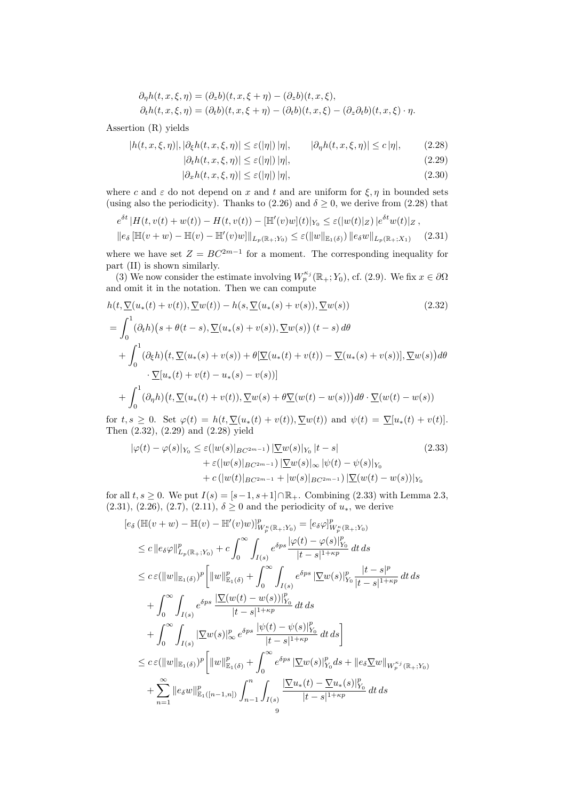$$
\partial_{\eta}h(t, x, \xi, \eta) = (\partial_{z}b)(t, x, \xi + \eta) - (\partial_{z}b)(t, x, \xi),
$$
  
\n
$$
\partial_{t}h(t, x, \xi, \eta) = (\partial_{t}b)(t, x, \xi + \eta) - (\partial_{t}b)(t, x, \xi) - (\partial_{z}\partial_{t}b)(t, x, \xi) \cdot \eta.
$$

Assertion (R) yields

$$
|h(t, x, \xi, \eta)|, |\partial_{\xi}h(t, x, \xi, \eta)| \le \varepsilon(|\eta|) |\eta|, \qquad |\partial_{\eta}h(t, x, \xi, \eta)| \le c |\eta|, \tag{2.28}
$$

$$
|\partial_t h(t, x, \xi, \eta)| \le \varepsilon(|\eta|) |\eta|,\tag{2.29}
$$

$$
|\partial_x h(t, x, \xi, \eta)| \le \varepsilon(|\eta|) |\eta|,\tag{2.30}
$$

where c and  $\varepsilon$  do not depend on x and t and are uniform for  $\xi, \eta$  in bounded sets (using also the periodicity). Thanks to  $(2.26)$  and  $\delta \geq 0$ , we derive from  $(2.28)$  that

$$
e^{\delta t} |H(t, v(t) + w(t)) - H(t, v(t)) - [\mathbb{H}'(v)w](t)|_{Y_0} \le \varepsilon (|w(t)|_Z) |e^{\delta t}w(t)|_Z,
$$
  

$$
||e_{\delta}[\mathbb{H}(v+w) - \mathbb{H}(v) - \mathbb{H}'(v)w]||_{L_p(\mathbb{R}_+;Y_0)} \le \varepsilon (||w||_{\mathbb{E}_1(\delta)}) ||e_{\delta}w||_{L_p(\mathbb{R}_+;X_1)}
$$
(2.31)

where we have set  $Z = BC^{2m-1}$  for a moment. The corresponding inequality for part (II) is shown similarly.

(3) We now consider the estimate involving  $W_p^{\kappa_j}(\mathbb{R}_+; Y_0)$ , cf. (2.9). We fix  $x \in \partial\Omega$ and omit it in the notation. Then we can compute

$$
h(t, \nabla(u_*(t) + v(t)), \nabla w(t)) - h(s, \nabla(u_*(s) + v(s)), \nabla w(s))
$$
\n
$$
= \int_0^1 (\partial_t h)(s + \theta(t - s), \nabla(u_*(s) + v(s)), \nabla w(s)) (t - s) d\theta
$$
\n
$$
+ \int_0^1 (\partial_{\xi} h)(t, \nabla(u_*(s) + v(s)) + \theta[\nabla(u_*(t) + v(t)) - \nabla(u_*(s) + v(s))], \nabla w(s)) d\theta
$$
\n
$$
\cdot \nabla[u_*(t) + v(t) - u_*(s) - v(s))]
$$
\n
$$
+ \int_0^1 (\partial_{\eta} h)(t, \nabla(u_*(t) + v(t)), \nabla w(s) + \theta \nabla(w(t) - w(s))) d\theta \cdot \nabla(w(t) - w(s))
$$
\n(2.32)

for  $t, s \geq 0$ . Set  $\varphi(t) = h(t, \underline{\nabla}(u_*(t) + v(t)), \underline{\nabla}w(t))$  and  $\psi(t) = \underline{\nabla}[u_*(t) + v(t)].$ Then (2.32), (2.29) and (2.28) yield

$$
|\varphi(t) - \varphi(s)|_{Y_0} \le \varepsilon(|w(s)|_{BC^{2m-1}}) |\nabla w(s)|_{Y_0} |t - s|
$$
\n
$$
+ \varepsilon(|w(s)|_{BC^{2m-1}}) |\nabla w(s)|_{\infty} |\psi(t) - \psi(s)|_{Y_0}
$$
\n
$$
+ c(|w(t)|_{BC^{2m-1}} + |w(s)|_{BC^{2m-1}}) |\nabla (w(t) - w(s))|_{Y_0}
$$
\n(2.33)

for all  $t, s \geq 0$ . We put  $I(s) = [s-1, s+1] \cap \mathbb{R}_+$ . Combining (2.33) with Lemma 2.3, (2.31), (2.26), (2.7), (2.11),  $\delta \ge 0$  and the periodicity of  $u_*$ , we derive

$$
[e_{\delta} (\mathbb{H}(v+w) - \mathbb{H}(v) - \mathbb{H}'(v)w)]_{W_{p}^{c}(\mathbb{R}_{+};Y_{0})}^{p} = [e_{\delta}\varphi]_{W_{p}^{c}(\mathbb{R}_{+};Y_{0})}^{p}
$$
  
\n
$$
\leq c ||e_{\delta}\varphi||_{L_{p}(\mathbb{R}_{+};Y_{0})}^{p} + c \int_{0}^{\infty} \int_{I(s)} e^{\delta ps} \frac{|\varphi(t) - \varphi(s)|_{Y_{0}}^{p}}{|t-s|^{1+\kappa p}} dt ds
$$
  
\n
$$
\leq c\varepsilon (||w||_{\mathbb{E}_{1}(\delta)})^{p} \Big[ ||w||_{\mathbb{E}_{1}(\delta)}^{p} + \int_{0}^{\infty} \int_{I(s)} e^{\delta ps} |\nabla w(s)|_{Y_{0}}^{p} \frac{|t-s|^{p}}{|t-s|^{1+\kappa p}} dt ds
$$
  
\n
$$
+ \int_{0}^{\infty} \int_{I(s)} e^{\delta ps} \frac{|\nabla (w(t) - w(s))|_{Y_{0}}^{p}}{|t-s|^{1+\kappa p}} dt ds
$$
  
\n
$$
+ \int_{0}^{\infty} \int_{I(s)} |\nabla w(s)|_{\infty}^{p} e^{\delta ps} \frac{|\psi(t) - \psi(s)|_{Y_{0}}^{p}}{|t-s|^{1+\kappa p}} dt ds \Big]
$$
  
\n
$$
\leq c\varepsilon (||w||_{\mathbb{E}_{1}(\delta)})^{p} \Big[ ||w||_{\mathbb{E}_{1}(\delta)}^{p} + \int_{0}^{\infty} e^{\delta ps} |\nabla w(s)|_{Y_{0}}^{p} ds + ||e_{\delta} \nabla w||_{W_{p}^{\kappa_{j}}(\mathbb{R}_{+};Y_{0})}
$$
  
\n
$$
+ \sum_{n=1}^{\infty} ||e_{\delta}w||_{\mathbb{E}_{1}([n-1,n])}^{p} \int_{n-1}^{n} \int_{I(s)} \frac{|\nabla u_{*}(t) - \nabla u_{*}(s)|_{Y_{0}}^{p}}{|t-s|^{1+\kappa p}} dt ds
$$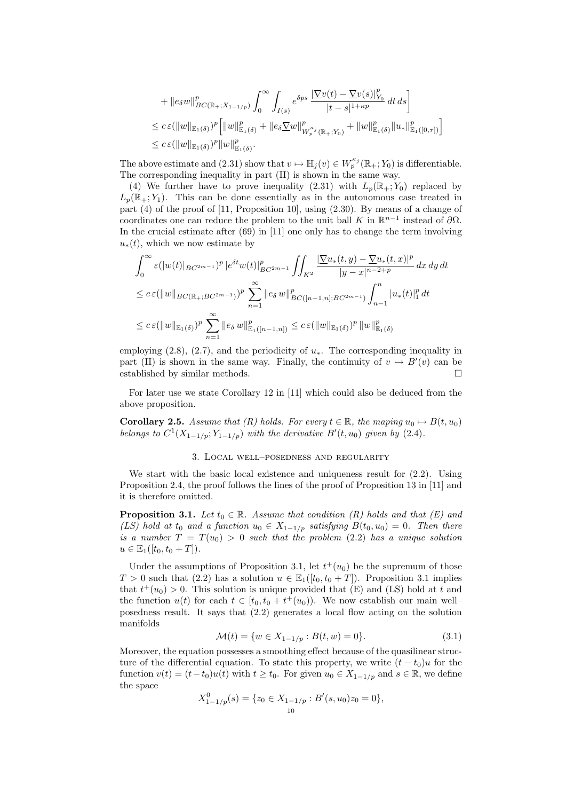+ 
$$
||e_{\delta}w||_{BC(\mathbb{R}_{+};X_{1-1/p})}^p \int_0^\infty \int_{I(s)} e^{\delta ps} \frac{|\nabla v(t) - \nabla v(s)|_{Y_0}^p}{|t-s|^{1+\kappa p}} dt ds
$$
  
\n $\leq c \varepsilon (||w||_{\mathbb{E}_1(\delta)})^p [||w||_{\mathbb{E}_1(\delta)}^p + ||e_{\delta} \nabla w||_{W_p^{\kappa_j}(\mathbb{R}_+;Y_0)}^p + ||w||_{\mathbb{E}_1(\delta)}^p ||u_*||_{\mathbb{E}_1([0,\tau])}^p ]$   
\n $\leq c \varepsilon (||w||_{\mathbb{E}_1(\delta)})^p ||w||_{\mathbb{E}_1(\delta)}^p.$ 

The above estimate and (2.31) show that  $v \mapsto \mathbb{H}_j(v) \in W_p^{\kappa_j}(\mathbb{R}_+; Y_0)$  is differentiable. The corresponding inequality in part (II) is shown in the same way.

(4) We further have to prove inequality (2.31) with  $L_p(\mathbb{R}_+; Y_0)$  replaced by  $L_p(\mathbb{R}_+; Y_1)$ . This can be done essentially as in the autonomous case treated in part (4) of the proof of [11, Proposition 10], using (2.30). By means of a change of coordinates one can reduce the problem to the unit ball K in  $\mathbb{R}^{n-1}$  instead of  $\partial\Omega$ . In the crucial estimate after (69) in [11] one only has to change the term involving  $u_*(t)$ , which we now estimate by

$$
\int_0^{\infty} \varepsilon(|w(t)|_{BC^{2m-1}})^p |e^{\delta t}w(t)|_{BC^{2m-1}}^p \iint_{K^2} \frac{|\nabla u_*(t,y) - \nabla u_*(t,x)|^p}{|y-x|^{n-2+p}} dx dy dt
$$
  
\n
$$
\leq c \varepsilon (||w||_{BC(\mathbb{R}_+;BC^{2m-1})})^p \sum_{n=1}^{\infty} ||e_{\delta} w||_{BC([n-1,n];BC^{2m-1})}^p \int_{n-1}^n |u_*(t)|_1^p dt
$$
  
\n
$$
\leq c \varepsilon (||w||_{\mathbb{E}_1(\delta)})^p \sum_{n=1}^{\infty} ||e_{\delta} w||_{\mathbb{E}_1([n-1,n])}^p \leq c \varepsilon (||w||_{\mathbb{E}_1(\delta)})^p ||w||_{\mathbb{E}_1(\delta)}^p
$$

employing (2.8), (2.7), and the periodicity of  $u_*$ . The corresponding inequality in part (II) is shown in the same way. Finally, the continuity of  $v \mapsto B'(v)$  can be established by similar methods.

For later use we state Corollary 12 in [11] which could also be deduced from the above proposition.

**Corollary 2.5.** Assume that (R) holds. For every  $t \in \mathbb{R}$ , the maping  $u_0 \mapsto B(t, u_0)$ belongs to  $C^1(X_{1-1/p}; Y_{1-1/p})$  with the derivative  $B'(t, u_0)$  given by (2.4).

## 3. Local well–posedness and regularity

We start with the basic local existence and uniqueness result for (2.2). Using Proposition 2.4, the proof follows the lines of the proof of Proposition 13 in [11] and it is therefore omitted.

**Proposition 3.1.** Let  $t_0 \in \mathbb{R}$ . Assume that condition (R) holds and that (E) and (LS) hold at  $t_0$  and a function  $u_0 \in X_{1-1/p}$  satisfying  $B(t_0, u_0) = 0$ . Then there is a number  $T = T(u_0) > 0$  such that the problem (2.2) has a unique solution  $u \in \mathbb{E}_1([t_0, t_0 + T]).$ 

Under the assumptions of Proposition 3.1, let  $t^+(u_0)$  be the supremum of those  $T > 0$  such that (2.2) has a solution  $u \in \mathbb{E}_1([t_0, t_0 + T])$ . Proposition 3.1 implies that  $t^+(u_0) > 0$ . This solution is unique provided that (E) and (LS) hold at t and the function  $u(t)$  for each  $t \in [t_0, t_0 + t^+(u_0))$ . We now establish our main wellposedness result. It says that (2.2) generates a local flow acting on the solution manifolds

$$
\mathcal{M}(t) = \{ w \in X_{1-1/p} : B(t, w) = 0 \}.
$$
\n(3.1)

Moreover, the equation possesses a smoothing effect because of the quasilinear structure of the differential equation. To state this property, we write  $(t - t_0)u$  for the function  $v(t) = (t-t_0)u(t)$  with  $t \geq t_0$ . For given  $u_0 \in X_{1-1/p}$  and  $s \in \mathbb{R}$ , we define the space

$$
X_{1-1/p}^0(s) = \{ z_0 \in X_{1-1/p} : B'(s, u_0)z_0 = 0 \},
$$
  
<sub>10</sub>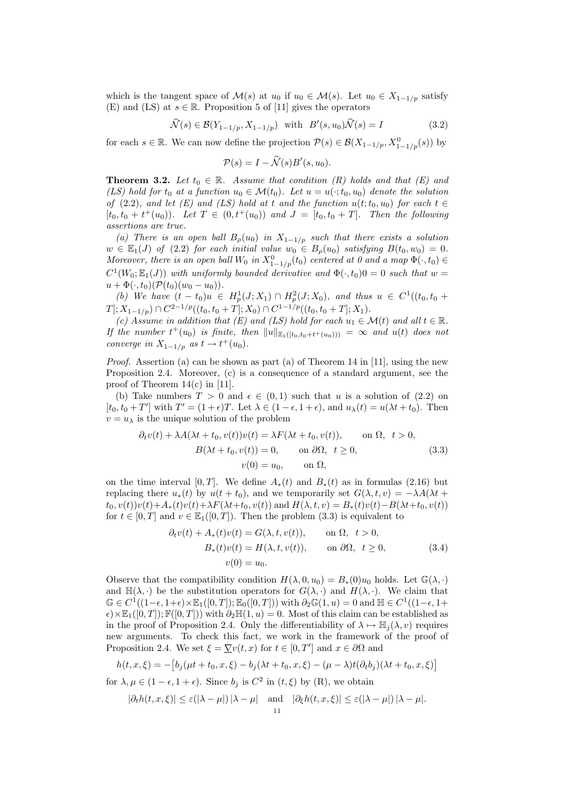which is the tangent space of  $\mathcal{M}(s)$  at  $u_0$  if  $u_0 \in \mathcal{M}(s)$ . Let  $u_0 \in X_{1-1/p}$  satisfy (E) and (LS) at  $s \in \mathbb{R}$ . Proposition 5 of [11] gives the operators

$$
\widehat{\mathcal{N}}(s) \in \mathcal{B}(Y_{1-1/p}, X_{1-1/p}) \quad \text{with} \quad B'(s, u_0)\widehat{\mathcal{N}}(s) = I \tag{3.2}
$$

for each  $s \in \mathbb{R}$ . We can now define the projection  $\mathcal{P}(s) \in \mathcal{B}(X_{1-1/p}, X_{1-1/p}^0(s))$  by

$$
\mathcal{P}(s) = I - \widehat{\mathcal{N}}(s)B'(s, u_0).
$$

**Theorem 3.2.** Let  $t_0 \in \mathbb{R}$ . Assume that condition (R) holds and that (E) and (LS) hold for  $t_0$  at a function  $u_0 \in \mathcal{M}(t_0)$ . Let  $u = u(\cdot; t_0, u_0)$  denote the solution of (2.2), and let (E) and (LS) hold at t and the function  $u(t;t_0, u_0)$  for each  $t \in$  $[t_0, t_0 + t^+(u_0))$ . Let  $T \in (0, t^+(u_0))$  and  $J = [t_0, t_0 + T]$ . Then the following assertions are true.

(a) There is an open ball  $B_{\rho}(u_0)$  in  $X_{1-1/p}$  such that there exists a solution  $w \in \mathbb{E}_1(J)$  of (2.2) for each initial value  $w_0 \in B_\rho(u_0)$  satisfying  $B(t_0, w_0) = 0$ . Moreover, there is an open ball  $W_0$  in  $X_{1-1/p}^0(t_0)$  centered at 0 and a map  $\Phi(\cdot, t_0) \in$  $C^1(W_0; \mathbb{E}_1(J))$  with uniformly bounded derivative and  $\Phi(\cdot, t_0)0 = 0$  such that  $w =$  $u + \Phi(\cdot, t_0)(\mathcal{P}(t_0)(w_0 - u_0)).$ 

(b) We have  $(t - t_0)u \in H_p^1(J; X_1) \cap H_p^2(J; X_0)$ , and thus  $u \in C^1((t_0, t_0 +$  $T]; X_{1-1/p}) \cap C^{2-1/p}((t_0, t_0+T]; X_0) \cap C^{1-1/p}((t_0, t_0+T]; X_1).$ 

(c) Assume in addition that (E) and (LS) hold for each  $u_1 \in \mathcal{M}(t)$  and all  $t \in \mathbb{R}$ . If the number  $t^+(u_0)$  is finite, then  $||u||_{\mathbb{E}_1([t_0,t_0+t^+(u_0)))} = \infty$  and  $u(t)$  does not converge in  $X_{1-1/p}$  as  $t \to t^+(u_0)$ .

*Proof.* Assertion (a) can be shown as part (a) of Theorem 14 in [11], using the new Proposition 2.4. Moreover, (c) is a consequence of a standard argument, see the proof of Theorem 14(c) in [11].

(b) Take numbers  $T > 0$  and  $\epsilon \in (0,1)$  such that u is a solution of  $(2.2)$  on  $[t_0, t_0+T']$  with  $T' = (1+\epsilon)T$ . Let  $\lambda \in (1-\epsilon, 1+\epsilon)$ , and  $u_\lambda(t) = u(\lambda t + t_0)$ . Then  $v = u_{\lambda}$  is the unique solution of the problem

$$
\partial_t v(t) + \lambda A(\lambda t + t_0, v(t))v(t) = \lambda F(\lambda t + t_0, v(t)), \quad \text{on } \Omega, \ t > 0,
$$
  
\n
$$
B(\lambda t + t_0, v(t)) = 0, \quad \text{on } \partial\Omega, \ t \ge 0,
$$
  
\n
$$
v(0) = u_0, \quad \text{on } \Omega,
$$
\n(3.3)

on the time interval [0, T]. We define  $A_*(t)$  and  $B_*(t)$  as in formulas (2.16) but replacing there  $u_*(t)$  by  $u(t + t_0)$ , and we temporarily set  $G(\lambda, t, v) = -\lambda A(\lambda t +$  $t_0, v(t))v(t)+A_*(t)v(t)+\lambda F(\lambda t+t_0, v(t))$  and  $H(\lambda, t, v) = B_*(t)v(t)-B(\lambda t+t_0, v(t))$ for  $t \in [0, T]$  and  $v \in \mathbb{E}_1([0, T])$ . Then the problem  $(3.3)$  is equivalent to

$$
\partial_t v(t) + A_*(t)v(t) = G(\lambda, t, v(t)), \qquad \text{on } \Omega, \quad t > 0,
$$
  
\n
$$
B_*(t)v(t) = H(\lambda, t, v(t)), \qquad \text{on } \partial\Omega, \quad t \ge 0,
$$
  
\n
$$
v(0) = u_0.
$$
\n(3.4)

Observe that the compatibility condition  $H(\lambda, 0, u_0) = B_*(0)u_0$  holds. Let  $\mathbb{G}(\lambda, \cdot)$ and  $\mathbb{H}(\lambda, \cdot)$  be the substitution operators for  $G(\lambda, \cdot)$  and  $H(\lambda, \cdot)$ . We claim that  $\mathbb{G} \in C^1((1-\epsilon, 1+\epsilon) \times \mathbb{E}_1([0,T]); \mathbb{E}_0([0,T]))$  with  $\partial_2 \mathbb{G}(1,u) = 0$  and  $\mathbb{H} \in C^1((1-\epsilon, 1+\epsilon))$  $\epsilon$ )×E<sub>1</sub>([0, T]); F([0, T])) with  $\partial_2\mathbb{H}(1,u) = 0$ . Most of this claim can be established as in the proof of Proposition 2.4. Only the differentiability of  $\lambda \mapsto \mathbb{H}_i(\lambda, v)$  requires new arguments. To check this fact, we work in the framework of the proof of Proposition 2.4. We set  $\xi = \nabla v(t, x)$  for  $t \in [0, T']$  and  $x \in \partial \Omega$  and

$$
h(t, x, \xi) = -[b_j(\mu t + t_0, x, \xi) - b_j(\lambda t + t_0, x, \xi) - (\mu - \lambda)t(\partial_t b_j)(\lambda t + t_0, x, \xi)]
$$
  
for  $\lambda, \mu \in (1 - \epsilon, 1 + \epsilon)$ . Since  $b_j$  is  $C^2$  in  $(t, \xi)$  by  $(R)$ , we obtain

$$
|\partial_t h(t, x, \xi)| \le \varepsilon (|\lambda - \mu|) |\lambda - \mu| \quad \text{and} \quad |\partial_{\xi} h(t, x, \xi)| \le \varepsilon (|\lambda - \mu|) |\lambda - \mu|.
$$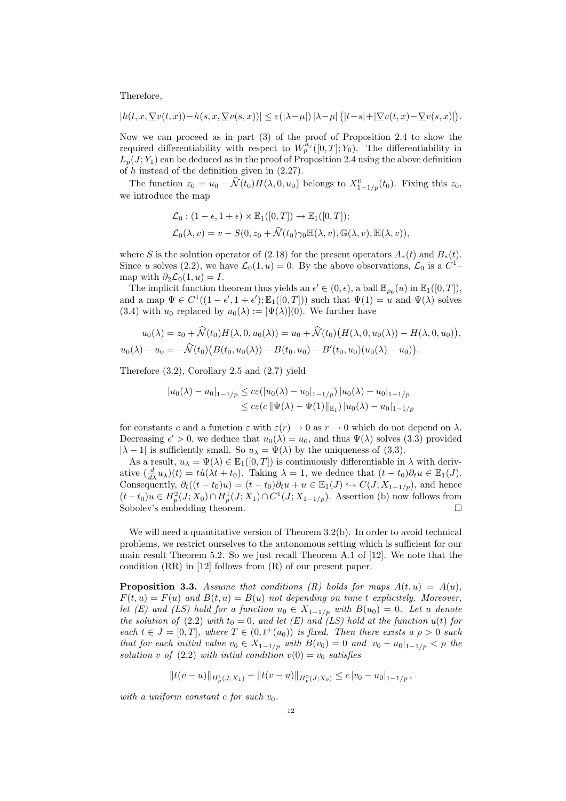Therefore,

$$
|h(t,x,\underline{\nabla} v(t,x))-h(s,x,\underline{\nabla} v(s,x))|\leq \varepsilon(|\lambda-\mu|)\,|\lambda-\mu|\,\big(|t-s|+|\underline{\nabla} v(t,x)-\underline{\nabla} v(s,x)|\big).
$$

Now we can proceed as in part (3) of the proof of Proposition 2.4 to show the required differentiability with respect to  $W_p^{\kappa_j}([0,T]; Y_0)$ . The differentiability in  $L_p(J; Y_1)$  can be deduced as in the proof of Proposition 2.4 using the above definition of h instead of the definition given in (2.27).

The function  $z_0 = u_0 - \hat{N}(t_0)H(\lambda, 0, u_0)$  belongs to  $X_{1-1/p}^0(t_0)$ . Fixing this  $z_0$ , we introduce the map

$$
\mathcal{L}_0: (1 - \epsilon, 1 + \epsilon) \times \mathbb{E}_1([0, T]) \to \mathbb{E}_1([0, T]);
$$
  

$$
\mathcal{L}_0(\lambda, v) = v - S(0, z_0 + \widehat{\mathcal{N}}(t_0) \gamma_0 \mathbb{H}(\lambda, v), \mathbb{G}(\lambda, v), \mathbb{H}(\lambda, v)),
$$

where S is the solution operator of (2.18) for the present operators  $A_*(t)$  and  $B_*(t)$ . Since u solves (2.2), we have  $\mathcal{L}_0(1, u) = 0$ . By the above observations,  $\mathcal{L}_0$  is a  $C^1$ map with  $\partial_2 \mathcal{L}_0(1, u) = I$ .

The implicit function theorem thus yields an  $\epsilon' \in (0, \epsilon)$ , a ball  $\mathbb{B}_{\rho_0}(u)$  in  $\mathbb{E}_1([0, T])$ , and a map  $\Psi \in C^1((1-\epsilon', 1+\epsilon'); \mathbb{E}_1([0,T]))$  such that  $\Psi(1) = u$  and  $\Psi(\lambda)$  solves (3.4) with  $u_0$  replaced by  $u_0(\lambda) := [\Psi(\lambda)](0)$ . We further have

$$
u_0(\lambda) = z_0 + \hat{N}(t_0)H(\lambda, 0, u_0(\lambda)) = u_0 + \hat{N}(t_0)(H(\lambda, 0, u_0(\lambda)) - H(\lambda, 0, u_0)),
$$
  

$$
u_0(\lambda) - u_0 = -\hat{N}(t_0)(B(t_0, u_0(\lambda)) - B(t_0, u_0) - B'(t_0, u_0)(u_0(\lambda) - u_0)).
$$

Therefore (3.2), Corollary 2.5 and (2.7) yield

$$
|u_0(\lambda) - u_0|_{1-1/p} \le c\varepsilon (|u_0(\lambda) - u_0|_{1-1/p}) |u_0(\lambda) - u_0|_{1-1/p}
$$
  

$$
\le c\varepsilon (c ||\Psi(\lambda) - \Psi(1)||_{\mathbb{E}_1}) |u_0(\lambda) - u_0|_{1-1/p}
$$

for constants c and a function  $\varepsilon$  with  $\varepsilon(r) \to 0$  as  $r \to 0$  which do not depend on  $\lambda$ . Decreasing  $\epsilon' > 0$ , we deduce that  $u_0(\lambda) = u_0$ , and thus  $\Psi(\lambda)$  solves (3.3) provided  $|\lambda - 1|$  is sufficiently small. So  $u_{\lambda} = \Psi(\lambda)$  by the uniqueness of (3.3).

As a result,  $u_{\lambda} = \Psi(\lambda) \in \mathbb{E}_1([0,T])$  is continuously differentiable in  $\lambda$  with derivative  $(\frac{d}{d\lambda}u_\lambda)(t) = tu(\lambda t + t_0)$ . Taking  $\lambda = 1$ , we deduce that  $(t - t_0)\partial_t u \in \mathbb{E}_1(J)$ . Consequently,  $\partial_t((t-t_0)u) = (t-t_0)\partial_t u + u \in \mathbb{E}_1(J) \hookrightarrow C(J; X_{1-1/p})$ , and hence  $(t-t_0)u \in H_p^2(J;X_0) \cap H_p^1(J;X_1) \cap C^1(J;X_{1-1/p})$ . Assertion (b) now follows from Sobolev's embedding theorem.

We will need a quantitative version of Theorem  $3.2(b)$ . In order to avoid technical problems, we restrict ourselves to the autonomous setting which is sufficient for our main result Theorem 5.2. So we just recall Theorem A.1 of [12]. We note that the condition (RR) in [12] follows from (R) of our present paper.

**Proposition 3.3.** Assume that conditions (R) holds for maps  $A(t, u) = A(u)$ ,  $F(t, u) = F(u)$  and  $B(t, u) = B(u)$  not depending on time t explicitely. Moreover, let (E) and (LS) hold for a function  $u_0 \in X_{1-1/p}$  with  $B(u_0) = 0$ . Let u denote the solution of (2.2) with  $t_0 = 0$ , and let (E) and (LS) hold at the function  $u(t)$  for each  $t \in J = [0, T]$ , where  $T \in (0, t^+(u_0))$  is fixed. Then there exists a  $\rho > 0$  such that for each initial value  $v_0 \in X_{1-1/p}$  with  $B(v_0) = 0$  and  $|v_0 - u_0|_{1-1/p} < \rho$  the solution v of  $(2.2)$  with intial condition  $v(0) = v_0$  satisfies

$$
||t(v – u)||_{H_p^1(J;X_1)} + ||t(v – u)||_{H_p^2(J;X_0)} \leq c |v_0 – u_0|_{1-1/p},
$$

with a uniform constant c for such  $v_0$ .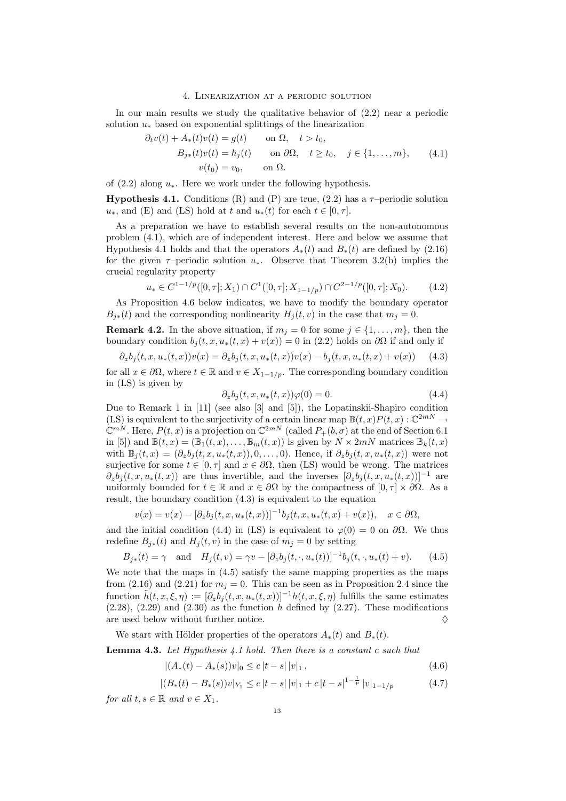#### 4. Linearization at a periodic solution

In our main results we study the qualitative behavior of (2.2) near a periodic solution  $u_*$  based on exponential splittings of the linearization

$$
\partial_t v(t) + A_*(t)v(t) = g(t) \quad \text{on } \Omega, \quad t > t_0,
$$
  
\n
$$
B_{j*}(t)v(t) = h_j(t) \quad \text{on } \partial\Omega, \quad t \ge t_0, \quad j \in \{1, ..., m\}, \quad (4.1)
$$
  
\n
$$
v(t_0) = v_0, \quad \text{on } \Omega.
$$

of  $(2.2)$  along  $u_*$ . Here we work under the following hypothesis.

**Hypothesis 4.1.** Conditions (R) and (P) are true, (2.2) has a  $\tau$ -periodic solution  $u_*,$  and (E) and (LS) hold at t and  $u_*(t)$  for each  $t \in [0, \tau]$ .

As a preparation we have to establish several results on the non-autonomous problem (4.1), which are of independent interest. Here and below we assume that Hypothesis 4.1 holds and that the operators  $A_*(t)$  and  $B_*(t)$  are defined by (2.16) for the given  $\tau$ –periodic solution  $u_*$ . Observe that Theorem 3.2(b) implies the crucial regularity property

$$
u_* \in C^{1-1/p}([0,\tau];X_1) \cap C^1([0,\tau];X_{1-1/p}) \cap C^{2-1/p}([0,\tau];X_0). \tag{4.2}
$$

As Proposition 4.6 below indicates, we have to modify the boundary operator  $B_{j*}(t)$  and the corresponding nonlinearity  $H_j(t, v)$  in the case that  $m_j = 0$ .

**Remark 4.2.** In the above situation, if  $m_j = 0$  for some  $j \in \{1, \ldots, m\}$ , then the boundary condition  $b_j(t, x, u_*(t, x) + v(x)) = 0$  in (2.2) holds on  $\partial\Omega$  if and only if

$$
\partial_z b_j(t, x, u_*(t, x))v(x) = \partial_z b_j(t, x, u_*(t, x))v(x) - b_j(t, x, u_*(t, x) + v(x)) \tag{4.3}
$$

for all  $x \in \partial\Omega$ , where  $t \in \mathbb{R}$  and  $v \in X_{1-1/p}$ . The corresponding boundary condition in (LS) is given by

$$
\partial_z b_j(t, x, u_*(t, x))\varphi(0) = 0. \tag{4.4}
$$

Due to Remark 1 in [11] (see also [3] and [5]), the Lopatinskii-Shapiro condition (LS) is equivalent to the surjectivity of a certain linear map  $\mathbb{B}(t,x)P(t,x): \mathbb{C}^{2mN} \to$  $\mathbb{C}^{mN}$ . Here,  $P(t, x)$  is a projection on  $\mathbb{C}^{2mN}$  (called  $P_+(b, \sigma)$  at the end of Section 6.1 in [5]) and  $\mathbb{B}(t, x) = (\mathbb{B}_1(t, x), \dots, \mathbb{B}_m(t, x))$  is given by  $N \times 2mN$  matrices  $\mathbb{B}_k(t, x)$ with  $\mathbb{B}_j(t,x) = (\partial_z b_j(t,x,u_*(t,x)), 0, \ldots, 0)$ . Hence, if  $\partial_z b_i(t,x,u_*(t,x))$  were not surjective for some  $t \in [0, \tau]$  and  $x \in \partial\Omega$ , then (LS) would be wrong. The matrices  $\partial_z b_i(t, x, u_*(t, x))$  are thus invertible, and the inverses  $[\partial_z b_i(t, x, u_*(t, x))]^{-1}$  are uniformly bounded for  $t \in \mathbb{R}$  and  $x \in \partial\Omega$  by the compactness of  $[0, \tau] \times \partial\Omega$ . As a result, the boundary condition (4.3) is equivalent to the equation

$$
v(x) = v(x) - [\partial_z b_j(t, x, u_*(t, x))]^{-1} b_j(t, x, u_*(t, x) + v(x)), \quad x \in \partial\Omega,
$$

and the initial condition (4.4) in (LS) is equivalent to  $\varphi(0) = 0$  on  $\partial\Omega$ . We thus redefine  $B_{i*}(t)$  and  $H_i(t, v)$  in the case of  $m_i = 0$  by setting

$$
B_{j*}(t) = \gamma
$$
 and  $H_j(t, v) = \gamma v - [\partial_z b_j(t, \cdot, u_*(t))]^{-1} b_j(t, \cdot, u_*(t) + v).$  (4.5)

We note that the maps in (4.5) satisfy the same mapping properties as the maps from (2.16) and (2.21) for  $m_i = 0$ . This can be seen as in Proposition 2.4 since the function  $\tilde{h}(t, x, \xi, \eta) := [\partial_z b_i(t, x, u_*(t, x))]^{-1} h(t, x, \xi, \eta)$  fulfills the same estimates  $(2.28)$ ,  $(2.29)$  and  $(2.30)$  as the function h defined by  $(2.27)$ . These modifications are used below without further notice.  $\Diamond$ 

We start with Hölder properties of the operators  $A_*(t)$  and  $B_*(t)$ .

Lemma 4.3. Let Hypothesis 4.1 hold. Then there is a constant c such that

$$
|(A_*(t) - A_*(s))v|_0 \le c |t - s| |v|_1,
$$
\n(4.6)

$$
|(B_*(t) - B_*(s))v|_{Y_1} \le c |t - s| |v|_1 + c |t - s|^{1 - \frac{1}{p}} |v|_{1 - 1/p}
$$
\n
$$
(4.7)
$$

for all  $t, s \in \mathbb{R}$  and  $v \in X_1$ .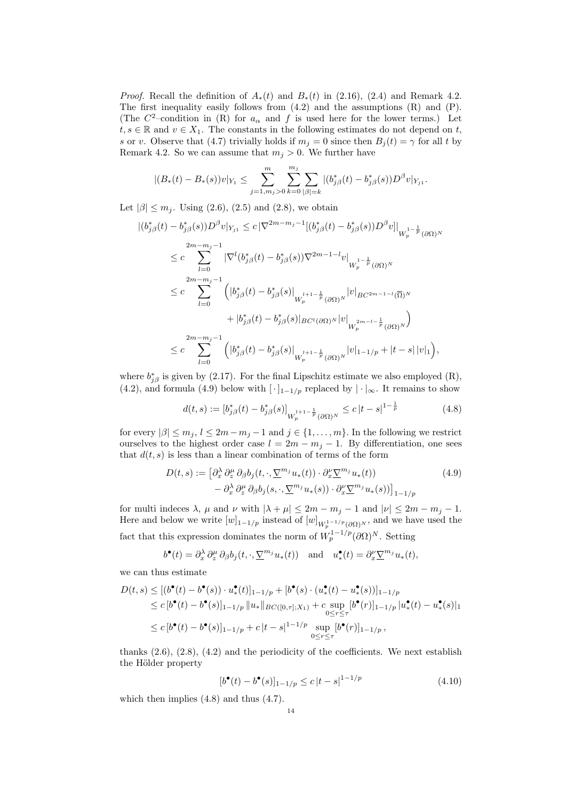*Proof.* Recall the definition of  $A_*(t)$  and  $B_*(t)$  in (2.16), (2.4) and Remark 4.2. The first inequality easily follows from (4.2) and the assumptions (R) and (P). (The  $C^2$ -condition in (R) for  $a_{\alpha}$  and f is used here for the lower terms.) Let  $t, s \in \mathbb{R}$  and  $v \in X_1$ . The constants in the following estimates do not depend on t, s or v. Observe that (4.7) trivially holds if  $m_j = 0$  since then  $B_i(t) = \gamma$  for all t by Remark 4.2. So we can assume that  $m_j > 0$ . We further have

$$
|(B_*(t)-B_*(s))v|_{Y_1}\leq \sum_{j=1,m_j>0}^m\sum_{k=0}^{m_j}\sum_{|\beta|=k}|(b_{j\beta}^*(t)-b_{j\beta}^*(s))D^{\beta}v|_{Y_{j1}}.
$$

Let  $|\beta| \le m_j$ . Using (2.6), (2.5) and (2.8), we obtain

$$
\begin{split} |(b_{j\beta}^{*}(t)-b_{j\beta}^{*}(s))D^{\beta}v|_{Y_{j1}}&\leq c\left|\nabla^{2m-m_{j}-1}\left[(b_{j\beta}^{*}(t)-b_{j\beta}^{*}(s))D^{\beta}v\right]\right|_{W_{p}^{1-\frac{1}{p}}(\partial\Omega)^{N}}\\ &\leq c\sum_{l=0}^{2m-m_{j}-1}\left|\nabla^{l}(b_{j\beta}^{*}(t)-b_{j\beta}^{*}(s))\nabla^{2m-1-l}v\right|_{W_{p}^{1-\frac{1}{p}}(\partial\Omega)^{N}}\\ &\leq c\sum_{l=0}^{2m-m_{j}-1}\left(\left|b_{j\beta}^{*}(t)-b_{j\beta}^{*}(s)\right|_{W_{p}^{l+1-\frac{1}{p}}(\partial\Omega)^{N}}|v|_{BC^{2m-1-l}(\overline{\Omega})^{N}}\\ &\quad+|b_{j\beta}^{*}(t)-b_{j\beta}^{*}(s)\right|_{BC^{l}(\partial\Omega)^{N}}|v|_{W_{p}^{2m-l-\frac{1}{p}}(\partial\Omega)^{N}}\right)\\ &\leq c\sum_{l=0}^{2m-m_{j}-1}\left(|b_{j\beta}^{*}(t)-b_{j\beta}^{*}(s)\right|_{W_{p}^{l+1-\frac{1}{p}}(\partial\Omega)^{N}}|v|_{1-1/p}+|t-s|\left|v\right|_{1}\right),\end{split}
$$

where  $b_{j\beta}^*$  is given by (2.17). For the final Lipschitz estimate we also employed (R), (4.2), and formula (4.9) below with  $[\cdot]_{1-1/p}$  replaced by  $|\cdot|_{\infty}$ . It remains to show

$$
d(t,s) := [b_{j\beta}^*(t) - b_{j\beta}^*(s)]_{W_p^{l+1-\frac{1}{p}}(\partial\Omega)^N} \le c|t-s|^{1-\frac{1}{p}} \tag{4.8}
$$

for every  $|\beta| \leq m_j$ ,  $l \leq 2m-m_j-1$  and  $j \in \{1,\ldots,m\}$ . In the following we restrict ourselves to the highest order case  $l = 2m - m_j - 1$ . By differentiation, one sees that  $d(t, s)$  is less than a linear combination of terms of the form

$$
D(t,s) := \left[\partial_x^{\lambda} \partial_z^{\mu} \partial_{\beta} b_j(t,\cdot,\nabla_j^{m_j} u_*(t)) \cdot \partial_x^{\nu} \nabla_j^{m_j} u_*(t)\right] - \partial_x^{\lambda} \partial_z^{\mu} \partial_{\beta} b_j(s,\cdot,\nabla_j^{m_j} u_*(s)) \cdot \partial_x^{\nu} \nabla_j^{m_j} u_*(s))\Big]_{1-1/p}
$$
(4.9)

for multi indeces  $\lambda$ ,  $\mu$  and  $\nu$  with  $|\lambda + \mu| \leq 2m - m_j - 1$  and  $|\nu| \leq 2m - m_j - 1$ . Here and below we write  $[w]_{1-1/p}$  instead of  $[w]_{W_p^{1-1/p}(\partial\Omega)^N}$ , and we have used the fact that this expression dominates the norm of  $W_p^{1-1/p}(\partial\Omega)^N$ . Setting

$$
b^{\bullet}(t) = \partial_x^{\lambda} \partial_z^{\mu} \partial_{\beta} b_j(t, \cdot, \underline{\nabla}^{m_j} u_*(t)) \text{ and } u^{\bullet}_*(t) = \partial_x^{\nu} \underline{\nabla}^{m_j} u_*(t),
$$

we can thus estimate

$$
D(t,s) \leq [(b^{\bullet}(t) - b^{\bullet}(s)) \cdot u^{\bullet}_{*}(t)]_{1-1/p} + [b^{\bullet}(s) \cdot (u^{\bullet}_{*}(t) - u^{\bullet}_{*}(s))]_{1-1/p}
$$
  
\n
$$
\leq c [b^{\bullet}(t) - b^{\bullet}(s)]_{1-1/p} ||u_{*}||_{BC([0,\tau];X_{1})} + c \sup_{0 \leq r \leq \tau} [b^{\bullet}(r)]_{1-1/p} ||u^{\bullet}_{*}(t) - u^{\bullet}_{*}(s)||_{1}
$$
  
\n
$$
\leq c [b^{\bullet}(t) - b^{\bullet}(s)]_{1-1/p} + c |t - s|^{1-1/p} \sup_{0 \leq r \leq \tau} [b^{\bullet}(r)]_{1-1/p},
$$

thanks  $(2.6)$ ,  $(2.8)$ ,  $(4.2)$  and the periodicity of the coefficients. We next establish the Hölder property

$$
[b^{\bullet}(t) - b^{\bullet}(s)]_{1-1/p} \le c |t - s|^{1-1/p}
$$
\n(4.10)

which then implies (4.8) and thus (4.7).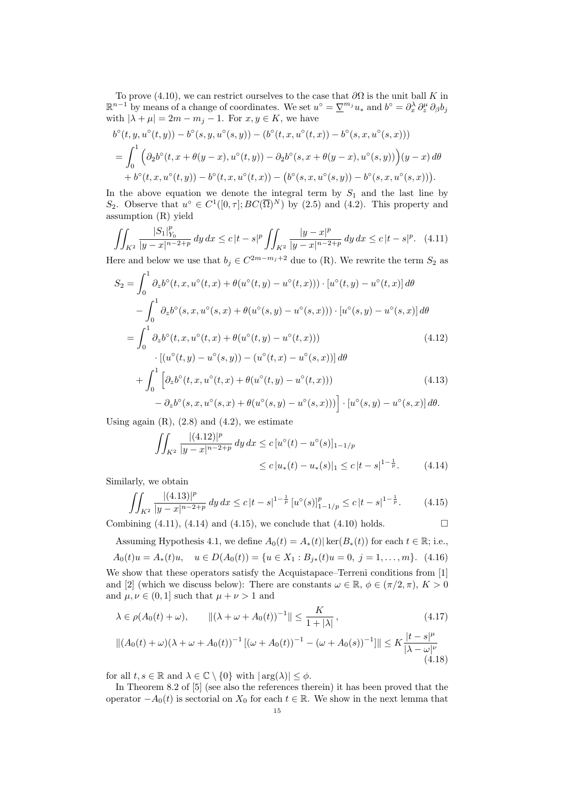To prove (4.10), we can restrict ourselves to the case that  $\partial\Omega$  is the unit ball K in  $\mathbb{R}^{n-1}$  by means of a change of coordinates. We set  $u^{\circ} = \underline{\nabla}^{m_j} u_*$  and  $b^{\circ} = \partial_x^{\lambda} \partial_z^{\mu} \partial_{\beta} b_j$ with  $|\lambda + \mu| = 2m - m_j - 1$ . For  $x, y \in K$ , we have

$$
b^{\circ}(t, y, u^{\circ}(t, y)) - b^{\circ}(s, y, u^{\circ}(s, y)) - (b^{\circ}(t, x, u^{\circ}(t, x)) - b^{\circ}(s, x, u^{\circ}(s, x)))
$$
  
= 
$$
\int_0^1 \left( \partial_2 b^{\circ}(t, x + \theta(y - x), u^{\circ}(t, y)) - \partial_2 b^{\circ}(s, x + \theta(y - x), u^{\circ}(s, y)) \right) (y - x) d\theta
$$
  
+ 
$$
b^{\circ}(t, x, u^{\circ}(t, y)) - b^{\circ}(t, x, u^{\circ}(t, x)) - (b^{\circ}(s, x, u^{\circ}(s, y)) - b^{\circ}(s, x, u^{\circ}(s, x))).
$$

In the above equation we denote the integral term by  $S_1$  and the last line by S<sub>2</sub>. Observe that  $u^{\circ} \in C^{1}([0,\tau]; BC(\overline{\Omega})^{N})$  by (2.5) and (4.2). This property and assumption (R) yield

$$
\iint_{K^2} \frac{|S_1|_{Y_0}^p}{|y - x|^{n-2+p}} dy dx \le c |t - s|^p \iint_{K^2} \frac{|y - x|^p}{|y - x|^{n-2+p}} dy dx \le c |t - s|^p. \tag{4.11}
$$

Here and below we use that  $b_j \in C^{2m-m_j+2}$  due to (R). We rewrite the term  $S_2$  as

$$
S_2 = \int_0^1 \partial_z b^\circ(t, x, u^\circ(t, x) + \theta(u^\circ(t, y) - u^\circ(t, x))) \cdot [u^\circ(t, y) - u^\circ(t, x)] d\theta
$$
  

$$
- \int_0^1 \partial_z b^\circ(s, x, u^\circ(s, x) + \theta(u^\circ(s, y) - u^\circ(s, x))) \cdot [u^\circ(s, y) - u^\circ(s, x)] d\theta
$$
  

$$
= \int_0^1 \partial_z b^\circ(t, x, u^\circ(t, x) + \theta(u^\circ(t, y) - u^\circ(t, x))) \qquad (4.12)
$$

$$
\cdot \left[ (u^{\circ}(t, y) - u^{\circ}(s, y)) - (u^{\circ}(t, x) - u^{\circ}(s, x)) \right] d\theta
$$
  
+ 
$$
\int_0^1 \left[ \partial_z b^{\circ}(t, x, u^{\circ}(t, x) + \theta(u^{\circ}(t, y) - u^{\circ}(t, x))) \right] ds
$$
  
2.2<sup>8</sup>(t, x, u<sup>8</sup>(t, x)) +  $\theta(u^{\circ}(t, y) - u^{\circ}(t, x)))$  [1.8<sup>8</sup>(t, x)] d\theta

$$
- \partial_z b^{\circ}(s, x, u^{\circ}(s, x) + \theta(u^{\circ}(s, y) - u^{\circ}(s, x))) \Big] \cdot [u^{\circ}(s, y) - u^{\circ}(s, x)] d\theta.
$$

Using again  $(R)$ ,  $(2.8)$  and  $(4.2)$ , we estimate

$$
\iint_{K^2} \frac{|(4.12)|^p}{|y - x|^{n - 2 + p}} dy dx \le c [u^{\circ}(t) - u^{\circ}(s)]_{1 - 1/p}
$$
  

$$
\le c |u_*(t) - u_*(s)|_1 \le c |t - s|^{1 - \frac{1}{p}}.
$$
 (4.14)

Similarly, we obtain

$$
\iint_{K^2} \frac{|(4.13)|^p}{|y-x|^{n-2+p}} \, dy \, dx \le c \, |t-s|^{1-\frac{1}{p}} \left[ u^\circ(s) \right]_{1-1/p}^p \le c \, |t-s|^{1-\frac{1}{p}}. \tag{4.15}
$$

Combining  $(4.11)$ ,  $(4.14)$  and  $(4.15)$ , we conclude that  $(4.10)$  holds.

Assuming Hypothesis 4.1, we define  $A_0(t) = A_*(t) |\ker(B_*(t))|$  for each  $t \in \mathbb{R}$ ; i.e.,  $A_0(t)u = A_*(t)u, \quad u \in D(A_0(t)) = \{u \in X_1 : B_{i*}(t)u = 0, \ i = 1, \ldots, m\}.$  (4.16)

We show that these operators satisfy the Acquistapace–Terreni conditions from [1] and [2] (which we discuss below): There are constants  $\omega \in \mathbb{R}, \phi \in (\pi/2, \pi), K > 0$ and  $\mu, \nu \in (0, 1]$  such that  $\mu + \nu > 1$  and

$$
\lambda \in \rho(A_0(t) + \omega), \qquad \left\| (\lambda + \omega + A_0(t))^{-1} \right\| \le \frac{K}{1 + |\lambda|}, \tag{4.17}
$$

$$
||(A_0(t) + \omega)(\lambda + \omega + A_0(t))^{-1} [(\omega + A_0(t))^{-1} - (\omega + A_0(s))^{-1}]|| \leq K \frac{|t - s|^{\mu}}{|\lambda - \omega|^{\nu}}
$$
(4.18)

for all  $t, s \in \mathbb{R}$  and  $\lambda \in \mathbb{C} \setminus \{0\}$  with  $|\arg(\lambda)| \leq \phi$ .

In Theorem 8.2 of [5] (see also the references therein) it has been proved that the operator  $-A_0(t)$  is sectorial on  $X_0$  for each  $t \in \mathbb{R}$ . We show in the next lemma that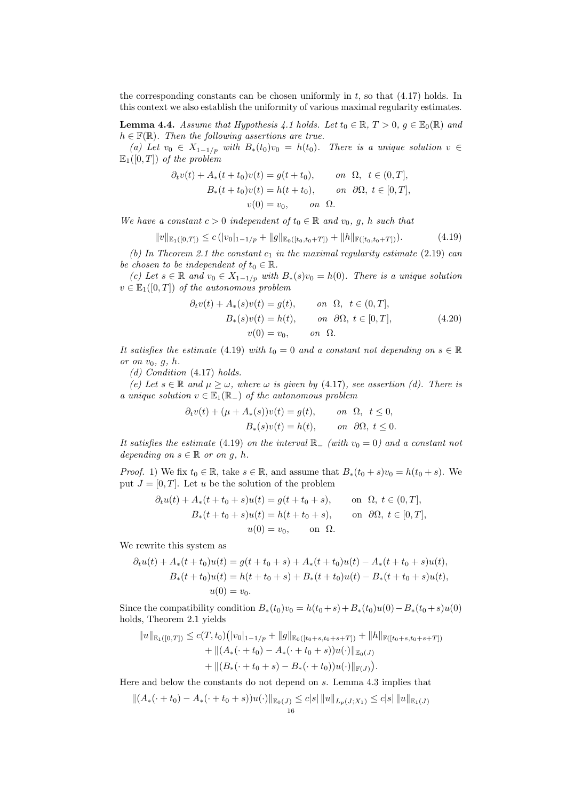the corresponding constants can be chosen uniformly in  $t$ , so that  $(4.17)$  holds. In this context we also establish the uniformity of various maximal regularity estimates.

**Lemma 4.4.** Assume that Hypothesis 4.1 holds. Let  $t_0 \in \mathbb{R}, T > 0, g \in \mathbb{E}_0(\mathbb{R})$  and  $h \in \mathbb{F}(\mathbb{R})$ . Then the following assertions are true.

(a) Let  $v_0 \in X_{1-1/p}$  with  $B_*(t_0)v_0 = h(t_0)$ . There is a unique solution  $v \in$  $\mathbb{E}_1([0,T])$  of the problem

$$
\partial_t v(t) + A_*(t + t_0)v(t) = g(t + t_0), \qquad on \ \Omega, \ t \in (0, T],
$$
  
\n
$$
B_*(t + t_0)v(t) = h(t + t_0), \qquad on \ \partial\Omega, \ t \in [0, T],
$$
  
\n
$$
v(0) = v_0, \qquad on \ \Omega.
$$

We have a constant  $c > 0$  independent of  $t_0 \in \mathbb{R}$  and  $v_0$ , g, h such that

$$
||v||_{\mathbb{E}_1([0,T])} \le c (|v_0|_{1-1/p} + ||g||_{\mathbb{E}_0([t_0,t_0+T])} + ||h||_{\mathbb{F}([t_0,t_0+T])}). \tag{4.19}
$$

(b) In Theorem 2.1 the constant  $c_1$  in the maximal regularity estimate (2.19) can be chosen to be independent of  $t_0 \in \mathbb{R}$ .

(c) Let  $s \in \mathbb{R}$  and  $v_0 \in X_{1-1/p}$  with  $B_*(s)v_0 = h(0)$ . There is a unique solution  $v \in \mathbb{E}_1([0,T])$  of the autonomous problem

$$
\partial_t v(t) + A_*(s)v(t) = g(t), \qquad on \ \Omega, \ t \in (0, T],
$$
  
\n
$$
B_*(s)v(t) = h(t), \qquad on \ \partial\Omega, \ t \in [0, T],
$$
  
\n
$$
v(0) = v_0, \qquad on \ \Omega.
$$
\n(4.20)

It satisfies the estimate (4.19) with  $t_0 = 0$  and a constant not depending on  $s \in \mathbb{R}$ or on  $v_0$ ,  $g$ ,  $h$ .

(d) Condition (4.17) holds.

(e) Let  $s \in \mathbb{R}$  and  $\mu \geq \omega$ , where  $\omega$  is given by (4.17), see assertion (d). There is a unique solution  $v \in \mathbb{E}_1(\mathbb{R}_-)$  of the autonomous problem

$$
\partial_t v(t) + (\mu + A_*(s))v(t) = g(t), \qquad on \ \Omega, \ t \le 0,
$$
  

$$
B_*(s)v(t) = h(t), \qquad on \ \partial\Omega, \ t \le 0.
$$

It satisfies the estimate (4.19) on the interval  $\mathbb{R}_{-}$  (with  $v_0 = 0$ ) and a constant not depending on  $s \in \mathbb{R}$  or on g, h.

*Proof.* 1) We fix  $t_0 \in \mathbb{R}$ , take  $s \in \mathbb{R}$ , and assume that  $B_*(t_0 + s)v_0 = h(t_0 + s)$ . We put  $J = [0, T]$ . Let u be the solution of the problem

$$
\partial_t u(t) + A_*(t + t_0 + s)u(t) = g(t + t_0 + s), \quad \text{on } \Omega, t \in (0, T],
$$
  
\n
$$
B_*(t + t_0 + s)u(t) = h(t + t_0 + s), \quad \text{on } \partial\Omega, t \in [0, T],
$$
  
\n
$$
u(0) = v_0, \quad \text{on } \Omega.
$$

We rewrite this system as

$$
\partial_t u(t) + A_*(t + t_0)u(t) = g(t + t_0 + s) + A_*(t + t_0)u(t) - A_*(t + t_0 + s)u(t),
$$
  
\n
$$
B_*(t + t_0)u(t) = h(t + t_0 + s) + B_*(t + t_0)u(t) - B_*(t + t_0 + s)u(t),
$$
  
\n
$$
u(0) = v_0.
$$

Since the compatibility condition  $B_*(t_0)v_0 = h(t_0 + s) + B_*(t_0)u(0) - B_*(t_0 + s)u(0)$ holds, Theorem 2.1 yields

$$
||u||_{\mathbb{E}_1([0,T])} \leq c(T,t_0) (|v_0|_{1-1/p} + ||g||_{\mathbb{E}_0([t_0+s,t_0+s+T])} + ||h||_{\mathbb{F}([t_0+s,t_0+s+T])}
$$
  
+ 
$$
||(A_*(\cdot + t_0) - A_*(\cdot + t_0+s))u(\cdot)||_{\mathbb{E}_0(J)}
$$
  
+ 
$$
||(B_*(\cdot + t_0+s) - B_*(\cdot + t_0))u(\cdot)||_{\mathbb{F}(J)}).
$$

Here and below the constants do not depend on s. Lemma 4.3 implies that

$$
\|(A_*(\cdot+t_0)-A_*(\cdot+t_0+s))u(\cdot)\|_{\mathbb{E}_0(J)} \leq c|s| \|u\|_{L_p(J;X_1)} \leq c|s| \|u\|_{\mathbb{E}_1(J)}
$$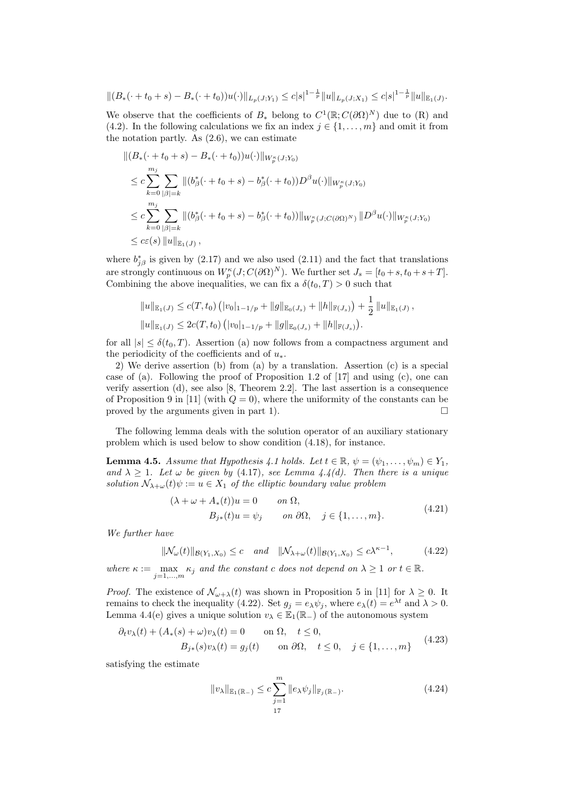$$
||(B_{*}(\cdot+t_{0}+s)-B_{*}(\cdot+t_{0}))u(\cdot)||_{L_{p}(J;Y_{1})}\leq c|s|^{1-\frac{1}{p}}||u||_{L_{p}(J;X_{1})}\leq c|s|^{1-\frac{1}{p}}||u||_{\mathbb{E}_{1}(J)}.
$$

We observe that the coefficients of  $B_*$  belong to  $C^1(\mathbb{R}; C(\partial \Omega)^N)$  due to  $(\mathbb{R})$  and (4.2). In the following calculations we fix an index  $j \in \{1, \ldots, m\}$  and omit it from the notation partly. As (2.6), we can estimate

$$
\begin{split} &\|(B_*(\cdot+t_0+s)-B_*(\cdot+t_0))u(\cdot)\|_{W_p^\kappa(J;Y_0)}\\ &\leq c\sum_{k=0}^{m_j}\sum_{|\beta|=k}\|(b_\beta^*(\cdot+t_0+s)-b_\beta^*(\cdot+t_0))D^\beta u(\cdot)\|_{W_p^\kappa(J;Y_0)}\\ &\leq c\sum_{k=0}^{m_j}\sum_{|\beta|=k}\|(b_\beta^*(\cdot+t_0+s)-b_\beta^*(\cdot+t_0))\|_{W_p^\kappa(J;C(\partial\Omega)^N)}\|D^\beta u(\cdot)\|_{W_p^\kappa(J;Y_0)}\\ &\leq c\varepsilon(s)\|u\|_{\mathbb{E}_1(J)}, \end{split}
$$

where  $b_{j\beta}^*$  is given by (2.17) and we also used (2.11) and the fact that translations are strongly continuous on  $W_p^{\kappa}(J; C(\partial \Omega)^N)$ . We further set  $J_s = [t_0 + s, t_0 + s + T]$ . Combining the above inequalities, we can fix a  $\delta(t_0, T) > 0$  such that

$$
||u||_{\mathbb{E}_1(J)} \le c(T, t_0) (|v_0|_{1-1/p} + ||g||_{\mathbb{E}_0(J_s)} + ||h||_{\mathbb{F}(J_s)}) + \frac{1}{2} ||u||_{\mathbb{E}_1(J)},
$$
  

$$
||u||_{\mathbb{E}_1(J)} \le 2c(T, t_0) (|v_0|_{1-1/p} + ||g||_{\mathbb{E}_0(J_s)} + ||h||_{\mathbb{F}(J_s)}).
$$

for all  $|s| \leq \delta(t_0, T)$ . Assertion (a) now follows from a compactness argument and the periodicity of the coefficients and of  $u_*$ .

2) We derive assertion (b) from (a) by a translation. Assertion (c) is a special case of (a). Following the proof of Proposition 1.2 of [17] and using (c), one can verify assertion (d), see also [8, Theorem 2.2]. The last assertion is a consequence of Proposition 9 in [11] (with  $Q = 0$ ), where the uniformity of the constants can be proved by the arguments given in part 1).  $\Box$ 

The following lemma deals with the solution operator of an auxiliary stationary problem which is used below to show condition (4.18), for instance.

**Lemma 4.5.** Assume that Hypothesis 4.1 holds. Let  $t \in \mathbb{R}$ ,  $\psi = (\psi_1, \dots, \psi_m) \in Y_1$ , and  $\lambda \geq 1$ . Let  $\omega$  be given by (4.17), see Lemma 4.4(d). Then there is a unique solution  $\mathcal{N}_{\lambda+\omega}(t)\psi := u \in X_1$  of the elliptic boundary value problem

$$
(\lambda + \omega + A_*(t))u = 0 \qquad on \ \Omega,
$$
  
\n
$$
B_{j*}(t)u = \psi_j \qquad on \ \partial\Omega, \quad j \in \{1, ..., m\}.
$$
\n(4.21)

We further have

$$
\|\mathcal{N}_{\omega}(t)\|_{\mathcal{B}(Y_1, X_0)} \le c \quad \text{and} \quad \|\mathcal{N}_{\lambda+\omega}(t)\|_{\mathcal{B}(Y_1, X_0)} \le c\lambda^{\kappa-1},\tag{4.22}
$$

where  $\kappa := \max_{j=1,\dots,m} \kappa_j$  and the constant c does not depend on  $\lambda \geq 1$  or  $t \in \mathbb{R}$ .

*Proof.* The existence of  $\mathcal{N}_{\omega+\lambda}(t)$  was shown in Proposition 5 in [11] for  $\lambda \geq 0$ . It remains to check the inequality (4.22). Set  $g_j = e_\lambda \psi_j$ , where  $e_\lambda(t) = e^{\lambda t}$  and  $\lambda > 0$ . Lemma 4.4(e) gives a unique solution  $v_{\lambda} \in \mathbb{E}_1(\mathbb{R}_-)$  of the autonomous system

$$
\partial_t v_{\lambda}(t) + (A_*(s) + \omega) v_{\lambda}(t) = 0 \quad \text{on } \Omega, \quad t \le 0,
$$
  
\n
$$
B_{j*}(s) v_{\lambda}(t) = g_j(t) \quad \text{on } \partial\Omega, \quad t \le 0, \quad j \in \{1, ..., m\}
$$
 (4.23)

satisfying the estimate

$$
||v_{\lambda}||_{\mathbb{E}_{1}(\mathbb{R}_{-})} \leq c \sum_{j=1}^{m} ||e_{\lambda} \psi_{j}||_{\mathbb{F}_{j}(\mathbb{R}_{-})}.
$$
\n(4.24)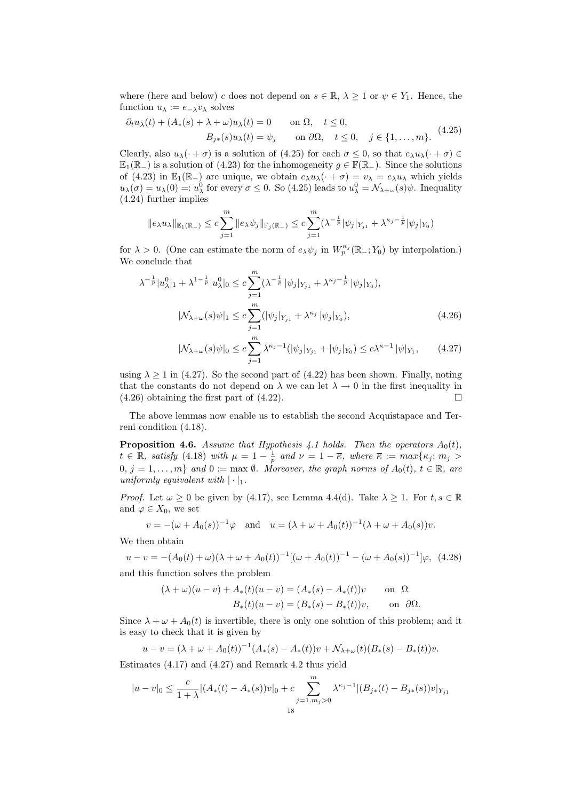where (here and below) c does not depend on  $s \in \mathbb{R}$ ,  $\lambda \geq 1$  or  $\psi \in Y_1$ . Hence, the function  $u_{\lambda} := e_{-\lambda}v_{\lambda}$  solves

$$
\partial_t u_{\lambda}(t) + (A_*(s) + \lambda + \omega)u_{\lambda}(t) = 0 \quad \text{on } \Omega, \quad t \le 0,
$$
  
\n
$$
B_{j*}(s)u_{\lambda}(t) = \psi_j \quad \text{on } \partial\Omega, \quad t \le 0, \quad j \in \{1, ..., m\}. \tag{4.25}
$$

Clearly, also  $u_\lambda(\cdot + \sigma)$  is a solution of (4.25) for each  $\sigma \leq 0$ , so that  $e_\lambda u_\lambda(\cdot + \sigma) \in$  $\mathbb{E}_1(\mathbb{R}_-)$  is a solution of (4.23) for the inhomogeneity  $g \in \mathbb{F}(\mathbb{R}_-)$ . Since the solutions of (4.23) in  $\mathbb{E}_1(\mathbb{R}_-)$  are unique, we obtain  $e_\lambda u_\lambda(\cdot + \sigma) = v_\lambda = e_\lambda u_\lambda$  which yields  $u_{\lambda}(\sigma) = u_{\lambda}(0) =: u_{\lambda}^{0}$  for every  $\sigma \leq 0$ . So (4.25) leads to  $u_{\lambda}^{0} = \mathcal{N}_{\lambda+\omega}(s)\psi$ . Inequality (4.24) further implies

$$
||e_{\lambda}u_{\lambda}||_{\mathbb{E}_{1}(\mathbb{R}_{-})}\leq c\sum_{j=1}^{m}||e_{\lambda}\psi_{j}||_{\mathbb{F}_{j}(\mathbb{R}_{-})}\leq c\sum_{j=1}^{m}(\lambda^{-\frac{1}{p}}|\psi_{j}|_{Y_{j1}}+\lambda^{\kappa_{j}-\frac{1}{p}}|\psi_{j}|_{Y_{0}})
$$

for  $\lambda > 0$ . (One can estimate the norm of  $e_{\lambda} \psi_j$  in  $W_p^{\kappa_j}(\mathbb{R}_-; Y_0)$  by interpolation.) We conclude that

$$
\lambda^{-\frac{1}{p}}|u_{\lambda}^{0}|_{1} + \lambda^{1-\frac{1}{p}}|u_{\lambda}^{0}|_{0} \leq c \sum_{j=1}^{m} (\lambda^{-\frac{1}{p}}|\psi_{j}|_{Y_{j1}} + \lambda^{\kappa_{j}-\frac{1}{p}}|\psi_{j}|_{Y_{0}}),
$$
  

$$
|\mathcal{N}_{\lambda+\omega}(s)\psi|_{1} \leq c \sum_{j=1}^{m} (|\psi_{j}|_{Y_{j1}} + \lambda^{\kappa_{j}}|\psi_{j}|_{Y_{0}}),
$$
 (4.26)

$$
|\mathcal{N}_{\lambda+\omega}(s)\psi|_{0} \leq c \sum_{j=1}^{m} \lambda^{\kappa_{j}-1} (|\psi_{j}|_{Y_{j1}} + |\psi_{j}|_{Y_{0}}) \leq c\lambda^{\kappa-1} |\psi|_{Y_{1}}, \qquad (4.27)
$$

using  $\lambda \geq 1$  in (4.27). So the second part of (4.22) has been shown. Finally, noting that the constants do not depend on  $\lambda$  we can let  $\lambda \to 0$  in the first inequality in  $(4.26)$  obtaining the first part of  $(4.22)$ .

The above lemmas now enable us to establish the second Acquistapace and Terreni condition (4.18).

**Proposition 4.6.** Assume that Hypothesis 4.1 holds. Then the operators  $A_0(t)$ ,  $t \in \mathbb{R}$ , satisfy (4.18) with  $\mu = 1 - \frac{1}{p}$  and  $\nu = 1 - \overline{\kappa}$ , where  $\overline{\kappa} := max\{\kappa_j; m_j >$  $0, j = 1, \ldots, m$  and  $0 := \max \emptyset$ . Moreover, the graph norms of  $A_0(t), t \in \mathbb{R}$ , are uniformly equivalent with  $|\cdot|_1$ .

*Proof.* Let  $\omega \geq 0$  be given by (4.17), see Lemma 4.4(d). Take  $\lambda \geq 1$ . For  $t, s \in \mathbb{R}$ and  $\varphi \in X_0$ , we set

$$
v = -(\omega + A_0(s))^{-1} \varphi
$$
 and  $u = (\lambda + \omega + A_0(t))^{-1} (\lambda + \omega + A_0(s)) v$ .

We then obtain

$$
u - v = -(A_0(t) + \omega)(\lambda + \omega + A_0(t))^{-1} [(\omega + A_0(t))^{-1} - (\omega + A_0(s))^{-1}] \varphi, \tag{4.28}
$$
  
and this function solves the problem

$$
(\lambda + \omega)(u - v) + A_*(t)(u - v) = (A_*(s) - A_*(t))v \quad \text{on } \Omega
$$
  

$$
B_*(t)(u - v) = (B_*(s) - B_*(t))v, \quad \text{on } \partial\Omega.
$$

Since  $\lambda + \omega + A_0(t)$  is invertible, there is only one solution of this problem; and it is easy to check that it is given by

$$
u - v = (\lambda + \omega + A_0(t))^{-1} (A_*(s) - A_*(t)) v + \mathcal{N}_{\lambda + \omega}(t) (B_*(s) - B_*(t)) v.
$$

Estimates (4.17) and (4.27) and Remark 4.2 thus yield

$$
|u - v|_0 \le \frac{c}{1 + \lambda} |(A_*(t) - A_*(s))v|_0 + c \sum_{j=1, m_j > 0}^{m} \lambda^{\kappa_j - 1} |(B_{j*}(t) - B_{j*}(s))v|_{Y_{j1}}
$$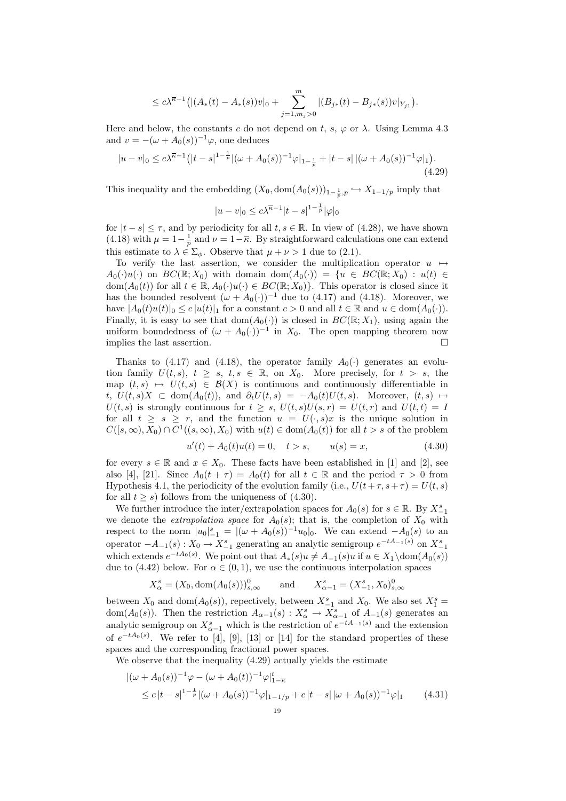$$
\leq c\lambda^{\overline{\kappa}-1}\big( |(A_*(t)-A_*(s))v|_0+\sum_{j=1,m_j>0}^m|(B_{j*}(t)-B_{j*}(s))v|_{Y_{j1}}\big).
$$

Here and below, the constants c do not depend on t, s,  $\varphi$  or  $\lambda$ . Using Lemma 4.3 and  $v = -(\omega + A_0(s))^{-1}\varphi$ , one deduces

$$
|u - v|_0 \le c\lambda^{\overline{\kappa}-1} \left( |t - s|^{1 - \frac{1}{p}} |(\omega + A_0(s))^{-1} \varphi|_{1 - \frac{1}{p}} + |t - s| \left| (\omega + A_0(s))^{-1} \varphi|_1 \right| \right). \tag{4.29}
$$

This inequality and the embedding  $(X_0, \text{dom}(A_0(s)))_{1-\frac{1}{p},p} \hookrightarrow X_{1-1/p}$  imply that

$$
|u - v|_0 \le c\lambda^{\overline{\kappa}-1}|t - s|^{1 - \frac{1}{p}}|\varphi|_0
$$

for  $|t - s| \leq \tau$ , and by periodicity for all  $t, s \in \mathbb{R}$ . In view of (4.28), we have shown (4.18) with  $\mu = 1 - \frac{1}{p}$  and  $\nu = 1 - \overline{\kappa}$ . By straightforward calculations one can extend this estimate to  $\lambda \in \Sigma_{\phi}$ . Observe that  $\mu + \nu > 1$  due to (2.1).

To verify the last assertion, we consider the multiplication operator  $u \mapsto$  $A_0(\cdot)u(\cdot)$  on  $BC(\mathbb{R};X_0)$  with domain dom $(A_0(\cdot)) = \{u \in BC(\mathbb{R};X_0) : u(t) \in$ dom $(A_0(t))$  for all  $t \in \mathbb{R}, A_0(\cdot)u(\cdot) \in BC(\mathbb{R}; X_0)$ . This operator is closed since it has the bounded resolvent  $(\omega + A_0(\cdot))^{-1}$  due to (4.17) and (4.18). Moreover, we have  $|A_0(t)u(t)|_0 \le c |u(t)|_1$  for a constant  $c > 0$  and all  $t \in \mathbb{R}$  and  $u \in \text{dom}(A_0(\cdot)).$ Finally, it is easy to see that  $dom(A_0(\cdot))$  is closed in  $BC(\mathbb{R}; X_1)$ , using again the uniform boundedness of  $(\omega + A_0(\cdot))^{-1}$  in  $X_0$ . The open mapping theorem now implies the last assertion.  $\Box$ 

Thanks to (4.17) and (4.18), the operator family  $A_0(\cdot)$  generates an evolution family  $U(t, s)$ ,  $t \geq s$ ,  $t, s \in \mathbb{R}$ , on  $X_0$ . More precisely, for  $t > s$ , the map  $(t, s) \mapsto U(t, s) \in \mathcal{B}(X)$  is continuous and continuously differentiable in t,  $U(t, s)X \subset \text{dom}(A_0(t))$ , and  $\partial_t U(t, s) = -A_0(t)U(t, s)$ . Moreover,  $(t, s) \mapsto$  $U(t, s)$  is strongly continuous for  $t \geq s$ ,  $U(t, s)U(s, r) = U(t, r)$  and  $U(t, t) = I$ for all  $t \geq s \geq r$ , and the function  $u = U(\cdot, s)x$  is the unique solution in  $C([s,\infty), X_0) \cap C^1((s,\infty), X_0)$  with  $u(t) \in \text{dom}(A_0(t))$  for all  $t > s$  of the problem

$$
u'(t) + A_0(t)u(t) = 0, \quad t > s, \qquad u(s) = x,
$$
\n(4.30)

for every  $s \in \mathbb{R}$  and  $x \in X_0$ . These facts have been established in [1] and [2], see also [4], [21]. Since  $A_0(t + \tau) = A_0(t)$  for all  $t \in \mathbb{R}$  and the period  $\tau > 0$  from Hypothesis 4.1, the periodicity of the evolution family (i.e.,  $U(t+\tau, s+\tau) = U(t, s)$ ) for all  $t > s$ ) follows from the uniqueness of (4.30).

We further introduce the inter/extrapolation spaces for  $A_0(s)$  for  $s \in \mathbb{R}$ . By  $X_{-1}^s$ we denote the *extrapolation space* for  $A_0(s)$ ; that is, the completion of  $X_0$  with respect to the norm  $|u_0|_{-1}^s = |(\omega + A_0(s))^{-1}u_0|_0$ . We can extend  $-A_0(s)$  to an operator  $-A_{-1}(s): X_0 \to X_{-1}^s$  generating an analytic semigroup  $e^{-tA_{-1}(s)}$  on  $X_{-1}^s$ which extends  $e^{-tA_0(s)}$ . We point out that  $A_*(s)u \neq A_{-1}(s)u$  if  $u \in X_1 \setminus \text{dom}(A_0(s))$ due to (4.42) below. For  $\alpha \in (0,1)$ , we use the continuous interpolation spaces

$$
X_{\alpha}^{s} = (X_0, \text{dom}(A_0(s)))_{s,\infty}^{0} \quad \text{and} \quad X_{\alpha-1}^{s} = (X_{-1}^{s}, X_0)_{s,\infty}^{0}
$$

between  $X_0$  and  $\text{dom}(A_0(s))$ , repectively, between  $X_{-1}^s$  and  $X_0$ . We also set  $X_1^s$ dom( $A_0(s)$ ). Then the restriction  $A_{\alpha-1}(s) : X^s_{\alpha} \to X^s_{\alpha-1}$  of  $A_{-1}(s)$  generates an analytic semigroup on  $X_{\alpha-1}^s$  which is the restriction of  $e^{-tA-1(s)}$  and the extension of  $e^{-tA_0(s)}$ . We refer to [4], [9], [13] or [14] for the standard properties of these spaces and the corresponding fractional power spaces.

We observe that the inequality (4.29) actually yields the estimate

$$
\begin{aligned} |(\omega + A_0(s))^{-1} \varphi - (\omega + A_0(t))^{-1} \varphi|_{1-\overline{\kappa}}^t \\ \le c |t - s|^{1-\frac{1}{p}} |(\omega + A_0(s))^{-1} \varphi|_{1-1/p} + c |t - s| |\omega + A_0(s))^{-1} \varphi|_1 \end{aligned} \tag{4.31}
$$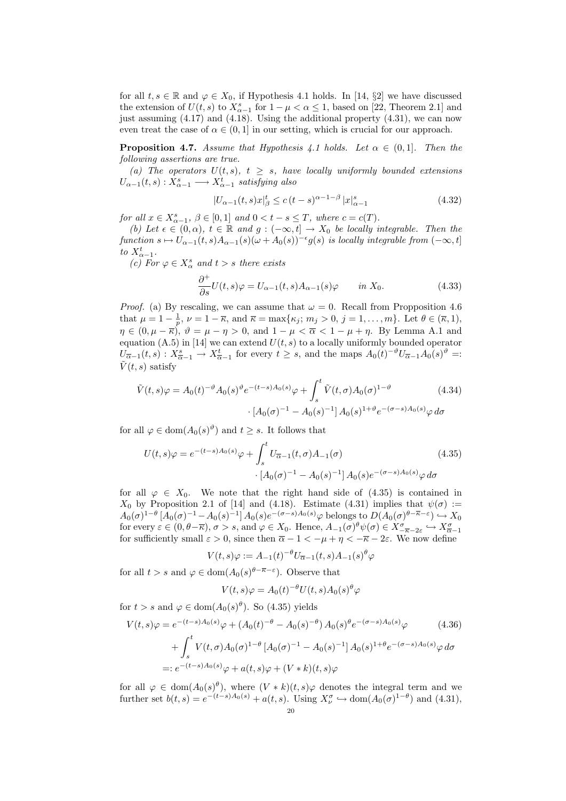for all  $t, s \in \mathbb{R}$  and  $\varphi \in X_0$ , if Hypothesis 4.1 holds. In [14, §2] we have discussed the extension of  $U(t, s)$  to  $X_{\alpha-1}^s$  for  $1 - \mu < \alpha \leq 1$ , based on [22, Theorem 2.1] and just assuming (4.17) and (4.18). Using the additional property (4.31), we can now even treat the case of  $\alpha \in (0,1]$  in our setting, which is crucial for our approach.

**Proposition 4.7.** Assume that Hypothesis 4.1 holds. Let  $\alpha \in (0,1]$ . Then the following assertions are true.

(a) The operators  $U(t, s)$ ,  $t \geq s$ , have locally uniformly bounded extensions  $U_{\alpha-1}(t,s): X_{\alpha-1}^s \longrightarrow X_{\alpha-1}^t$  satisfying also

$$
|U_{\alpha-1}(t,s)x|_{\beta}^{t} \le c(t-s)^{\alpha-1-\beta} |x|_{\alpha-1}^{s}
$$
 (4.32)

for all  $x \in X_{\alpha-1}^s$ ,  $\beta \in [0,1]$  and  $0 < t - s \leq T$ , where  $c = c(T)$ .

(b) Let  $\epsilon \in (0, \alpha)$ ,  $t \in \mathbb{R}$  and  $g: (-\infty, t] \to X_0$  be locally integrable. Then the function  $s \mapsto U_{\alpha-1}(t, s)A_{\alpha-1}(s)(\omega + A_0(s))^{-\epsilon}g(s)$  is locally integrable from  $(-\infty, t]$ to  $X^t_{\alpha-1}$ .

(c) For  $\varphi \in X^s_\alpha$  and  $t > s$  there exists

$$
\frac{\partial^+}{\partial s}U(t,s)\varphi = U_{\alpha-1}(t,s)A_{\alpha-1}(s)\varphi \qquad \text{in } X_0.
$$
 (4.33)

*Proof.* (a) By rescaling, we can assume that  $\omega = 0$ . Recall from Propposition 4.6 that  $\mu = 1 - \frac{1}{p}$ ,  $\nu = 1 - \overline{\kappa}$ , and  $\overline{\kappa} = \max{\kappa_j; m_j > 0, j = 1, ..., m}$ . Let  $\theta \in (\overline{\kappa}, 1)$ ,  $\eta \in (0, \mu - \overline{\kappa})$ ,  $\vartheta = \mu - \eta > 0$ , and  $1 - \mu < \overline{\alpha} < 1 - \mu + \eta$ . By Lemma A.1 and equation  $(A.5)$  in [14] we can extend  $U(t, s)$  to a locally uniformly bounded operator  $U_{\overline{\alpha}-1}(t,s): X^s_{\overline{\alpha}-1} \to X^t_{\overline{\alpha}-1}$  for every  $t \geq s$ , and the maps  $A_0(t)^{-\vartheta}U_{\overline{\alpha}-1}A_0(s)^{\vartheta} =:$  $\tilde{V}(t, s)$  satisfy

$$
\tilde{V}(t,s)\varphi = A_0(t)^{-\vartheta} A_0(s)^{\vartheta} e^{-(t-s)A_0(s)}\varphi + \int_s^t \tilde{V}(t,\sigma) A_0(\sigma)^{1-\vartheta}
$$
\n
$$
\cdot [A_0(\sigma)^{-1} - A_0(s)^{-1}] A_0(s)^{1+\vartheta} e^{-(\sigma-s)A_0(s)}\varphi \,d\sigma
$$
\n(4.34)

for all  $\varphi \in \text{dom}(A_0(s)^\vartheta)$  and  $t \geq s$ . It follows that

$$
U(t,s)\varphi = e^{-(t-s)A_0(s)}\varphi + \int_s^t U_{\overline{\alpha}-1}(t,\sigma)A_{-1}(\sigma)
$$
\n
$$
\cdot [A_0(\sigma)^{-1} - A_0(s)^{-1}]A_0(s)e^{-(\sigma-s)A_0(s)}\varphi \,d\sigma
$$
\n(4.35)

for all  $\varphi \in X_0$ . We note that the right hand side of (4.35) is contained in  $X_0$  by Proposition 2.1 of [14] and (4.18). Estimate (4.31) implies that  $\psi(\sigma) :=$  $A_0(\sigma)^{1-\theta} [A_0(\sigma)^{-1} - A_0(s)^{-1}] A_0(s) e^{-(\sigma-s)A_0(s)}\varphi$  belongs to  $D(A_0(\sigma)^{\theta-\overline{\kappa}-\varepsilon}) \hookrightarrow X_0$ for every  $\varepsilon \in (0, \theta - \overline{\kappa})$ ,  $\sigma > s$ , and  $\varphi \in X_0$ . Hence,  $A_{-1}(\sigma)^{\theta} \psi(\sigma) \in X^{\sigma}_{-\overline{\kappa}-2\varepsilon} \hookrightarrow X^{\sigma}_{\overline{\alpha}-1}$ for sufficiently small  $\varepsilon > 0$ , since then  $\overline{\alpha} - 1 < -\mu + \eta < -\overline{\kappa} - 2\varepsilon$ . We now define

$$
V(t,s)\varphi := A_{-1}(t)^{-\theta} U_{\overline{\alpha}-1}(t,s) A_{-1}(s)^{\theta} \varphi
$$

for all  $t > s$  and  $\varphi \in \text{dom}(A_0(s)^{\theta - \overline{\kappa} - \varepsilon})$ . Observe that

$$
V(t,s)\varphi = A_0(t)^{-\theta}U(t,s)A_0(s)^{\theta}\varphi
$$

for  $t > s$  and  $\varphi \in \text{dom}(A_0(s)^{\theta})$ . So (4.35) yields

$$
V(t,s)\varphi = e^{-(t-s)A_0(s)}\varphi + (A_0(t)^{-\theta} - A_0(s)^{-\theta})A_0(s)^{\theta}e^{-(\sigma-s)A_0(s)}\varphi
$$
\n
$$
+ \int_s^t V(t,\sigma)A_0(\sigma)^{1-\theta} \left[A_0(\sigma)^{-1} - A_0(s)^{-1}\right]A_0(s)^{1+\theta}e^{-(\sigma-s)A_0(s)}\varphi d\sigma
$$
\n
$$
=: e^{-(t-s)A_0(s)}\varphi + a(t,s)\varphi + (V*k)(t,s)\varphi
$$
\n(4.36)

for all  $\varphi \in \text{dom}(A_0(s)^{\theta})$ , where  $(V * k)(t, s)\varphi$  denotes the integral term and we further set  $b(t,s) = e^{-(t-s)A_0(s)} + a(t,s)$ . Using  $X^{\sigma}_{\nu} \hookrightarrow \text{dom}(A_0(\sigma)^{1-\theta})$  and  $(4.31)$ ,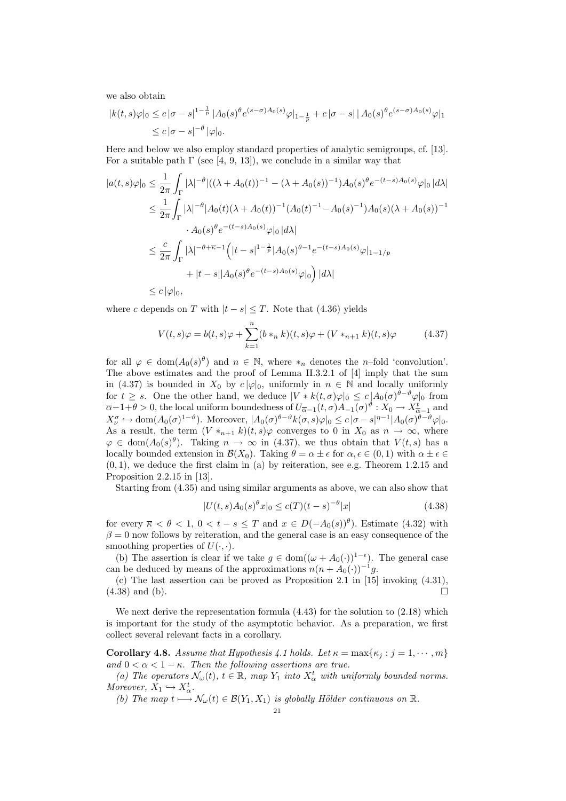we also obtain

$$
|k(t,s)\varphi|_{0} \le c |\sigma - s|^{1 - \frac{1}{p}} |A_{0}(s)\theta e^{(s - \sigma)A_{0}(s)}\varphi|_{1 - \frac{1}{p}} + c |\sigma - s| |A_{0}(s)\theta e^{(s - \sigma)A_{0}(s)}\varphi|_{1}
$$
  

$$
\le c |\sigma - s|^{-\theta} |\varphi|_{0}.
$$

Here and below we also employ standard properties of analytic semigroups, cf. [13]. For a suitable path  $\Gamma$  (see [4, 9, 13]), we conclude in a similar way that

$$
|a(t,s)\varphi|_{0} \leq \frac{1}{2\pi} \int_{\Gamma} |\lambda|^{-\theta} |((\lambda + A_{0}(t))^{-1} - (\lambda + A_{0}(s))^{-1}) A_{0}(s)^{\theta} e^{-(t-s)A_{0}(s)} \varphi|_{0} |d\lambda|
$$
  
\n
$$
\leq \frac{1}{2\pi} \int_{\Gamma} |\lambda|^{-\theta} |A_{0}(t)(\lambda + A_{0}(t))^{-1} (A_{0}(t)^{-1} - A_{0}(s)^{-1}) A_{0}(s)(\lambda + A_{0}(s))^{-1}
$$
  
\n
$$
\cdot A_{0}(s)^{\theta} e^{-(t-s)A_{0}(s)} \varphi|_{0} |d\lambda|
$$
  
\n
$$
\leq \frac{c}{2\pi} \int_{\Gamma} |\lambda|^{-\theta + \overline{\kappa} - 1} \left( |t-s|^{1-\frac{1}{p}} |A_{0}(s)^{\theta-1} e^{-(t-s)A_{0}(s)} \varphi|_{1-1/p} + |t-s| |A_{0}(s)^{\theta} e^{-(t-s)A_{0}(s)} \varphi|_{0} \right) |d\lambda|
$$
  
\n
$$
\leq c |\varphi|_{0},
$$

where c depends on T with  $|t - s| \leq T$ . Note that (4.36) yields

$$
V(t,s)\varphi = b(t,s)\varphi + \sum_{k=1}^{n} (b *_{n} k)(t,s)\varphi + (V *_{n+1} k)(t,s)\varphi
$$
 (4.37)

for all  $\varphi \in \text{dom}(A_0(s)^{\theta})$  and  $n \in \mathbb{N}$ , where  $*_n$  denotes the *n*-fold 'convolution'. The above estimates and the proof of Lemma II.3.2.1 of [4] imply that the sum in (4.37) is bounded in  $X_0$  by  $c |\varphi|_0$ , uniformly in  $n \in \mathbb{N}$  and locally uniformly for  $t \geq s$ . One the other hand, we deduce  $|V * k(t, \sigma)\varphi|_0 \leq c |A_0(\sigma)^{\theta-\vartheta}\varphi|_0$  from  $\overline{\alpha}-1+\theta>0$ , the local uniform boundedness of  $U_{\overline{\alpha}-1}(t,\sigma)A_{-1}(\sigma)^{\vartheta}:X_0\to X^t_{\overline{\alpha}-1}$  and  $X_{\nu}^{\sigma} \hookrightarrow \text{dom}(A_0(\sigma)^{1-\vartheta})$ . Moreover,  $|A_0(\sigma)^{\theta-\vartheta} k(\sigma, s) \varphi|_0 \leq c |\sigma - s|^{\eta-1} |A_0(\sigma)^{\theta-\vartheta} \varphi|_0$ . As a result, the term  $(V *_{n+1} k)(t, s)\varphi$  converges to 0 in  $X_0$  as  $n \to \infty$ , where  $\varphi \in \text{dom}(A_0(s)^\theta)$ . Taking  $n \to \infty$  in (4.37), we thus obtain that  $V(t, s)$  has a locally bounded extension in  $\mathcal{B}(X_0)$ . Taking  $\theta = \alpha \pm \epsilon$  for  $\alpha, \epsilon \in (0, 1)$  with  $\alpha \pm \epsilon \in$  $(0, 1)$ , we deduce the first claim in (a) by reiteration, see e.g. Theorem 1.2.15 and Proposition 2.2.15 in [13].

Starting from (4.35) and using similar arguments as above, we can also show that

$$
|U(t,s)A_0(s)^{\theta}x|_0 \le c(T)(t-s)^{-\theta}|x| \tag{4.38}
$$

for every  $\overline{\kappa} < \theta < 1, 0 < t - s \leq T$  and  $x \in D(-A_0(s))^{\theta}$ . Estimate (4.32) with  $\beta = 0$  now follows by reiteration, and the general case is an easy consequence of the smoothing properties of  $U(\cdot, \cdot)$ .

(b) The assertion is clear if we take  $g \in \text{dom}((\omega + A_0(\cdot))^{1-\epsilon})$ . The general case can be deduced by means of the approximations  $n(n + A_0(\cdot))^{-1}g$ .

(c) The last assertion can be proved as Proposition 2.1 in [15] invoking (4.31),  $(4.38)$  and (b).

We next derive the representation formula  $(4.43)$  for the solution to  $(2.18)$  which is important for the study of the asymptotic behavior. As a preparation, we first collect several relevant facts in a corollary.

Corollary 4.8. Assume that Hypothesis 4.1 holds. Let  $\kappa = \max\{\kappa_i : j = 1, \cdots, m\}$ and  $0 < \alpha < 1 - \kappa$ . Then the following assertions are true.

(a) The operators  $\mathcal{N}_{\omega}(t)$ ,  $t \in \mathbb{R}$ , map  $Y_1$  into  $X_{\alpha}^{t}$  with uniformly bounded norms. Moreover,  $X_1 \hookrightarrow X_\alpha^t$ .

(b) The map  $t \mapsto \mathcal{N}_{\omega}(t) \in \mathcal{B}(Y_1, X_1)$  is globally Hölder continuous on  $\mathbb{R}$ .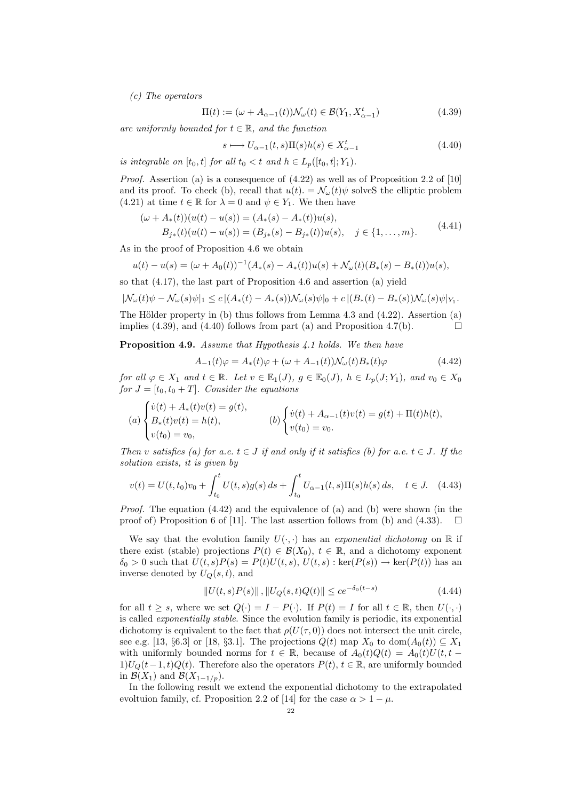(c) The operators

$$
\Pi(t) := (\omega + A_{\alpha-1}(t))\mathcal{N}_{\omega}(t) \in \mathcal{B}(Y_1, X_{\alpha-1}^t)
$$
\n(4.39)

are uniformly bounded for  $t \in \mathbb{R}$ , and the function

$$
s \longmapsto U_{\alpha-1}(t,s)\Pi(s)h(s) \in X_{\alpha-1}^t \tag{4.40}
$$

is integrable on  $[t_0, t]$  for all  $t_0 < t$  and  $h \in L_n([t_0, t]; Y_1)$ .

Proof. Assertion (a) is a consequence of (4.22) as well as of Proposition 2.2 of [10] and its proof. To check (b), recall that  $u(t) = \mathcal{N}_{\omega}(t)\psi$  solves the elliptic problem (4.21) at time  $t \in \mathbb{R}$  for  $\lambda = 0$  and  $\psi \in Y_1$ . We then have

$$
(\omega + A_*(t))(u(t) - u(s)) = (A_*(s) - A_*(t))u(s),
$$
  
\n
$$
B_{j*}(t)(u(t) - u(s)) = (B_{j*}(s) - B_{j*}(t))u(s), \quad j \in \{1, ..., m\}.
$$
\n(4.41)

As in the proof of Proposition 4.6 we obtain

$$
u(t) - u(s) = (\omega + A_0(t))^{-1} (A_*(s) - A_*(t)) u(s) + \mathcal{N}_{\omega}(t) (B_*(s) - B_*(t)) u(s),
$$

so that (4.17), the last part of Proposition 4.6 and assertion (a) yield

$$
|\mathcal{N}_{\omega}(t)\psi - \mathcal{N}_{\omega}(s)\psi|_1 \le c |(A_*(t) - A_*(s))\mathcal{N}_{\omega}(s)\psi|_0 + c |(B_*(t) - B_*(s))\mathcal{N}_{\omega}(s)\psi|_{Y_1}.
$$

The Hölder property in (b) thus follows from Lemma 4.3 and  $(4.22)$ . Assertion (a) implies (4.39), and (4.40) follows from part (a) and Proposition 4.7(b).

Proposition 4.9. Assume that Hypothesis 4.1 holds. We then have

$$
A_{-1}(t)\varphi = A_*(t)\varphi + (\omega + A_{-1}(t))\mathcal{N}_\omega(t)B_*(t)\varphi \tag{4.42}
$$

for all  $\varphi \in X_1$  and  $t \in \mathbb{R}$ . Let  $v \in \mathbb{E}_1(J)$ ,  $g \in \mathbb{E}_0(J)$ ,  $h \in L_p(J; Y_1)$ , and  $v_0 \in X_0$ for  $J = [t_0, t_0 + T]$ . Consider the equations

$$
(a) \begin{cases} \dot{v}(t) + A_*(t)v(t) = g(t), \\ B_*(t)v(t) = h(t), \\ v(t_0) = v_0, \end{cases} \qquad (b) \begin{cases} \dot{v}(t) + A_{\alpha-1}(t)v(t) = g(t) + \Pi(t)h(t), \\ v(t_0) = v_0. \end{cases}
$$

Then v satisfies (a) for a.e.  $t \in J$  if and only if it satisfies (b) for a.e.  $t \in J$ . If the solution exists, it is given by

$$
v(t) = U(t, t_0)v_0 + \int_{t_0}^t U(t, s)g(s) ds + \int_{t_0}^t U_{\alpha - 1}(t, s)\Pi(s)h(s) ds, \quad t \in J. \tag{4.43}
$$

*Proof.* The equation  $(4.42)$  and the equivalence of (a) and (b) were shown (in the proof of) Proposition 6 of [11]. The last assertion follows from (b) and (4.33).

We say that the evolution family  $U(\cdot, \cdot)$  has an exponential dichotomy on R if there exist (stable) projections  $P(t) \in \mathcal{B}(X_0)$ ,  $t \in \mathbb{R}$ , and a dichotomy exponent  $\delta_0 > 0$  such that  $U(t, s)P(s) = P(t)U(t, s), U(t, s) : \text{ker}(P(s)) \to \text{ker}(P(t))$  has an inverse denoted by  $U_Q(s,t)$ , and

$$
||U(t,s)P(s)||, ||U_Q(s,t)Q(t)|| \le ce^{-\delta_0(t-s)} \tag{4.44}
$$

for all  $t \geq s$ , where we set  $Q(\cdot) = I - P(\cdot)$ . If  $P(t) = I$  for all  $t \in \mathbb{R}$ , then  $U(\cdot, \cdot)$ is called exponentially stable. Since the evolution family is periodic, its exponential dichotomy is equivalent to the fact that  $\rho(U(\tau, 0))$  does not intersect the unit circle, see e.g. [13, §6.3] or [18, §3.1]. The projections  $Q(t)$  map  $X_0$  to  $dom(A_0(t)) \subseteq X_1$ with uniformly bounded norms for  $t \in \mathbb{R}$ , because of  $A_0(t)Q(t) = A_0(t)U(t, t 1)U_Q(t-1,t)Q(t)$ . Therefore also the operators  $P(t)$ ,  $t \in \mathbb{R}$ , are uniformly bounded in  $\mathcal{B}(X_1)$  and  $\mathcal{B}(X_{1-1/p})$ .

In the following result we extend the exponential dichotomy to the extrapolated evoltuion family, cf. Proposition 2.2 of [14] for the case  $\alpha > 1 - \mu$ .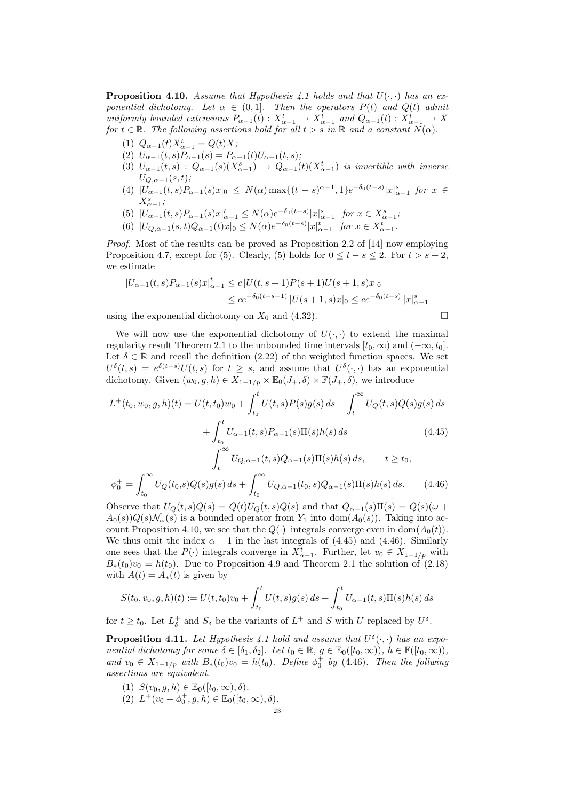**Proposition 4.10.** Assume that Hypothesis 4.1 holds and that  $U(\cdot, \cdot)$  has an exponential dichotomy. Let  $\alpha \in (0,1]$ . Then the operators  $P(t)$  and  $Q(t)$  admit uniformly bounded extensions  $P_{\alpha-1}(t): X_{\alpha-1}^t \to X_{\alpha-1}^t$  and  $Q_{\alpha-1}(t): X_{\alpha-1}^t \to X$ for  $t \in \mathbb{R}$ . The following assertions hold for all  $t > s$  in  $\mathbb{R}$  and a constant  $N(\alpha)$ .

- (1)  $Q_{\alpha-1}(t)X_{\alpha-1}^t = Q(t)X;$
- (2)  $U_{\alpha-1}(t,s)P_{\alpha-1}(s) = P_{\alpha-1}(t)U_{\alpha-1}(t,s)$ ;
- (3)  $U_{\alpha-1}(t,s)$  :  $Q_{\alpha-1}(s)(X_{\alpha-1}^s) \rightarrow Q_{\alpha-1}(t)(X_{\alpha-1}^t)$  is invertible with inverse  $U_{Q,\alpha-1}(s,t);$
- (4)  $|U_{\alpha-1}(t,s)P_{\alpha-1}(s)x|_0 \leq N(\alpha) \max\{(t-s)^{\alpha-1},1\}e^{-\delta_0(t-s)}|x|_{\alpha-1}^s$  for  $x \in$  $X_{\alpha-1}^s;$
- (5)  $|U_{\alpha-1}(t,s)P_{\alpha-1}(s)x|_{\alpha-1}^t \le N(\alpha)e^{-\delta_0(t-s)}|x|_{\alpha-1}^s$  for  $x \in X_{\alpha-1}^s$ ;
- (6)  $|U_{Q,\alpha-1}(s,t)Q_{\alpha-1}(t)x|_0 \le N(\alpha)e^{-\delta_0(t-s)}|x|_{\alpha-1}^t$  for  $x \in X_{\alpha-1}^t$ .

Proof. Most of the results can be proved as Proposition 2.2 of [14] now employing Proposition 4.7, except for (5). Clearly, (5) holds for  $0 \leq t - s \leq 2$ . For  $t > s + 2$ , we estimate

$$
|U_{\alpha-1}(t,s)P_{\alpha-1}(s)x|_{\alpha-1}^t \le c |U(t,s+1)P(s+1)U(s+1,s)x|_0
$$
  

$$
\le c e^{-\delta_0(t-s-1)} |U(s+1,s)x|_0 \le c e^{-\delta_0(t-s)} |x|_{\alpha-1}^s
$$

using the exponential dichotomy on  $X_0$  and (4.32).

We will now use the exponential dichotomy of  $U(\cdot, \cdot)$  to extend the maximal regularity result Theorem 2.1 to the unbounded time intervals  $[t_0, \infty)$  and  $(-\infty, t_0]$ . Let  $\delta \in \mathbb{R}$  and recall the definition (2.22) of the weighted function spaces. We set  $U^{\delta}(t,s) = e^{\delta(t-s)}U(t,s)$  for  $t \geq s$ , and assume that  $U^{\delta}(\cdot,\cdot)$  has an exponential dichotomy. Given  $(w_0, g, h) \in X_{1-1/p} \times \mathbb{E}_0(J_+, \delta) \times \mathbb{F}(J_+, \delta)$ , we introduce

$$
L^{+}(t_{0}, w_{0}, g, h)(t) = U(t, t_{0})w_{0} + \int_{t_{0}}^{t} U(t, s)P(s)g(s) ds - \int_{t}^{\infty} U_{Q}(t, s)Q(s)g(s) ds
$$
  
+ 
$$
\int_{t_{0}}^{t} U_{\alpha-1}(t, s)P_{\alpha-1}(s)\Pi(s)h(s) ds
$$
(4.45)  
- 
$$
\int_{t}^{\infty} U_{Q, \alpha-1}(t, s)Q_{\alpha-1}(s)\Pi(s)h(s) ds, \qquad t \geq t_{0},
$$

$$
\phi_0^+ = \int_{t_0}^{\infty} U_Q(t_0, s) Q(s) g(s) \, ds + \int_{t_0}^{\infty} U_{Q, \alpha - 1}(t_0, s) Q_{\alpha - 1}(s) \Pi(s) h(s) \, ds. \tag{4.46}
$$

Observe that  $U_Q(t, s)Q(s) = Q(t)U_Q(t, s)Q(s)$  and that  $Q_{\alpha-1}(s)\Pi(s) = Q(s)(\omega +$  $A_0(s)Q(s)N_\omega(s)$  is a bounded operator from  $Y_1$  into dom $(A_0(s))$ . Taking into account Proposition 4.10, we see that the  $Q(\cdot)$ –integrals converge even in dom $(A_0(t))$ . We thus omit the index  $\alpha - 1$  in the last integrals of (4.45) and (4.46). Similarly one sees that the  $P(\cdot)$  integrals converge in  $X_{\alpha-1}^t$ . Further, let  $v_0 \in X_{1-1/p}$  with  $B_*(t_0)v_0 = h(t_0)$ . Due to Proposition 4.9 and Theorem 2.1 the solution of (2.18) with  $A(t) = A_*(t)$  is given by

$$
S(t_0, v_0, g, h)(t) := U(t, t_0)v_0 + \int_{t_0}^t U(t, s)g(s) ds + \int_{t_0}^t U_{\alpha - 1}(t, s)\Pi(s)h(s) ds
$$

for  $t \geq t_0$ . Let  $L^+_{\delta}$  and  $S_{\delta}$  be the variants of  $L^+$  and S with U replaced by  $U^{\delta}$ .

**Proposition 4.11.** Let Hypothesis 4.1 hold and assume that  $U^{\delta}(\cdot, \cdot)$  has an exponential dichotomy for some  $\delta \in [\delta_1, \delta_2]$ . Let  $t_0 \in \mathbb{R}$ ,  $q \in \mathbb{E}_0([t_0, \infty))$ ,  $h \in \mathbb{F}([t_0, \infty))$ , and  $v_0 \in X_{1-1/p}$  with  $B_*(t_0)v_0 = h(t_0)$ . Define  $\phi_0^+$  by (4.46). Then the follwing assertions are equivalent.

- (1)  $S(v_0, g, h) \in \mathbb{E}_0([t_0, \infty), \delta)$ .
- (2)  $L^+(v_0 + \phi_0^+, g, h) \in \mathbb{E}_0([t_0, \infty), \delta).$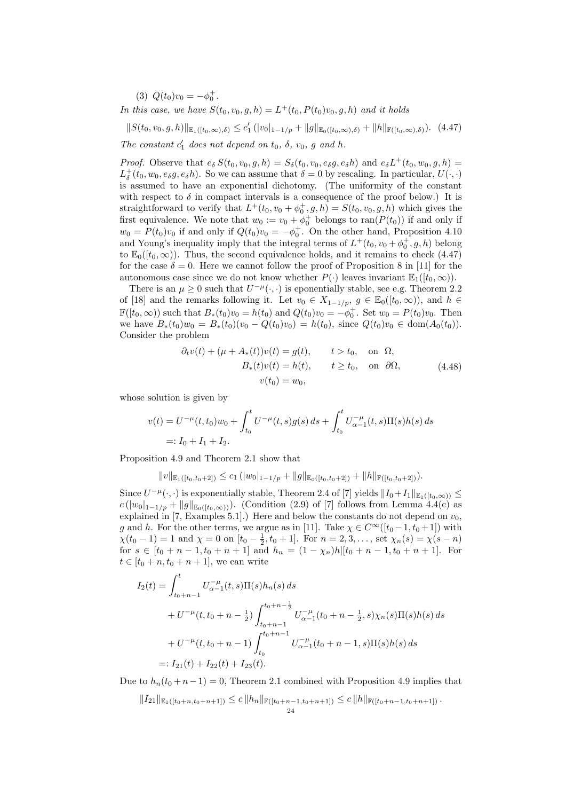(3)  $Q(t_0)v_0 = -\phi_0^+$ .

In this case, we have  $S(t_0, v_0, g, h) = L^+(t_0, P(t_0)v_0, g, h)$  and it holds

 $||S(t_0, v_0, g, h)||_{\mathbb{E}_1([t_0, \infty), \delta)} \leq c'_1 (|v_0|_{1-1/p} + ||g||_{\mathbb{E}_0([t_0, \infty), \delta)} + ||h||_{\mathbb{F}([t_0, \infty), \delta)})$ . (4.47)

The constant  $c'_1$  does not depend on  $t_0$ ,  $\delta$ ,  $v_0$ ,  $g$  and  $h$ .

*Proof.* Observe that  $e_{\delta} S(t_0, v_0, g, h) = S_{\delta}(t_0, v_0, e_{\delta} g, e_{\delta} h)$  and  $e_{\delta} L^+(t_0, w_0, g, h) =$  $L_{\delta}^{+}(t_0, w_0, e_{\delta}g, e_{\delta}h)$ . So we can assume that  $\delta = 0$  by rescaling. In particular,  $U(\cdot, \cdot)$ is assumed to have an exponential dichotomy. (The uniformity of the constant with respect to  $\delta$  in compact intervals is a consequence of the proof below.) It is straightforward to verify that  $L^+(t_0, v_0 + \phi_0^+, g, h) = S(t_0, v_0, g, h)$  which gives the first equivalence. We note that  $w_0 := v_0 + \phi_0^+$  belongs to  $\text{ran}(P(t_0))$  if and only if  $w_0 = P(t_0)v_0$  if and only if  $Q(t_0)v_0 = -\phi_0^+$ . On the other hand, Proposition 4.10 and Young's inequality imply that the integral terms of  $L^+(t_0, v_0 + \phi_0^+, g, h)$  belong to  $\mathbb{E}_0([t_0,\infty))$ . Thus, the second equivalence holds, and it remains to check (4.47) for the case  $\delta = 0$ . Here we cannot follow the proof of Proposition 8 in [11] for the autonomous case since we do not know whether  $P(\cdot)$  leaves invariant  $\mathbb{E}_1([t_0,\infty))$ .

There is an  $\mu \geq 0$  such that  $U^{-\mu}(\cdot, \cdot)$  is eponentially stable, see e.g. Theorem 2.2 of [18] and the remarks following it. Let  $v_0 \in X_{1-1/p}$ ,  $g \in \mathbb{E}_0([t_0,\infty))$ , and  $h \in$  $\mathbb{F}([t_0,\infty))$  such that  $B_*(t_0)v_0 = h(t_0)$  and  $Q(t_0)v_0 = -\phi_0^+$ . Set  $w_0 = P(t_0)v_0$ . Then we have  $B_*(t_0)w_0 = B_*(t_0)(v_0 - Q(t_0)v_0) = h(t_0)$ , since  $Q(t_0)v_0 \in \text{dom}(A_0(t_0))$ . Consider the problem

$$
\partial_t v(t) + (\mu + A_*(t))v(t) = g(t), \qquad t > t_0, \quad \text{on } \Omega,
$$
  
\n
$$
B_*(t)v(t) = h(t), \qquad t \ge t_0, \quad \text{on } \partial\Omega,
$$
  
\n
$$
v(t_0) = w_0,
$$
\n(4.48)

whose solution is given by

$$
v(t) = U^{-\mu}(t, t_0)w_0 + \int_{t_0}^t U^{-\mu}(t, s)g(s) ds + \int_{t_0}^t U_{\alpha-1}^{-\mu}(t, s)\Pi(s)h(s) ds
$$
  
=:  $I_0 + I_1 + I_2$ .

Proposition 4.9 and Theorem 2.1 show that

$$
||v||_{\mathbb{E}_1([t_0,t_0+2])} \leq c_1 (|w_0|_{1-1/p} + ||g||_{\mathbb{E}_0([t_0,t_0+2])} + ||h||_{\mathbb{F}([t_0,t_0+2])}).
$$

Since  $U^{-\mu}(\cdot,\cdot)$  is exponentially stable, Theorem 2.4 of [7] yields  $||I_0+I_1||_{\mathbb{E}_1([t_0,\infty))} \leq$  $c(|w_0|_{1-1/p} + ||g||_{\mathbb{E}_0([t_0,\infty))})$ . (Condition (2.9) of [7] follows from Lemma 4.4(c) as explained in [7, Examples 5.1].) Here and below the constants do not depend on  $v_0$ , g and h. For the other terms, we argue as in [11]. Take  $\chi \in C^{\infty}([t_0 - 1, t_0 + 1])$  with  $\chi(t_0 - 1) = 1$  and  $\chi = 0$  on  $[t_0 - \frac{1}{2}, t_0 + 1]$ . For  $n = 2, 3, ...,$  set  $\chi_n(s) = \chi(s - n)$ for  $s \in [t_0 + n - 1, t_0 + n + 1]$  and  $h_n = (1 - \chi_n)h|[t_0 + n - 1, t_0 + n + 1]$ . For  $t \in [t_0 + n, t_0 + n + 1]$ , we can write

$$
I_2(t) = \int_{t_0+n-1}^t U_{\alpha-1}^{-\mu}(t,s) \Pi(s) h_n(s) ds
$$
  
+  $U^{-\mu}(t,t_0+n-\frac{1}{2}) \int_{t_0+n-1}^{t_0+n-\frac{1}{2}} U_{\alpha-1}^{-\mu}(t_0+n-\frac{1}{2},s) \chi_n(s) \Pi(s) h(s) ds$   
+  $U^{-\mu}(t,t_0+n-1) \int_{t_0}^{t_0+n-1} U_{\alpha-1}^{-\mu}(t_0+n-1,s) \Pi(s) h(s) ds$   
=:  $I_{21}(t) + I_{22}(t) + I_{23}(t)$ .

Due to  $h_n(t_0 + n-1) = 0$ , Theorem 2.1 combined with Proposition 4.9 implies that

 $||I_{21}||_{\mathbb{E}_1([t_0+n,t_0+n+1])} \leq c ||h_n||_{\mathbb{F}([t_0+n-1,t_0+n+1])} \leq c ||h||_{\mathbb{F}([t_0+n-1,t_0+n+1])}$ .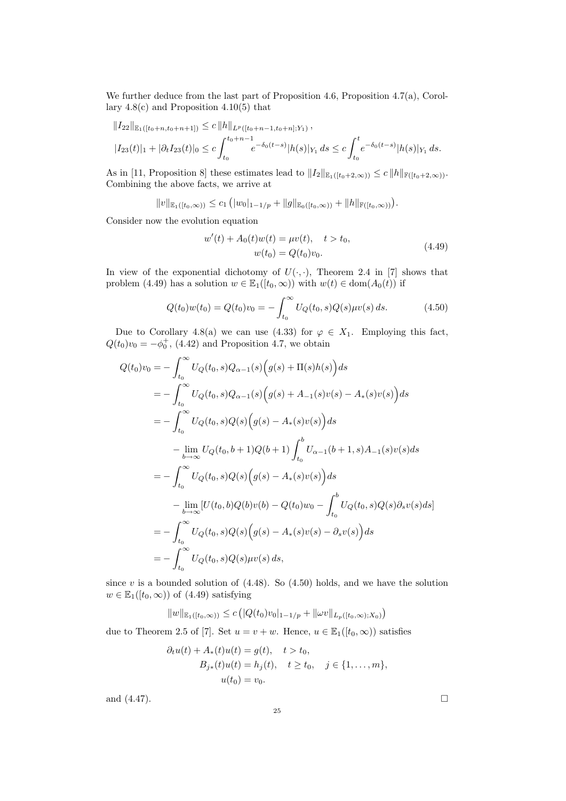We further deduce from the last part of Proposition 4.6, Proposition 4.7(a), Corollary  $4.8(c)$  and Proposition  $4.10(5)$  that

$$
||I_{22}||_{\mathbb{E}_{1}([t_{0}+n,t_{0}+n+1])} \leq c ||h||_{L^{p}([t_{0}+n-1,t_{0}+n];Y_{1})},
$$
  

$$
|I_{23}(t)|_{1} + |\partial_{t}I_{23}(t)|_{0} \leq c \int_{t_{0}}^{t_{0}+n-1} e^{-\delta_{0}(t-s)} |h(s)|_{Y_{1}} ds \leq c \int_{t_{0}}^{t} e^{-\delta_{0}(t-s)} |h(s)|_{Y_{1}} ds.
$$

As in [11, Proposition 8] these estimates lead to  $||I_2||_{\mathbb{E}_1([t_0+2,\infty))} \leq c ||h||_{\mathbb{F}([t_0+2,\infty))}$ . Combining the above facts, we arrive at

$$
||v||_{\mathbb{E}_1([t_0,\infty))} \leq c_1 (|w_0|_{1-1/p} + ||g||_{\mathbb{E}_0([t_0,\infty))} + ||h||_{\mathbb{F}([t_0,\infty))}).
$$

Consider now the evolution equation

$$
w'(t) + A_0(t)w(t) = \mu v(t), \quad t > t_0,
$$
  

$$
w(t_0) = Q(t_0)v_0.
$$
 (4.49)

In view of the exponential dichotomy of  $U(\cdot, \cdot)$ , Theorem 2.4 in [7] shows that problem (4.49) has a solution  $w \in \mathbb{E}_1([t_0,\infty))$  with  $w(t) \in \text{dom}(A_0(t))$  if

$$
Q(t_0)w(t_0) = Q(t_0)v_0 = -\int_{t_0}^{\infty} U_Q(t_0, s)Q(s)\mu v(s) ds.
$$
 (4.50)

Due to Corollary 4.8(a) we can use (4.33) for  $\varphi \in X_1$ . Employing this fact,  $Q(t_0)v_0 = -\phi_0^+$ , (4.42) and Proposition 4.7, we obtain

$$
Q(t_0)v_0 = -\int_{t_0}^{\infty} U_Q(t_0, s)Q_{\alpha-1}(s)\Big(g(s) + \Pi(s)h(s)\Big)ds
$$
  
\n
$$
= -\int_{t_0}^{\infty} U_Q(t_0, s)Q_{\alpha-1}(s)\Big(g(s) + A_{-1}(s)v(s) - A_*(s)v(s)\Big)ds
$$
  
\n
$$
= -\int_{t_0}^{\infty} U_Q(t_0, s)Q(s)\Big(g(s) - A_*(s)v(s)\Big)ds
$$
  
\n
$$
- \lim_{b \to \infty} U_Q(t_0, b + 1)Q(b + 1)\int_{t_0}^b U_{\alpha-1}(b + 1, s)A_{-1}(s)v(s)ds
$$
  
\n
$$
= -\int_{t_0}^{\infty} U_Q(t_0, s)Q(s)\Big(g(s) - A_*(s)v(s)\Big)ds
$$
  
\n
$$
- \lim_{b \to \infty} [U(t_0, b)Q(b)v(b) - Q(t_0)w_0 - \int_{t_0}^b U_Q(t_0, s)Q(s) \partial_s v(s)ds]
$$
  
\n
$$
= -\int_{t_0}^{\infty} U_Q(t_0, s)Q(s)\Big(g(s) - A_*(s)v(s) - \partial_s v(s)\Big)ds
$$
  
\n
$$
= -\int_{t_0}^{\infty} U_Q(t_0, s)Q(s)\mu v(s) ds,
$$

since  $v$  is a bounded solution of  $(4.48)$ . So  $(4.50)$  holds, and we have the solution  $w \in \mathbb{E}_1([t_0,\infty))$  of  $(4.49)$  satisfying

$$
||w||_{\mathbb{E}_1([t_0,\infty))} \leq c (|Q(t_0)v_0|_{1-1/p} + ||\omega v||_{L_p([t_0,\infty);X_0)})
$$

due to Theorem 2.5 of [7]. Set  $u = v + w$ . Hence,  $u \in \mathbb{E}_1([t_0, \infty))$  satisfies

$$
\partial_t u(t) + A_*(t)u(t) = g(t), \quad t > t_0,
$$
  
\n
$$
B_{j*}(t)u(t) = h_j(t), \quad t \ge t_0, \quad j \in \{1, ..., m\},
$$
  
\n
$$
u(t_0) = v_0.
$$

and  $(4.47)$ .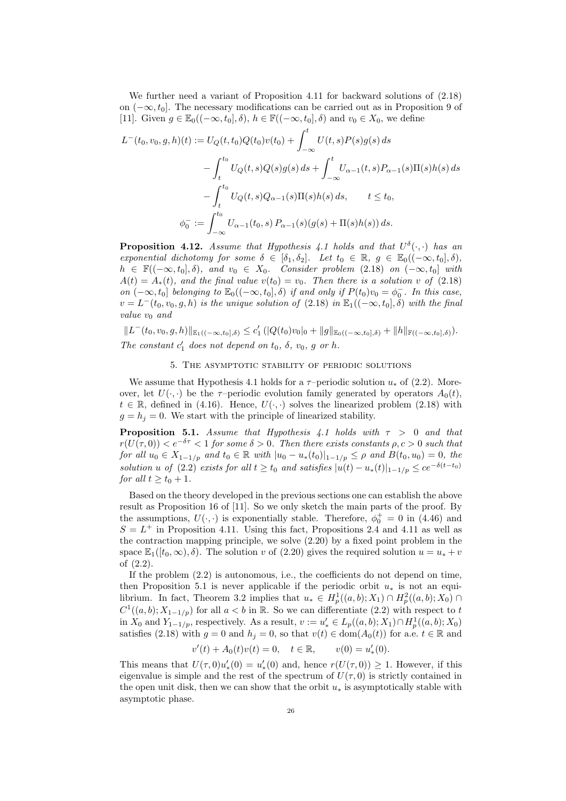We further need a variant of Proposition 4.11 for backward solutions of  $(2.18)$ on  $(-\infty, t_0]$ . The necessary modifications can be carried out as in Proposition 9 of [11]. Given  $g \in \mathbb{E}_0((-\infty, t_0], \delta)$ ,  $h \in \mathbb{F}((-\infty, t_0], \delta)$  and  $v_0 \in X_0$ , we define

$$
L^{-}(t_0, v_0, g, h)(t) := U_Q(t, t_0)Q(t_0)v(t_0) + \int_{-\infty}^t U(t, s)P(s)g(s) ds
$$
  

$$
- \int_t^{t_0} U_Q(t, s)Q(s)g(s) ds + \int_{-\infty}^t U_{\alpha-1}(t, s)P_{\alpha-1}(s)\Pi(s)h(s) ds
$$
  

$$
- \int_t^{t_0} U_Q(t, s)Q_{\alpha-1}(s)\Pi(s)h(s) ds, \qquad t \le t_0,
$$
  

$$
\phi_0^- := \int_{-\infty}^{t_0} U_{\alpha-1}(t_0, s) P_{\alpha-1}(s)(g(s) + \Pi(s)h(s)) ds.
$$

**Proposition 4.12.** Assume that Hypothesis 4.1 holds and that  $U^{\delta}(\cdot, \cdot)$  has an exponential dichotomy for some  $\delta \in [\delta_1, \delta_2]$ . Let  $t_0 \in \mathbb{R}$ ,  $g \in \mathbb{E}_0((-\infty, t_0], \delta)$ ,  $h \in \mathbb{F}((-\infty, t_0], \delta)$ , and  $v_0 \in X_0$ . Consider problem (2.18) on  $(-\infty, t_0]$  with  $A(t) = A_*(t)$ , and the final value  $v(t_0) = v_0$ . Then there is a solution v of (2.18) on  $(-\infty, t_0]$  belonging to  $\mathbb{E}_0((-\infty, t_0], \delta)$  if and only if  $P(t_0)v_0 = \phi_0^-$ . In this case,  $v = L^-(t_0, v_0, g, h)$  is the unique solution of  $(2.18)$  in  $\mathbb{E}_1((-\infty, t_0], \delta)$  with the final value  $v_0$  and

 $||L^-(t_0, v_0, g, h)||_{\mathbb{E}_1((-\infty, t_0], \delta)} \leq c'_1 (||Q(t_0)v_0||_0 + ||g||_{\mathbb{E}_0((-\infty, t_0], \delta)} + ||h||_{\mathbb{F}((-\infty, t_0], \delta)}).$ The constant  $c'_1$  does not depend on  $t_0$ ,  $\delta$ ,  $v_0$ ,  $g$  or  $h$ .

#### 5. The asymptotic stability of periodic solutions

We assume that Hypothesis 4.1 holds for a  $\tau$ –periodic solution  $u_*$  of (2.2). Moreover, let  $U(\cdot, \cdot)$  be the  $\tau$ -periodic evolution family generated by operators  $A_0(t)$ ,  $t \in \mathbb{R}$ , defined in (4.16). Hence,  $U(\cdot, \cdot)$  solves the linearized problem (2.18) with  $g = h_j = 0$ . We start with the principle of linearized stability.

**Proposition 5.1.** Assume that Hypothesis 4.1 holds with  $\tau > 0$  and that  $r(U(\tau,0)) < e^{-\delta \tau} < 1$  for some  $\delta > 0$ . Then there exists constants  $\rho, c > 0$  such that for all  $u_0 \in X_{1-1/p}$  and  $t_0 \in \mathbb{R}$  with  $|u_0 - u_*(t_0)|_{1-1/p} \leq \rho$  and  $B(t_0, u_0) = 0$ , the solution u of (2.2) exists for all  $t \ge t_0$  and satisfies  $|u(t) - u_*(t)|_{1-1/p} \le ce^{-\delta(t-t_0)}$ for all  $t \ge t_0 + 1$ .

Based on the theory developed in the previous sections one can establish the above result as Proposition 16 of [11]. So we only sketch the main parts of the proof. By the assumptions,  $U(\cdot, \cdot)$  is exponentially stable. Therefore,  $\phi_0^+ = 0$  in (4.46) and  $S = L<sup>+</sup>$  in Proposition 4.11. Using this fact, Propositions 2.4 and 4.11 as well as the contraction mapping principle, we solve (2.20) by a fixed point problem in the space  $\mathbb{E}_1([t_0,\infty),\delta)$ . The solution v of (2.20) gives the required solution  $u = u_* + v$ of (2.2).

If the problem  $(2.2)$  is autonomous, i.e., the coefficients do not depend on time, then Proposition 5.1 is never applicable if the periodic orbit  $u_*$  is not an equilibrium. In fact, Theorem 3.2 implies that  $u_* \in H^1_p((a, b); X_1) \cap H^2_p((a, b); X_0) \cap$  $C^1((a, b); X_{1-1/p})$  for all  $a < b$  in R. So we can differentiate (2.2) with respect to t in  $X_0$  and  $Y_{1-1/p}$ , respectively. As a result,  $v := u'_* \in L_p((a, b); X_1) \cap H_p^1((a, b); X_0)$ satisfies (2.18) with  $g = 0$  and  $h_i = 0$ , so that  $v(t) \in \text{dom}(A_0(t))$  for a.e.  $t \in \mathbb{R}$  and

 $v'(t) + A_0(t)v(t) = 0, \quad t \in \mathbb{R}, \qquad v(0) = u$  $\zeta_*(0)$ .

This means that  $U(\tau,0)u'_*(0) = u'_*(0)$  and, hence  $r(U(\tau,0)) \geq 1$ . However, if this eigenvalue is simple and the rest of the spectrum of  $U(\tau, 0)$  is strictly contained in the open unit disk, then we can show that the orbit  $u_*$  is asymptotically stable with asymptotic phase.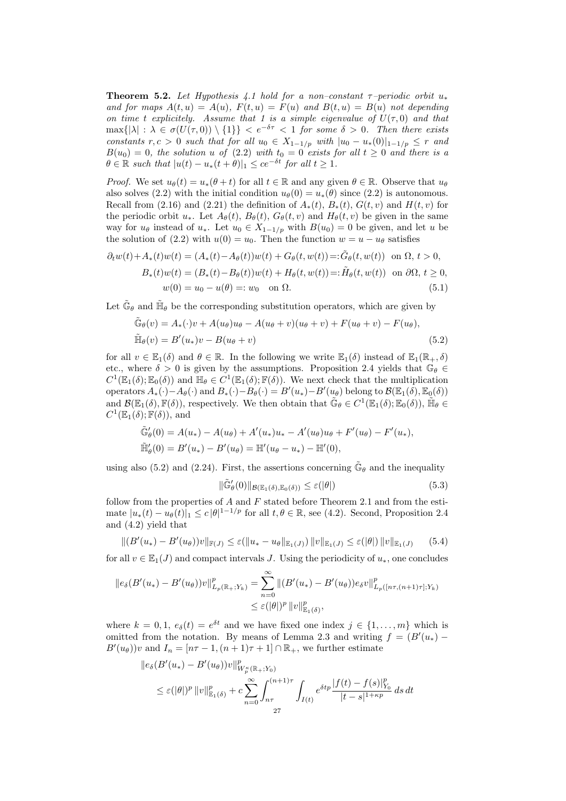**Theorem 5.2.** Let Hypothesis 4.1 hold for a non–constant  $\tau$ –periodic orbit  $u_*$ and for maps  $A(t, u) = A(u)$ ,  $F(t, u) = F(u)$  and  $B(t, u) = B(u)$  not depending on time t explicitely. Assume that 1 is a simple eigenvalue of  $U(\tau,0)$  and that  $\max\{|\lambda| : \lambda \in \sigma(U(\tau,0)) \setminus \{1\}\} < e^{-\delta \tau} < 1$  for some  $\delta > 0$ . Then there exists constants  $r, c > 0$  such that for all  $u_0 \in X_{1-1/p}$  with  $|u_0 - u_*(0)|_{1-1/p} \leq r$  and  $B(u_0) = 0$ , the solution u of (2.2) with  $t_0 = 0$  exists for all  $t \geq 0$  and there is a  $\theta \in \mathbb{R}$  such that  $|u(t) - u_*(t + \theta)|_1 \leq ce^{-\delta t}$  for all  $t > 1$ .

*Proof.* We set  $u_{\theta}(t) = u_*(\theta + t)$  for all  $t \in \mathbb{R}$  and any given  $\theta \in \mathbb{R}$ . Observe that  $u_{\theta}$ also solves (2.2) with the initial condition  $u_{\theta}(0) = u_*(\theta)$  since (2.2) is autonomous. Recall from (2.16) and (2.21) the definition of  $A_*(t)$ ,  $B_*(t)$ ,  $G(t, v)$  and  $H(t, v)$  for the periodic orbit  $u_*$ . Let  $A_{\theta}(t)$ ,  $B_{\theta}(t)$ ,  $G_{\theta}(t, v)$  and  $H_{\theta}(t, v)$  be given in the same way for  $u_{\theta}$  instead of  $u_*$ . Let  $u_0 \in X_{1-1/p}$  with  $B(u_0) = 0$  be given, and let u be the solution of (2.2) with  $u(0) = u_0$ . Then the function  $w = u - u_\theta$  satisfies

$$
\partial_t w(t) + A_*(t)w(t) = (A_*(t) - A_\theta(t))w(t) + G_\theta(t, w(t)) =: \tilde{G}_\theta(t, w(t)) \text{ on } \Omega, t > 0,
$$
  
\n
$$
B_*(t)w(t) = (B_*(t) - B_\theta(t))w(t) + H_\theta(t, w(t)) =: \tilde{H}_\theta(t, w(t)) \text{ on } \partial\Omega, t \ge 0,
$$
  
\n
$$
w(0) = u_0 - u(\theta) =: w_0 \text{ on } \Omega.
$$
\n(5.1)

Let  $\tilde{\mathbb{G}}_{\theta}$  and  $\tilde{\mathbb{H}}_{\theta}$  be the corresponding substitution operators, which are given by

$$
\tilde{\mathbb{G}}_{\theta}(v) = A_{*}(\cdot)v + A(u_{\theta})u_{\theta} - A(u_{\theta} + v)(u_{\theta} + v) + F(u_{\theta} + v) - F(u_{\theta}),
$$
  
\n
$$
\tilde{\mathbb{H}}_{\theta}(v) = B'(u_{*})v - B(u_{\theta} + v)
$$
\n(5.2)

for all  $v \in \mathbb{E}_1(\delta)$  and  $\theta \in \mathbb{R}$ . In the following we write  $\mathbb{E}_1(\delta)$  instead of  $\mathbb{E}_1(\mathbb{R}_+, \delta)$ etc., where  $\delta > 0$  is given by the assumptions. Proposition 2.4 yields that  $\mathbb{G}_{\theta} \in$  $C^1(\mathbb{E}_1(\delta); \mathbb{E}_0(\delta))$  and  $\mathbb{H}_{\theta} \in C^1(\mathbb{E}_1(\delta); \mathbb{F}(\delta))$ . We next check that the multiplication operators  $A_*(\cdot) - A_\theta(\cdot)$  and  $B_*(\cdot) - B_\theta(\cdot) = B'(u_*) - B'(u_\theta)$  belong to  $\mathcal{B}(\mathbb{E}_1(\delta), \mathbb{E}_0(\delta))$ and  $\mathcal{B}(\mathbb{E}_1(\delta), \mathbb{F}(\delta))$ , respectively. We then obtain that  $\tilde{\mathbb{G}}_{\theta} \in C^1(\mathbb{E}_1(\delta); \mathbb{E}_0(\delta))$ ,  $\tilde{\mathbb{H}}_{\theta} \in$  $C^1(\mathbb{E}_1(\delta); \mathbb{F}(\delta)),$  and

$$
\tilde{\mathbb{G}}'_{\theta}(0) = A(u_*) - A(u_{\theta}) + A'(u_*)u_* - A'(u_{\theta})u_{\theta} + F'(u_{\theta}) - F'(u_*),
$$
  

$$
\tilde{\mathbb{H}}'_{\theta}(0) = B'(u_*) - B'(u_{\theta}) = \mathbb{H}'(u_{\theta} - u_*) - \mathbb{H}'(0),
$$

using also (5.2) and (2.24). First, the assertions concerning  $\tilde{\mathbb{G}}_{\theta}$  and the inequality

$$
\|\tilde{\mathbb{G}}'_{\theta}(0)\|_{\mathcal{B}(\mathbb{E}_1(\delta),\mathbb{E}_0(\delta))} \leq \varepsilon(|\theta|) \tag{5.3}
$$

follow from the properties of  $A$  and  $F$  stated before Theorem 2.1 and from the estimate  $|u_*(t) - u_\theta(t)|_1 \leq c |\theta|^{1-1/p}$  for all  $t, \theta \in \mathbb{R}$ , see (4.2). Second, Proposition 2.4 and (4.2) yield that

$$
|| (B'(u_*) - B'(u_\theta))v||_{\mathbb{F}(J)} \le \varepsilon (||u_* - u_\theta||_{\mathbb{E}_1(J)}) ||v||_{\mathbb{E}_1(J)} \le \varepsilon (|\theta|) ||v||_{\mathbb{E}_1(J)} \qquad (5.4)
$$

for all  $v \in \mathbb{E}_1(J)$  and compact intervals J. Using the periodicity of  $u_*$ , one concludes

$$
\|e_{\delta}(B'(u_{*}) - B'(u_{\theta}))v\|_{L_{p}(\mathbb{R}_{+};Y_{k})}^{p} = \sum_{n=0}^{\infty} \|(B'(u_{*}) - B'(u_{\theta}))e_{\delta}v\|_{L_{p}([n\tau,(n+1)\tau];Y_{k})}^{p}
$$
  

$$
\leq \varepsilon(|\theta|)^{p} \|v\|_{\mathbb{E}_{1}(\delta)}^{p},
$$

where  $k = 0, 1, e_{\delta}(t) = e^{\delta t}$  and we have fixed one index  $j \in \{1, ..., m\}$  which is omitted from the notation. By means of Lemma 2.3 and writing  $f = (B'(u_*) B'(u_{\theta}))v$  and  $I_n = [n\tau - 1, (n+1)\tau + 1] \cap \mathbb{R}_+$ , we further estimate

$$
\|e_{\delta}(B'(u_{*}) - B'(u_{\theta}))v\|_{W_{p}^{\kappa}(\mathbb{R}_{+};Y_{0})}^{p}
$$
  
\n
$$
\leq \varepsilon(|\theta|)^{p} \|v\|_{\mathbb{E}_{1}(\delta)}^{p} + c \sum_{n=0}^{\infty} \int_{n\tau}^{(n+1)\tau} \int_{I(t)} e^{\delta t p} \frac{|f(t) - f(s)|_{Y_{0}}^{p}}{|t - s|^{1 + \kappa p}} ds dt
$$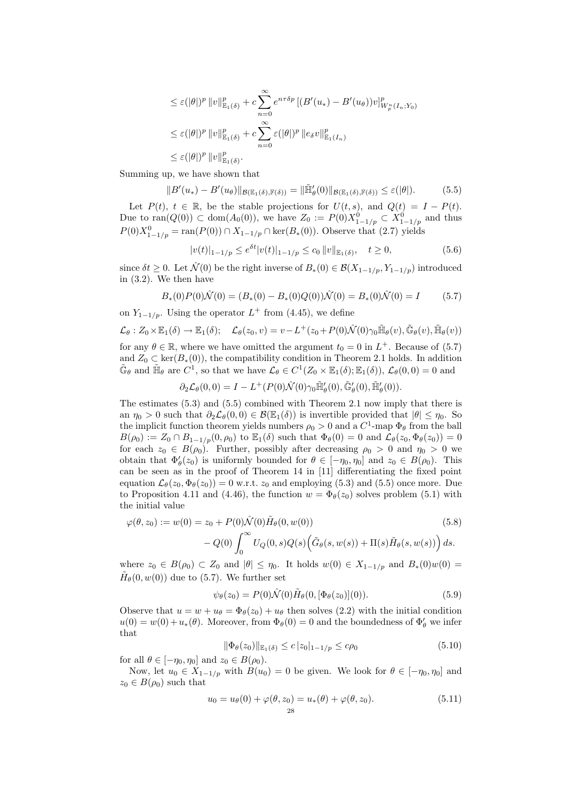$$
\leq \varepsilon(|\theta|)^p \|v\|_{\mathbb{E}_1(\delta)}^p + c \sum_{n=0}^{\infty} e^{n\tau\delta p} \left[ (B'(u_*) - B'(u_\theta))v \right]_{W_p^\kappa(I_n;Y_0)}^p
$$
  

$$
\leq \varepsilon(|\theta|)^p \|v\|_{\mathbb{E}_1(\delta)}^p + c \sum_{n=0}^{\infty} \varepsilon(|\theta|)^p \|e_\delta v\|_{\mathbb{E}_1(I_n)}^p
$$
  

$$
\leq \varepsilon(|\theta|)^p \|v\|_{\mathbb{E}_1(\delta)}^p.
$$

Summing up, we have shown that

$$
||B'(u_*) - B'(u_\theta)||_{\mathcal{B}(\mathbb{E}_1(\delta), \mathbb{F}(\delta))} = ||\tilde{\mathbb{H}}'_{\theta}(0)||_{\mathcal{B}(\mathbb{E}_1(\delta), \mathbb{F}(\delta))} \leq \varepsilon(|\theta|). \tag{5.5}
$$

Let  $P(t)$ ,  $t \in \mathbb{R}$ , be the stable projections for  $U(t, s)$ , and  $Q(t) = I - P(t)$ . Due to ran( $Q(0)$ ) ⊂ dom( $A_0(0)$ ), we have  $Z_0 := P(0)X_{1-1/p}^0 \subset X_{1-1/p}^0$  and thus  $P(0)X_{1-1/p}^0 = \text{ran}(P(0)) \cap X_{1-1/p} \cap \text{ker}(B_*(0)).$  Observe that  $(2.7)$  yields

$$
|v(t)|_{1-1/p} \le e^{\delta t} |v(t)|_{1-1/p} \le c_0 \|v\|_{\mathbb{E}_1(\delta)}, \quad t \ge 0,
$$
\n(5.6)

since  $\delta t \geq 0$ . Let  $\hat{\mathcal{N}}(0)$  be the right inverse of  $B_*(0) \in \mathcal{B}(X_{1-1/p}, Y_{1-1/p})$  introduced in (3.2). We then have

$$
B_*(0)P(0)\hat{\mathcal{N}}(0) = (B_*(0) - B_*(0)Q(0))\hat{\mathcal{N}}(0) = B_*(0)\hat{\mathcal{N}}(0) = I \tag{5.7}
$$

on  $Y_{1-1/p}$ . Using the operator  $L^+$  from (4.45), we define

$$
\mathcal{L}_{\theta}: Z_0 \times \mathbb{E}_1(\delta) \to \mathbb{E}_1(\delta); \quad \mathcal{L}_{\theta}(z_0, v) = v - L^+(z_0 + P(0)\hat{\mathcal{N}}(0)\gamma_0 \tilde{\mathbb{H}}_{\theta}(v), \tilde{\mathbb{G}}_{\theta}(v), \tilde{\mathbb{H}}_{\theta}(v))
$$
 for any  $\theta \in \mathbb{R}$ , where we have omitted the argument  $t_0 = 0$  in  $L^+$ . Because of (5.7) and  $Z_0 \subset \ker(B_*(0))$ , the compatibility condition in Theorem 2.1 holds. In addition

$$
\tilde{\mathbb{G}}_{\theta}
$$
 and  $\tilde{\mathbb{H}}_{\theta}$  are  $C^1$ , so that we have  $\mathcal{L}_{\theta} \in C^1(Z_0 \times \mathbb{E}_1(\delta); \mathbb{E}_1(\delta)), \mathcal{L}_{\theta}(0,0) = 0$  and

$$
\partial_2 \mathcal{L}_{\theta}(0,0) = I - L^+(P(0)\hat{\mathcal{N}}(0)\gamma_0 \tilde{\mathbb{H}}'_{\theta}(0), \tilde{\mathbb{G}}'_{\theta}(0), \tilde{\mathbb{H}}'_{\theta}(0)).
$$

The estimates (5.3) and (5.5) combined with Theorem 2.1 now imply that there is an  $\eta_0 > 0$  such that  $\partial_2 \mathcal{L}_{\theta}(0,0) \in \mathcal{B}(\mathbb{E}_1(\delta))$  is invertible provided that  $|\theta| \leq \eta_0$ . So the implicit function theorem yields numbers  $\rho_0 > 0$  and a  $C^1$ -map  $\Phi_\theta$  from the ball  $B(\rho_0) := Z_0 \cap B_{1-1/p}(0, \rho_0)$  to  $\mathbb{E}_1(\delta)$  such that  $\Phi_\theta(0) = 0$  and  $\mathcal{L}_\theta(z_0, \Phi_\theta(z_0)) = 0$ for each  $z_0 \in B(\rho_0)$ . Further, possibly after decreasing  $\rho_0 > 0$  and  $\eta_0 > 0$  we obtain that  $\Phi'_{\theta}(z_0)$  is uniformly bounded for  $\theta \in [-\eta_0, \eta_0]$  and  $z_0 \in B(\rho_0)$ . This can be seen as in the proof of Theorem 14 in [11] differentiating the fixed point equation  $\mathcal{L}_{\theta}(z_0, \Phi_{\theta}(z_0)) = 0$  w.r.t.  $z_0$  and employing (5.3) and (5.5) once more. Due to Proposition 4.11 and (4.46), the function  $w = \Phi_{\theta}(z_0)$  solves problem (5.1) with the initial value

$$
\varphi(\theta, z_0) := w(0) = z_0 + P(0)\hat{\mathcal{N}}(0)\tilde{H}_{\theta}(0, w(0))
$$
\n
$$
- Q(0) \int_0^\infty U_Q(0, s)Q(s) (\tilde{G}_{\theta}(s, w(s)) + \Pi(s)\tilde{H}_{\theta}(s, w(s))) ds.
$$
\n(5.8)

where  $z_0 \in B(\rho_0) \subset Z_0$  and  $|\theta| \leq \eta_0$ . It holds  $w(0) \in X_{1-1/p}$  and  $B_*(0)w(0) =$  $\tilde{H}_{\theta}(0, w(0))$  due to (5.7). We further set

$$
\psi_{\theta}(z_0) = P(0)\hat{\mathcal{N}}(0)\tilde{H}_{\theta}(0, [\Phi_{\theta}(z_0)](0)).
$$
\n(5.9)

Observe that  $u = w + u_{\theta} = \Phi_{\theta}(z_0) + u_{\theta}$  then solves (2.2) with the initial condition  $u(0) = w(0) + u_*(\theta)$ . Moreover, from  $\Phi_{\theta}(0) = 0$  and the boundedness of  $\Phi_{\theta}'$  we infer that

$$
\|\Phi_{\theta}(z_0)\|_{\mathbb{E}_1(\delta)} \le c |z_0|_{1-1/p} \le c\rho_0 \tag{5.10}
$$

for all  $\theta \in [-\eta_0, \eta_0]$  and  $z_0 \in B(\rho_0)$ .

Now, let  $u_0 \in X_{1-1/p}$  with  $B(u_0) = 0$  be given. We look for  $\theta \in [-\eta_0, \eta_0]$  and  $z_0 \in B(\rho_0)$  such that

$$
u_0 = u_{\theta}(0) + \varphi(\theta, z_0) = u_*(\theta) + \varphi(\theta, z_0).
$$
 (5.11)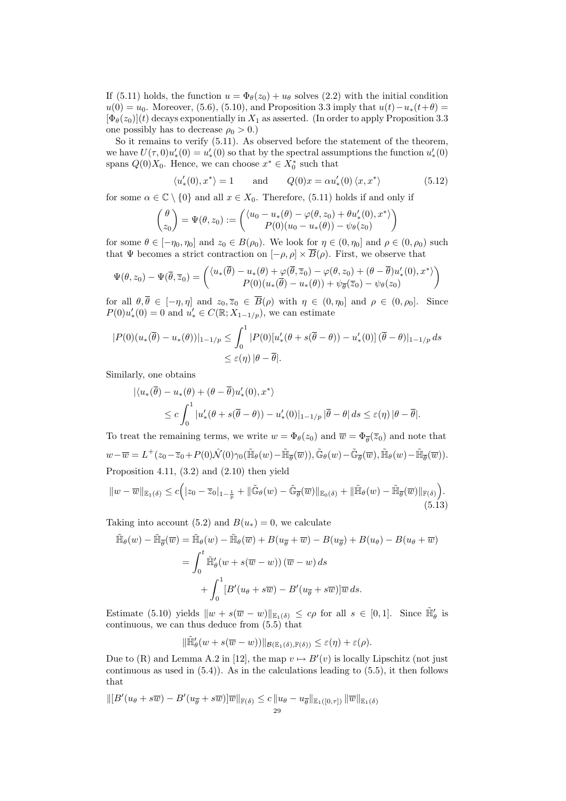If (5.11) holds, the function  $u = \Phi_{\theta}(z_0) + u_{\theta}$  solves (2.2) with the initial condition  $u(0) = u_0$ . Moreover, (5.6), (5.10), and Proposition 3.3 imply that  $u(t) - u_*(t+\theta) =$  $[\Phi_{\theta}(z_0)](t)$  decays exponentially in  $X_1$  as asserted. (In order to apply Proposition 3.3 one possibly has to decrease  $\rho_0 > 0$ .)

So it remains to verify (5.11). As observed before the statement of the theorem, we have  $U(\tau,0)u'_*(0) = u'_*(0)$  so that by the spectral assumptions the function  $u'_*(0)$ spans  $Q(0)X_0$ . Hence, we can choose  $x^* \in X_0^*$  such that

$$
\langle u'_*(0), x^* \rangle = 1 \quad \text{and} \quad Q(0)x = \alpha u'_*(0) \langle x, x^* \rangle \tag{5.12}
$$

for some  $\alpha \in \mathbb{C} \setminus \{0\}$  and all  $x \in X_0$ . Therefore, (5.11) holds if and only if

$$
\begin{pmatrix} \theta \\ z_0 \end{pmatrix} = \Psi(\theta, z_0) := \begin{pmatrix} \langle u_0 - u_*(\theta) - \varphi(\theta, z_0) + \theta u'_*(0), x^* \rangle \\ P(0)(u_0 - u_*(\theta)) - \psi_{\theta}(z_0) \end{pmatrix}
$$

for some  $\theta \in [-\eta_0, \eta_0]$  and  $z_0 \in B(\rho_0)$ . We look for  $\eta \in (0, \eta_0]$  and  $\rho \in (0, \rho_0)$  such that Ψ becomes a strict contraction on  $[-\rho, \rho] \times \overline{B}(\rho)$ . First, we observe that

$$
\Psi(\theta, z_0) - \Psi(\overline{\theta}, \overline{z}_0) = \begin{pmatrix} \langle u_*(\overline{\theta}) - u_*(\theta) + \varphi(\overline{\theta}, \overline{z}_0) - \varphi(\theta, z_0) + (\theta - \overline{\theta})u'_*(0), x^* \rangle \\ P(0)(u_*(\overline{\theta}) - u_*(\theta)) + \psi_{\overline{\theta}}(\overline{z}_0) - \psi_{\theta}(z_0) \end{pmatrix}
$$

for all  $\theta, \overline{\theta} \in [-\eta, \eta]$  and  $z_0, \overline{z}_0 \in \overline{B}(\rho)$  with  $\eta \in (0, \eta_0]$  and  $\rho \in (0, \rho_0]$ . Since  $P(0)u'_{*}(0) = 0$  and  $u'_{*} \in C(\mathbb{R}; X_{1-1/p})$ , we can estimate

$$
|P(0)(u_*(\overline{\theta}) - u_*(\theta))|_{1-1/p} \leq \int_0^1 |P(0)[u'_*(\theta + s(\overline{\theta} - \theta)) - u'_*(0)] (\overline{\theta} - \theta)|_{1-1/p} ds
$$
  

$$
\leq \varepsilon(\eta) |\theta - \overline{\theta}|.
$$

Similarly, one obtains

$$
\begin{aligned} |\langle u_*(\overline{\theta}) - u_*(\theta) + (\theta - \overline{\theta})u'_*(0), x^* \rangle \\ &\leq c \int_0^1 |u'_*(\theta + s(\overline{\theta} - \theta)) - u'_*(0)|_{1-1/p} |\overline{\theta} - \theta| \, ds \leq \varepsilon(\eta) |\theta - \overline{\theta}|. \end{aligned}
$$

To treat the remaining terms, we write  $w = \Phi_{\theta}(z_0)$  and  $\overline{w} = \Phi_{\overline{\theta}}(\overline{z}_0)$  and note that  $w-\overline{w}=L^+(z_0-\overline{z}_0+P(0)\hat{\mathcal{N}}(0)\gamma_0(\tilde{\mathbb{H}}_{\theta}(w)-\tilde{\mathbb{H}}_{\overline{\theta}}(\overline{w})),\tilde{\mathbb{G}}_{\theta}(w)-\tilde{\mathbb{G}}_{\overline{\theta}}(\overline{w}),\tilde{\mathbb{H}}_{\theta}(w)-\tilde{\mathbb{H}}_{\overline{\theta}}(\overline{w})).$ Proposition 4.11, (3.2) and (2.10) then yield

$$
||w - \overline{w}||_{\mathbb{E}_1(\delta)} \le c \Big( |z_0 - \overline{z}_0|_{1 - \frac{1}{p}} + ||\tilde{\mathbb{G}}_{\theta}(w) - \tilde{\mathbb{G}}_{\overline{\theta}}(\overline{w})||_{\mathbb{E}_0(\delta)} + ||\tilde{\mathbb{H}}_{\theta}(w) - \tilde{\mathbb{H}}_{\overline{\theta}}(\overline{w})||_{\mathbb{F}(\delta)} \Big).
$$
\n(5.13)

Taking into account (5.2) and  $B(u_*) = 0$ , we calculate

$$
\tilde{\mathbb{H}}_{\theta}(w) - \tilde{\mathbb{H}}_{\overline{\theta}}(\overline{w}) = \tilde{\mathbb{H}}_{\theta}(w) - \tilde{\mathbb{H}}_{\theta}(\overline{w}) + B(u_{\overline{\theta}} + \overline{w}) - B(u_{\overline{\theta}}) + B(u_{\theta}) - B(u_{\theta} + \overline{w})
$$
\n
$$
= \int_0^t \tilde{\mathbb{H}}'_{\theta}(w + s(\overline{w} - w)) (\overline{w} - w) ds
$$
\n
$$
+ \int_0^1 [B'(u_{\theta} + s\overline{w}) - B'(u_{\overline{\theta}} + s\overline{w})] \overline{w} ds.
$$

Estimate (5.10) yields  $||w + s(\overline{w} - w)||_{\mathbb{E}_1(\delta)} \leq c\rho$  for all  $s \in [0,1]$ . Since  $\tilde{\mathbb{H}}'_\theta$  is continuous, we can thus deduce from (5.5) that

$$
\|\tilde{\mathbb{H}}'_{\theta}(w+s(\overline{w}-w))\|_{\mathcal{B}(\mathbb{E}_1(\delta),\mathbb{F}(\delta))} \leq \varepsilon(\eta)+\varepsilon(\rho).
$$

Due to (R) and Lemma A.2 in [12], the map  $v \mapsto B'(v)$  is locally Lipschitz (not just continuous as used in (5.4)). As in the calculations leading to (5.5), it then follows that

$$
\| [B'(u_{\theta} + s\overline{w}) - B'(u_{\overline{\theta}} + s\overline{w})] \overline{w} \|_{\mathbb{F}(\delta)} \leq c \| u_{\theta} - u_{\overline{\theta}} \|_{\mathbb{E}_1([0,\tau])} \| \overline{w} \|_{\mathbb{E}_1(\delta)}
$$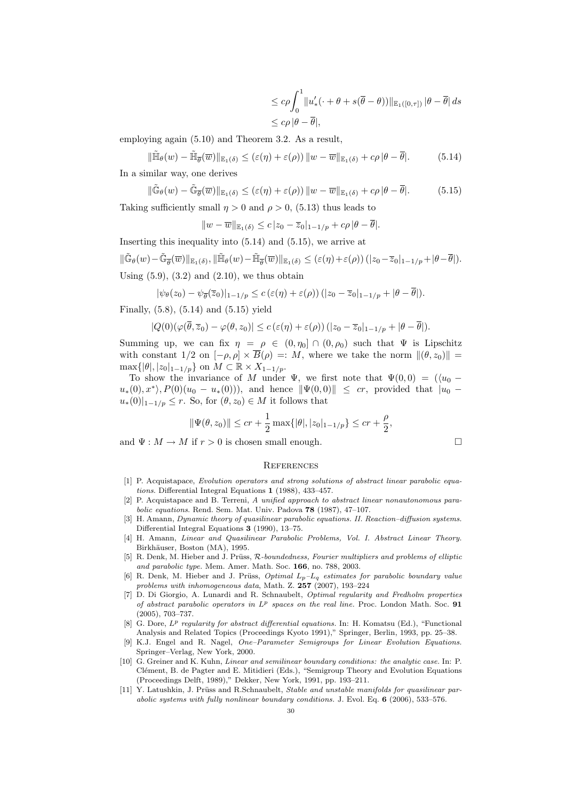$$
\leq c\rho \int_0^1 \|u'_*(\cdot + \theta + s(\overline{\theta} - \theta))\|_{\mathbb{E}_1([0,\tau])} |\theta - \overline{\theta}| ds
$$
  

$$
\leq c\rho |\theta - \overline{\theta}|,
$$

employing again (5.10) and Theorem 3.2. As a result,

$$
\|\tilde{\mathbb{H}}_{\theta}(w) - \tilde{\mathbb{H}}_{\overline{\theta}}(\overline{w})\|_{\mathbb{E}_{1}(\delta)} \leq (\varepsilon(\eta) + \varepsilon(\rho)) \|w - \overline{w}\|_{\mathbb{E}_{1}(\delta)} + c\rho |\theta - \overline{\theta}|.
$$
 (5.14)

In a similar way, one derives

$$
\|\tilde{\mathbb{G}}_{\theta}(w) - \tilde{\mathbb{G}}_{\overline{\theta}}(\overline{w})\|_{\mathbb{E}_{1}(\delta)} \leq (\varepsilon(\eta) + \varepsilon(\rho)) \left\|w - \overline{w}\right\|_{\mathbb{E}_{1}(\delta)} + c\rho \left|\theta - \overline{\theta}\right|.
$$
 (5.15)

Taking sufficiently small  $\eta > 0$  and  $\rho > 0$ , (5.13) thus leads to

$$
||w - \overline{w}||_{\mathbb{E}_1(\delta)} \leq c |z_0 - \overline{z}_0|_{1-1/p} + c\rho |\theta - \overline{\theta}|.
$$

Inserting this inequality into (5.14) and (5.15), we arrive at  $\|\tilde{\mathbb{G}}_\theta(w)-\tilde{\mathbb{G}}_{\overline{\theta}}(\overline{w})\|_{\mathbb{E}_1(\delta)}, \|\tilde{\mathbb{H}}_\theta(w)-\tilde{\mathbb{H}}_{\overline{\theta}}(\overline{w})\|_{\mathbb{E}_1(\delta)}\leq \left(\varepsilon(\eta)+\varepsilon(\rho)\right)(|z_0-\overline{z}_0|_{1-1/p}+|\theta-\overline{\theta}|).$ Using  $(5.9)$ ,  $(3.2)$  and  $(2.10)$ , we thus obtain

$$
|\psi_{\theta}(z_0)-\psi_{\overline{\theta}}(\overline{z}_0)|_{1-1/p}\leq c\left(\varepsilon(\eta)+\varepsilon(\rho)\right)(|z_0-\overline{z}_0|_{1-1/p}+|\theta-\overline{\theta}|).
$$

Finally, (5.8), (5.14) and (5.15) yield

$$
|Q(0)(\varphi(\overline{\theta},\overline{z}_0)-\varphi(\theta,z_0)|\leq c\left(\varepsilon(\eta)+\varepsilon(\rho)\right)(|z_0-\overline{z}_0|_{1-1/p}+|\theta-\overline{\theta}|).
$$

Summing up, we can fix  $\eta = \rho \in (0, \eta_0] \cap (0, \rho_0)$  such that  $\Psi$  is Lipschitz with constant  $1/2$  on  $[-\rho, \rho] \times \overline{B}(\rho) =: M$ , where we take the norm  $\|(\theta, z_0)\|$  $\max\{|\theta|, |z_0|_{1-1/p}\}\$  on  $M \subset \mathbb{R} \times X_{1-1/p}$ .

To show the invariance of M under  $\Psi$ , we first note that  $\Psi(0,0) = (\langle u_0$  $u_*(0), x^* \rangle, P(0)(u_0 - u_*(0))$ , and hence  $\|\Psi(0,0)\| \leq cr$ , provided that  $|u_0$  $u_*(0)|_{1-1/p} \leq r$ . So, for  $(\theta, z_0) \in M$  it follows that

$$
\|\Psi(\theta, z_0)\| \le cr + \frac{1}{2} \max\{|\theta|, |z_0|_{1-1/p}\} \le cr + \frac{\rho}{2},
$$

and  $\Psi : M \to M$  if  $r > 0$  is chosen small enough.

#### **REFERENCES**

- [1] P. Acquistapace, Evolution operators and strong solutions of abstract linear parabolic equations. Differential Integral Equations 1 (1988), 433–457.
- [2] P. Acquistapace and B. Terreni, A unified approach to abstract linear nonautonomous parabolic equations. Rend. Sem. Mat. Univ. Padova 78 (1987), 47–107.
- [3] H. Amann, *Dynamic theory of quasilinear parabolic equations. II. Reaction–diffusion systems.* Differential Integral Equations 3 (1990), 13–75.
- [4] H. Amann, Linear and Quasilinear Parabolic Problems, Vol. I. Abstract Linear Theory. Birkhäuser, Boston (MA), 1995.
- [5] R. Denk, M. Hieber and J. Prüss, R-boundedness, Fourier multipliers and problems of elliptic and parabolic type. Mem. Amer. Math. Soc. 166, no. 788, 2003.
- [6] R. Denk, M. Hieber and J. Prüss, *Optimal*  $L_p L_q$  estimates for parabolic boundary value problems with inhomogeneous data, Math. Z. 257 (2007), 193–224
- [7] D. Di Giorgio, A. Lunardi and R. Schnaubelt, Optimal regularity and Fredholm properties of abstract parabolic operators in  $L^p$  spaces on the real line. Proc. London Math. Soc. 91 (2005), 703–737.
- [8] G. Dore,  $L^p$  regularity for abstract differential equations. In: H. Komatsu (Ed.), "Functional Analysis and Related Topics (Proceedings Kyoto 1991)," Springer, Berlin, 1993, pp. 25–38.
- [9] K.J. Engel and R. Nagel, One–Parameter Semigroups for Linear Evolution Equations. Springer–Verlag, New York, 2000.
- [10] G. Greiner and K. Kuhn, *Linear and semilinear boundary conditions: the analytic case*. In: P. Clément, B. de Pagter and E. Mitidieri (Eds.), "Semigroup Theory and Evolution Equations (Proceedings Delft, 1989)," Dekker, New York, 1991, pp. 193–211.
- [11] Y. Latushkin, J. Prüss and R.Schnaubelt, Stable and unstable manifolds for quasilinear parabolic systems with fully nonlinear boundary conditions. J. Evol. Eq. 6 (2006), 533–576.